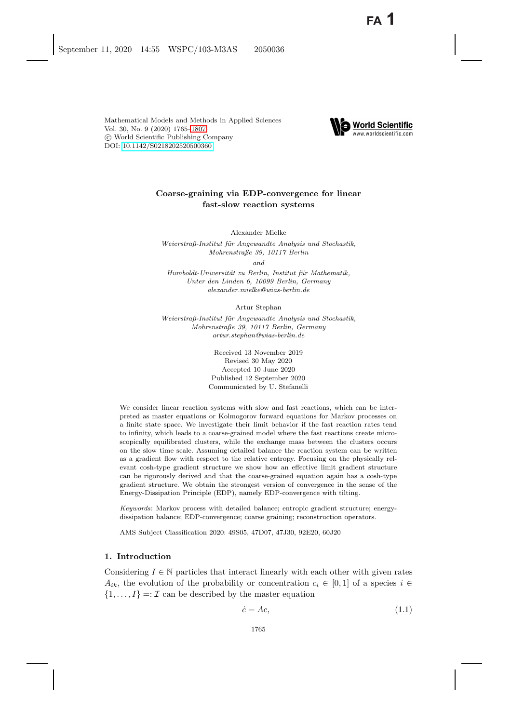

# **Coarse-graining via EDP-convergence for linear fast-slow reaction systems**

Alexander Mielke

*Weierstraß-Institut f¨ur Angewandte Analysis und Stochastik, Mohrenstraße 39, 10117 Berlin*

*and*

*Humboldt-Universit¨at zu Berlin, Institut f¨ur Mathematik, Unter den Linden 6, 10099 Berlin, Germany alexander.mielke@wias-berlin.de*

Artur Stephan

*Weierstraß-Institut f¨ur Angewandte Analysis und Stochastik, Mohrenstraße 39, 10117 Berlin, Germany artur.stephan@wias-berlin.de*

> Received 13 November 2019 Revised 30 May 2020 Accepted 10 June 2020 Published 12 September 2020 Communicated by U. Stefanelli

We consider linear reaction systems with slow and fast reactions, which can be interpreted as master equations or Kolmogorov forward equations for Markov processes on a finite state space. We investigate their limit behavior if the fast reaction rates tend to infinity, which leads to a coarse-grained model where the fast reactions create microscopically equilibrated clusters, while the exchange mass between the clusters occurs on the slow time scale. Assuming detailed balance the reaction system can be written as a gradient flow with respect to the relative entropy. Focusing on the physically relevant cosh-type gradient structure we show how an effective limit gradient structure can be rigorously derived and that the coarse-grained equation again has a cosh-type gradient structure. We obtain the strongest version of convergence in the sense of the Energy-Dissipation Principle (EDP), namely EDP-convergence with tilting.

*Keywords*: Markov process with detailed balance; entropic gradient structure; energydissipation balance; EDP-convergence; coarse graining; reconstruction operators.

AMS Subject Classification 2020: 49S05, 47D07, 47J30, 92E20, 60J20

### **1. Introduction**

Considering  $I \in \mathbb{N}$  particles that interact linearly with each other with given rates  $A_{ik}$ , the evolution of the probability or concentration  $c_i \in [0,1]$  of a species  $i \in$  $\{1,\ldots,I\}$  =:  $\mathcal I$  can be described by the master equation

<span id="page-0-0"></span>
$$
\dot{c} = Ac,\tag{1.1}
$$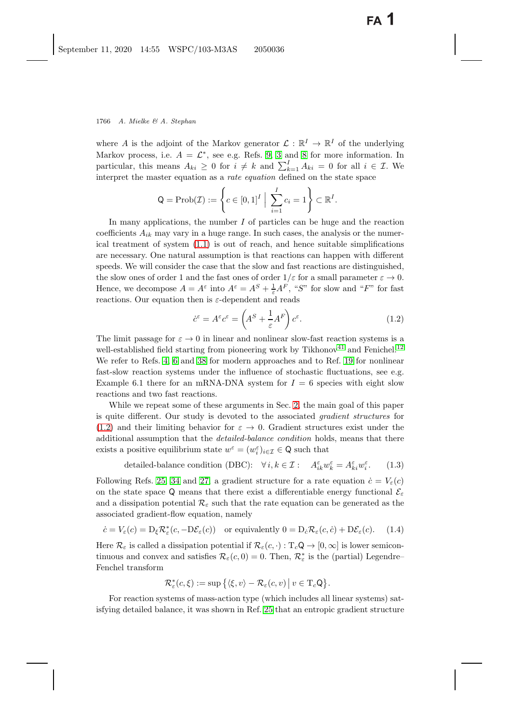where A is the adjoint of the Markov generator  $\mathcal{L}: \mathbb{R}^I \to \mathbb{R}^I$  of the underlying Markov process, i.e.  $A = \mathcal{L}^*$ , see e.g. Refs. [9,](#page-40-1) [3](#page-40-2) and [8](#page-40-3) for more information. In particular, this means  $A_{ki} \geq 0$  for  $i \neq k$  and  $\sum_{k=1}^{l} A_{ki} = 0$  for all  $i \in \mathcal{I}$ . We interpret the master equation as a *rate equation* defined on the state space. interpret the master equation as a *rate equation* defined on the state space

$$
\mathsf{Q} = \mathrm{Prob}(\mathcal{I}) := \left\{ c \in [0,1]^I \; \Big| \; \sum_{i=1}^I c_i = 1 \right\} \subset \mathbb{R}^I.
$$

In many applications, the number  $I$  of particles can be huge and the reaction coefficients  $A_{ik}$  may vary in a huge range. In such cases, the analysis or the numerical treatment of system  $(1.1)$  is out of reach, and hence suitable simplifications are necessary. One natural assumption is that reactions can happen with different speeds. We will consider the case that the slow and fast reactions are distinguished, the slow ones of order 1 and the fast ones of order  $1/\varepsilon$  for a small parameter  $\varepsilon \to 0$ .<br>Hence we decompose  $A = A^{\varepsilon}$  into  $A^{\varepsilon} = A^S + A^T A^T$  "S" for slow and "F" for fast Hence, we decompose  $A = A^{\varepsilon}$  into  $A^{\varepsilon} = A^{S} + \frac{1}{\varepsilon} A^{F}$ , "S" for slow and "F" for fast<br>reactions. Our equation than is a dependent and reads reactions. Our equation then is  $\varepsilon$ -dependent and reads

<span id="page-1-1"></span><span id="page-1-0"></span>
$$
\dot{c}^{\varepsilon} = A^{\varepsilon} c^{\varepsilon} = \left( A^S + \frac{1}{\varepsilon} A^F \right) c^{\varepsilon}.
$$
\n(1.2)

The limit passage for  $\varepsilon \to 0$  in linear and nonlinear slow-fast reaction systems is a<br>well established field starting from pioneering work by Tikhenov<sup>41</sup> and Fonichel<sup>12</sup> well-established field starting from pioneering work by Tikhonov<sup>[41](#page-42-0)</sup> and Fenichel.<sup>[12](#page-41-0)</sup> We refer to Refs. [4,](#page-40-4) [6](#page-40-5) and [38](#page-42-1) for modern approaches and to Ref. [19](#page-41-1) for nonlinear fast-slow reaction systems under the influence of stochastic fluctuations, see e.g. Example 6.1 there for an mRNA-DNA system for  $I = 6$  species with eight slow reactions and two fast reactions.

While we repeat some of these arguments in Sec. [2,](#page-6-0) the main goal of this paper is quite different. Our study is devoted to the associated *gradient structures* for  $(1.2)$  and their limiting behavior for  $\varepsilon \to 0$ . Gradient structures exist under the additional assumption that the *detailed-balance condition* holds, means that there exists a positive equilibrium state  $w^{\varepsilon} = (w_i^{\varepsilon})_{i \in \mathcal{I}} \in \mathsf{Q}$  such that

<span id="page-1-4"></span><span id="page-1-3"></span>detailed-balance condition (DBC):  $\forall i, k \in \mathcal{I} : A_{ik}^{\varepsilon} w_k^{\varepsilon} = A_{ki}^{\varepsilon} w_i^{\varepsilon}$  $(1.3)$ 

Following Refs. [25,](#page-41-2) [34](#page-42-2) and [27,](#page-41-3) a gradient structure for a rate equation  $\dot{c} = V_{\varepsilon}(c)$ on the state space Q means that there exist a differentiable energy functional  $\mathcal{E}_{\varepsilon}$ and a dissipation potential  $\mathcal{R}_{\varepsilon}$  such that the rate equation can be generated as the associated gradient-flow equation, namely

<span id="page-1-2"></span>
$$
\dot{c} = V_{\varepsilon}(c) = D_{\xi} \mathcal{R}_{\varepsilon}^{*}(c, -D\mathcal{E}_{\varepsilon}(c)) \quad \text{or equivalently } 0 = D_{\varepsilon} \mathcal{R}_{\varepsilon}(c, \dot{c}) + D\mathcal{E}_{\varepsilon}(c). \tag{1.4}
$$

Here  $\mathcal{R}_{\varepsilon}$  is called a dissipation potential if  $\mathcal{R}_{\varepsilon}(c, \cdot): T_c \mathsf{Q} \to [0, \infty]$  is lower semicontinuous and convex and satisfies  $\mathcal{R}_{\varepsilon}(c, 0) = 0$ . Then,  $\mathcal{R}_{\varepsilon}^{*}$  is the (partial) Legendre–<br>Fonebol transform Fenchel transform

$$
\mathcal{R}_{\varepsilon}^*(c,\xi) := \sup \big\{ \langle \xi,v \rangle - \mathcal{R}_{\varepsilon}(c,v) \, \big| \, v \in \mathrm{T}_c \mathsf{Q} \big\}.
$$

For reaction systems of mass-action type (which includes all linear systems) satisfying detailed balance, it was shown in Ref. [25](#page-41-2) that an entropic gradient structure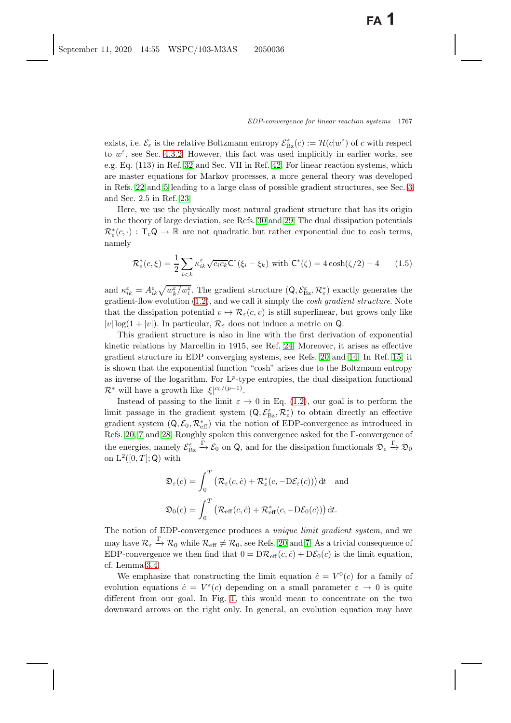exists, i.e.  $\mathcal{E}_{\varepsilon}$  is the relative Boltzmann entropy  $\mathcal{E}_{\varepsilon}^{\varepsilon}(c) := \mathcal{H}(c|w^{\varepsilon})$  of c with respect<br>to  $w^{\varepsilon}$  see Sec. 4.3.2. However, this fact was used implicitly in earlier works, see to  $w^{\varepsilon}$ , see Sec. [4.3.2.](#page-22-0) However, this fact was used implicitly in earlier works, see e.g. Eq. (113) in Ref. [32](#page-41-4) and Sec. VII in Ref. [42.](#page-42-3) For linear reaction systems, which are master equations for Markov processes, a more general theory was developed in Refs. [22](#page-41-5) and [5](#page-40-6) leading to a large class of possible gradient structures, see Sec. [3](#page-15-0) and Sec. 2.5 in Ref. [23.](#page-41-6)

Here, we use the physically most natural gradient structure that has its origin in the theory of large deviation, see Refs. [30](#page-41-7) and [29.](#page-41-8) The dual dissipation potentials  $\mathcal{R}^*_{\varepsilon}(c, \cdot) : T_c \mathsf{Q} \to \mathbb{R}$  are not quadratic but rather exponential due to cosh terms, namely

<span id="page-2-1"></span><span id="page-2-0"></span>
$$
\mathcal{R}_{\varepsilon}^{*}(c,\xi) = \frac{1}{2} \sum_{i < k} \kappa_{ik}^{\varepsilon} \sqrt{c_{i}c_{k}} \mathsf{C}^{*}(\xi_{i} - \xi_{k}) \text{ with } \mathsf{C}^{*}(\zeta) = 4 \cosh(\zeta/2) - 4 \qquad (1.5)
$$

and  $\kappa_{ik}^{\varepsilon} = A_{ik}^{\varepsilon} \sqrt{w_{k}^{\varepsilon}/w_{\varepsilon}^{\varepsilon}}$ . The gradient structure  $(Q, \mathcal{E}_{Bz}^{\varepsilon}, \mathcal{R}_{\varepsilon}^{*})$  exactly generates the gradient flow evolution (1.2), and we call it simply the cosh arguient structure. Not gradient-flow evolution [\(1.2\)](#page-1-1), and we call it simply the *cosh gradient structure*. Note that the dissipation potential  $v \mapsto \mathcal{R}_{\varepsilon}(c, v)$  is still superlinear, but grows only like  $|v| \log(1+|v|)$ . In particular,  $\mathcal{R}_{\varepsilon}$  does not induce a metric on Q.

This gradient structure is also in line with the first derivation of exponential kinetic relations by Marcellin in 1915, see Ref. [24.](#page-41-9) Moreover, it arises as effective gradient structure in EDP converging systems, see Refs. [20](#page-41-10) and [14.](#page-41-11) In Ref. [15,](#page-41-12) it is shown that the exponential function "cosh" arises due to the Boltzmann entropy as inverse of the logarithm. For  $L^p$ -type entropies, the dual dissipation functional  $\mathcal{R}^*$  will have a growth like  $|\xi|^{c_0/(p-1)}$ .<br>Instead of passing to the limit  $\epsilon$ .

Instead of passing to the limit  $\varepsilon \to 0$  in Eq. [\(1.2\)](#page-1-1), our goal is to perform the limit passage in the gradient system  $(Q, \mathcal{E}_{\mathbb{B}_Z}^{\epsilon}, \mathcal{R}_{\varepsilon}^{\ast})$  to obtain directly an effective<br>gradient system  $(Q, \mathcal{E}, \mathcal{R}^{\ast})$  via the notion of EDP convergence as introduced in gradient system  $(Q, \mathcal{E}_0, \mathcal{R}_{\text{eff}}^*)$  via the notion of EDP-convergence as introduced in<br>Refs. 20, 7 and 28. Boughly speken this convergence asked for the E convergence of Refs. [20,](#page-41-10) [7](#page-40-7) and [28.](#page-41-13) Roughly spoken this convergence asked for the Γ-convergence of the energies, namely  $\mathcal{E}_{\mathrm{Bz}}^\varepsilon$  $\frac{\Gamma}{\rightarrow} \mathcal{E}_0$  on Q, and for the dissipation functionals  $\mathfrak{D}_{\varepsilon} \stackrel{\Gamma}{\rightarrow} \mathfrak{D}_0$ on  $L^2([0,T];\mathsf{Q})$  with

$$
\mathfrak{D}_{\varepsilon}(c) = \int_0^T \left( \mathcal{R}_{\varepsilon}(c, \dot{c}) + \mathcal{R}_{\varepsilon}^*(c, -D\mathcal{E}_{\varepsilon}(c)) \right) dt \text{ and}
$$
  

$$
\mathfrak{D}_0(c) = \int_0^T \left( \mathcal{R}_{\text{eff}}(c, \dot{c}) + \mathcal{R}_{\text{eff}}^*(c, -D\mathcal{E}_0(c)) \right) dt.
$$

The notion of EDP-convergence produces a *unique limit gradient system*, and we may have  $\mathcal{R}_{\varepsilon} \stackrel{\Gamma}{\to} \mathcal{R}_0$  while  $\mathcal{R}_{\text{eff}} \neq \mathcal{R}_0$ , see Refs. [20](#page-41-10) and [7.](#page-40-7) As a trivial consequence of EDP-convergence we then find that  $0 = D\mathcal{R}_{eff}(c, \dot{c}) + D\mathcal{E}_{0}(c)$  is the limit equation, cf. Lemma [3.4.](#page-19-0)

We emphasize that constructing the limit equation  $\dot{c} = V^0(c)$  for a family of evolution equations  $\dot{c} = V^{\varepsilon}(c)$  depending on a small parameter  $\varepsilon \to 0$  is quite different from our goal. In Fig. [1,](#page-3-0) this would mean to concentrate on the two downward arrows on the right only. In general, an evolution equation may have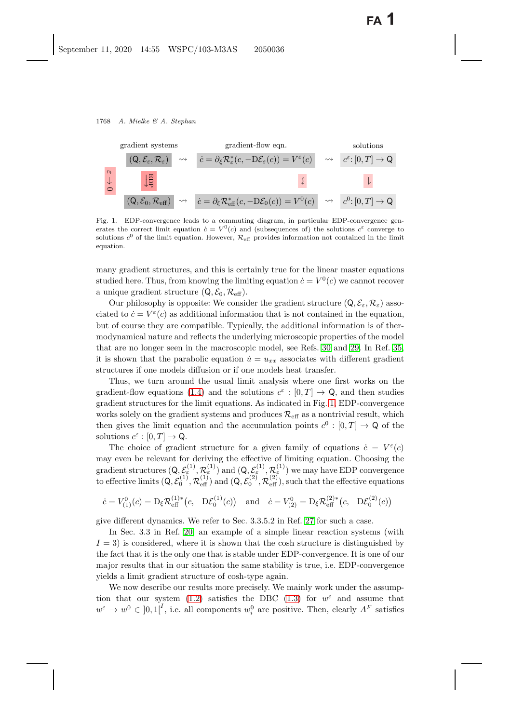

<span id="page-3-1"></span><span id="page-3-0"></span>Fig. 1. EDP-convergence leads to a commuting diagram, in particular EDP-convergence generates the correct limit equation  $\dot{c} = V^0(c)$  and (subsequences of) the solutions  $c^{\varepsilon}$  converge to solutions  $c^0$  of the limit equation. However,  $\mathcal{R}_{\text{eff}}$  provides information not contained in the limit equation.

many gradient structures, and this is certainly true for the linear master equations studied here. Thus, from knowing the limiting equation  $\dot{c} = V^0(c)$  we cannot recover a unique gradient structure  $(Q, \mathcal{E}_0, \mathcal{R}_{\text{eff}})$ .

Our philosophy is opposite: We consider the gradient structure  $(Q, \mathcal{E}_{\varepsilon}, \mathcal{R}_{\varepsilon})$  associated to  $\dot{c} = V^{\varepsilon}(c)$  as additional information that is not contained in the equation, but of course they are compatible. Typically, the additional information is of thermodynamical nature and reflects the underlying microscopic properties of the model that are no longer seen in the macroscopic model, see Refs. [30](#page-41-14) and [29.](#page-41-15) In Ref. [35,](#page-42-4) it is shown that the parabolic equation  $\dot{u} = u_{xx}$  associates with different gradient structures if one models diffusion or if one models heat transfer.

Thus, we turn around the usual limit analysis where one first works on the gradient-flow equations [\(1.4\)](#page-1-2) and the solutions  $c^{\varepsilon} : [0, T] \to \mathbb{Q}$ , and then studies gradient structures for the limit equations. As indicated in Fig. [1,](#page-3-1) EDP-convergence works solely on the gradient systems and produces  $\mathcal{R}_{\text{eff}}$  as a nontrivial result, which then gives the limit equation and the accumulation points  $c^0 : [0, T] \to \mathbb{Q}$  of the solutions  $c^{\varepsilon} : [0, T] \to \mathsf{Q}.$ 

The choice of gradient structure for a given family of equations  $\dot{c} = V^{\varepsilon}(c)$ may even be relevant for deriving the effective of limiting equation. Choosing the gradient structures  $(Q, \mathcal{E}_{\varepsilon}^{(1)}, \mathcal{R}_{\varepsilon}^{(1)})$  and  $(Q, \mathcal{E}_{\varepsilon}^{(1)}, \mathcal{R}_{\varepsilon}^{(1)})$  we may have EDP convergence<br>to effective limits  $(Q, \mathcal{E}^{(1)}, \mathcal{D}^{(1)})$  and  $(Q, \mathcal{E}^{(2)}, \mathcal{D}^{(2)})$  such that the effective c to effective limits  $(Q, \mathcal{E}_0^{(1)}, \mathcal{R}_{\text{eff}}^{(1)})$  and  $(Q, \mathcal{E}_0^{(2)}, \mathcal{R}_{\text{eff}}^{(2)})$ , such that the effective equations

$$
\dot{c} = V_{(1)}^0(c) = D_{\xi} \mathcal{R}_{\text{eff}}^{(1)*}(c, -D\mathcal{E}_0^{(1)}(c)) \quad \text{and} \quad \dot{c} = V_{(2)}^0 = D_{\xi} \mathcal{R}_{\text{eff}}^{(2)*}(c, -D\mathcal{E}_0^{(2)}(c))
$$

give different dynamics. We refer to Sec. 3.3.5.2 in Ref. [27](#page-41-3) for such a case.

In Sec. 3.3 in Ref. [20,](#page-41-16) an example of a simple linear reaction systems (with  $I = 3$ ) is considered, where it is shown that the cosh structure is distinguished by the fact that it is the only one that is stable under EDP-convergence. It is one of our major results that in our situation the same stability is true, i.e. EDP-convergence yields a limit gradient structure of cosh-type again.

We now describe our results more precisely. We mainly work under the assump-tion that our system [\(1.2\)](#page-1-0) satisfies the DBC [\(1.3\)](#page-1-3) for  $w^{\varepsilon}$  and assume that  $w^{\varepsilon} \to w^0 \in [0,1]^I$ , i.e. all components  $w_i^0$  are positive. Then, clearly  $A^F$  satisfies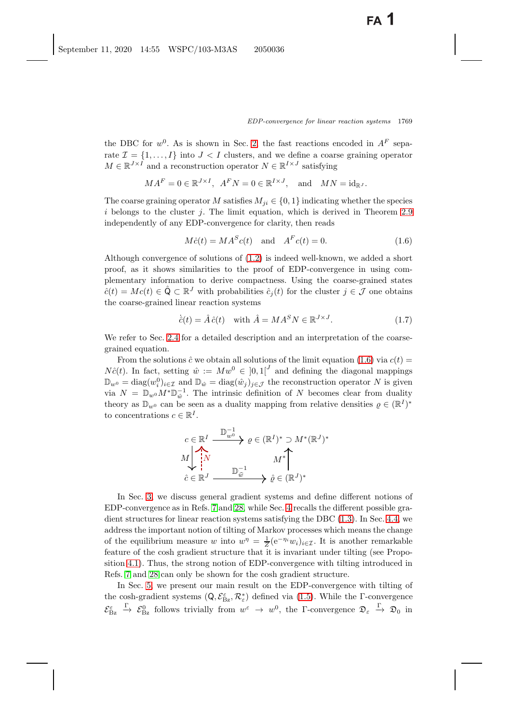the DBC for  $w^0$ . As is shown in Sec. [2,](#page-6-1) the fast reactions encoded in  $A^F$  separate  $\mathcal{I} = \{1, \ldots, I\}$  into  $J < I$  clusters, and we define a coarse graining operator  $M \in \mathbb{R}^{J \times \tilde{I}}$  and a reconstruction operator  $N \in \mathbb{R}^{I \times J}$  satisfying

$$
MA^F = 0 \in \mathbb{R}^{J \times I}
$$
,  $A^F N = 0 \in \mathbb{R}^{I \times J}$ , and  $MN = id_{\mathbb{R}^J}$ .

The coarse graining operator M satisfies  $M_{ji} \in \{0, 1\}$  indicating whether the species  $i$  belongs to the cluster  $j$ . The limit equation, which is derived in Theorem [2.9](#page-14-0) independently of any EDP-convergence for clarity, then reads

<span id="page-4-1"></span><span id="page-4-0"></span>
$$
M\dot{c}(t) = MA^S c(t) \quad \text{and} \quad A^F c(t) = 0. \tag{1.6}
$$

Although convergence of solutions of [\(1.2\)](#page-1-1) is indeed well-known, we added a short proof, as it shows similarities to the proof of EDP-convergence in using complementary information to derive compactness. Using the coarse-grained states  $\hat{c}(t) = Mc(t) \in \hat{Q} \subset \mathbb{R}^{J}$  with probabilities  $\hat{c}_i(t)$  for the cluster  $j \in \mathcal{J}$  one obtains the coarse-grained linear reaction systems

<span id="page-4-2"></span>
$$
\hat{c}(t) = \hat{A}\,\hat{c}(t) \quad \text{with } \hat{A} = M A^S N \in \mathbb{R}^{J \times J}.
$$
\n
$$
(1.7)
$$

We refer to Sec. [2.4](#page-12-0) for a detailed description and an interpretation of the coarsegrained equation.

From the solutions  $\hat{c}$  we obtain all solutions of the limit equation [\(1.6\)](#page-4-0) via  $c(t)$  =  $N\hat{c}(t)$ . In fact, setting  $\hat{w} := Mw^0 \in [0,1]^J$  and defining the diagonal mappings  $\mathbb{D}_{w^0} = \text{diag}(w_i^0)_{i \in \mathcal{I}}$  and  $\mathbb{D}_{\hat{w}} = \text{diag}(\hat{w}_j)_{j \in \mathcal{J}}$  the reconstruction operator N is given<br>via  $N = \mathbb{D}_{\hat{w}} M^* \mathbb{D}^{-1}$ . The intrinsic definition of N becomes clear from duality via  $N = \mathbb{D}_{w^0} M^* \mathbb{D}_{\hat{w}}^{-1}$ . The intrinsic definition of N becomes clear from duality theory as  $\mathbb{D}_{w^0}$  can be seen as a duality mapping from relative densities  $\rho \in (\mathbb{R}^I)^*$ to concentrations  $c \in \mathbb{R}^I$ .

$$
c \in \mathbb{R}^I \xrightarrow{\mathbb{D}_{w^0}^{-1}} \rho \in (\mathbb{R}^I)^* \supset M^*(\mathbb{R}^J)^*
$$
  

$$
M \downarrow \qquad \qquad M^* \downarrow
$$
  

$$
\hat{c} \in \mathbb{R}^J \xrightarrow{\mathbb{D}_{\hat{w}}^{-1}} \hat{\rho} \in (\mathbb{R}^J)^*
$$

In Sec. [3,](#page-15-0) we discuss general gradient systems and define different notions of EDP-convergence as in Refs. [7](#page-40-7) and [28,](#page-41-13) while Sec. [4](#page-19-1) recalls the different possible gradient structures for linear reaction systems satisfying the DBC [\(1.3\)](#page-1-4). In Sec. [4.4,](#page-23-0) we address the important notion of tilting of Markov processes which means the change of the equilibrium measure w into  $w^{\eta} = \frac{1}{Z} (e^{-\eta_i} w_i)_{i \in \mathcal{I}}$ . It is another remarkable<br>foature of the cost gradient structure that it is inverient under tilting (see Prope feature of the cosh gradient structure that it is invariant under tilting (see Proposition [4.1\)](#page-24-0). Thus, the strong notion of EDP-convergence with tilting introduced in Refs. [7](#page-40-7) and [28](#page-41-13) can only be shown for the cosh gradient structure.

In Sec. [5,](#page-25-0) we present our main result on the EDP-convergence with tilting of the cosh-gradient systems  $(Q, \mathcal{E}_{\epsilon}^{\varepsilon}, \mathcal{R}_{\varepsilon}^{*})$  defined via [\(1.5\)](#page-2-0). While the  $\Gamma$ -convergence  $\mathcal{E}_{\text{Bz}}^{\varepsilon}$  $\stackrel{\Gamma}{\to} \mathcal{E}_{\text{Bz}}^0$  follows trivially from  $w^{\varepsilon} \to w^0$ , the  $\Gamma$ -convergence  $\mathfrak{D}_{\varepsilon} \stackrel{\Gamma}{\to} \mathfrak{D}_0$  in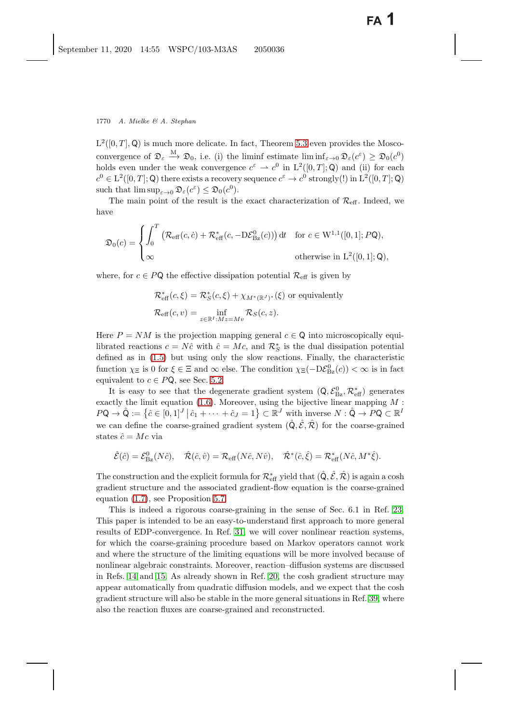$L^2([0,T],\mathbb{Q})$  is much more delicate. In fact, Theorem [5.3](#page-27-0) even provides the Moscoconvergence of  $\mathfrak{D}_{\varepsilon} \stackrel{M}{\longrightarrow} \mathfrak{D}_0$ , i.e. (i) the liminf estimate liminf $_{\varepsilon \to 0} \mathfrak{D}_{\varepsilon}(c^{\varepsilon}) \geq \mathfrak{D}_0(c^0)$ holds even under the weak convergence  $c^{\varepsilon} \rightharpoonup c^0$  in  $L^2([0, T]; Q)$  and (ii) for each  $c^0 \in L^2([0,T];\mathsf{Q})$  there exists a recovery sequence  $c^{\varepsilon} \to c^0$  strongly(!) in  $L^2([0,T];\mathsf{Q})$ such that  $\limsup_{\varepsilon\to 0} \mathfrak{D}_{\varepsilon}(c^{\varepsilon}) \leq \mathfrak{D}_{0}(c^{0}).$ 

The main point of the result is the exact characterization of  $\mathcal{R}_{\text{eff}}$ . Indeed, we have

$$
\mathfrak{D}_0(c) = \begin{cases} \int_0^T \left( \mathcal{R}_{\text{eff}}(c, \dot{c}) + \mathcal{R}_{\text{eff}}^*(c, -D\mathcal{E}_{\text{Bz}}^0(c)) \right) dt & \text{for } c \in W^{1,1}([0,1]; PQ), \\ \infty & \text{otherwise in } L^2([0,1]; Q), \end{cases}
$$

where, for  $c \in P\mathsf{Q}$  the effective dissipation potential  $\mathcal{R}_{\text{eff}}$  is given by

$$
\mathcal{R}_{\text{eff}}^*(c,\xi) = \mathcal{R}_S^*(c,\xi) + \chi_{M^*(\mathbb{R}^J)^*}(\xi) \text{ or equivalently}
$$

$$
\mathcal{R}_{\text{eff}}(c,v) = \inf_{z \in \mathbb{R}^I : Mz = Mv} \mathcal{R}_S(c,z).
$$

Here  $P = NM$  is the projection mapping general  $c \in \mathbb{Q}$  into microscopically equilibrated reactions  $c = N\hat{c}$  with  $\hat{c} = Mc$ , and  $\mathcal{R}_S^*$  is the dual dissipation potential defined as in (1.5) but using only the slow reactions. Finally, the characteristic defined as in [\(1.5\)](#page-2-1) but using only the slow reactions. Finally, the characteristic function  $\chi_{\Xi}$  is 0 for  $\xi \in \Xi$  and  $\infty$  else. The condition  $\chi_{\Xi}(-D\mathcal{E}_{Bz}^{0}(c)) < \infty$  is in fact<br>continuous to  $c \in \mathcal{P}Q$ , see Sec. 5.2 equivalent to  $c \in P\mathsf{Q}$ , see Sec. [5.2.](#page-28-0)

It is easy to see that the degenerate gradient system  $(Q, \mathcal{E}_{Bz}^0, \mathcal{R}_{\text{eff}}^* )$  generates the limit equation (1.6). Moreover, using the bijective linear manning M exactly the limit equation  $(1.6)$ . Moreover, using the bijective linear mapping  $M$ :  $P\mathsf{Q} \to \hat{\mathsf{Q}} := \{ \hat{c} \in [0,1]^J \, | \, \hat{c}_1 + \cdots + \hat{c}_J = 1 \} \subset \mathbb{R}^J$  with inverse  $N : \hat{\mathsf{Q}} \to P\mathsf{Q} \subset \mathbb{R}^J$ we can define the coarse-grained gradient system  $(\hat{Q}, \hat{\mathcal{E}}, \hat{\mathcal{R}})$  for the coarse-grained states  $\hat{c} = Mc$  via

$$
\hat{\mathcal{E}}(\hat{c}) = \mathcal{E}_{\text{Bz}}^{0}(N\hat{c}), \quad \hat{\mathcal{R}}(\hat{c}, \hat{v}) = \mathcal{R}_{\text{eff}}(N\hat{c}, N\hat{v}), \quad \hat{\mathcal{R}}^{*}(\hat{c}, \hat{\xi}) = \mathcal{R}_{\text{eff}}^{*}(N\hat{c}, M^{*}\hat{\xi}).
$$

The construction and the explicit formula for  $\mathcal{R}_{\text{eff}}^*$  yield that  $(\hat{Q}, \hat{\mathcal{E}}, \hat{\mathcal{R}})$  is again a cosh<br>gradient gtructure and the associated gradient flow equation is the gearge grained gradient structure and the associated gradient-flow equation is the coarse-grained equation [\(1.7\)](#page-4-2), see Proposition [5.7.](#page-31-0)

This is indeed a rigorous coarse-graining in the sense of Sec. 6.1 in Ref. [23.](#page-41-17) This paper is intended to be an easy-to-understand first approach to more general results of EDP-convergence. In Ref. [31,](#page-41-18) we will cover nonlinear reaction systems, for which the coarse-graining procedure based on Markov operators cannot work and where the structure of the limiting equations will be more involved because of nonlinear algebraic constraints. Moreover, reaction–diffusion systems are discussed in Refs. [14](#page-41-19) and [15.](#page-41-20) As already shown in Ref. [20,](#page-41-16) the cosh gradient structure may appear automatically from quadratic diffusion models, and we expect that the cosh gradient structure will also be stable in the more general situations in Ref. [39,](#page-42-5) where also the reaction fluxes are coarse-grained and reconstructed.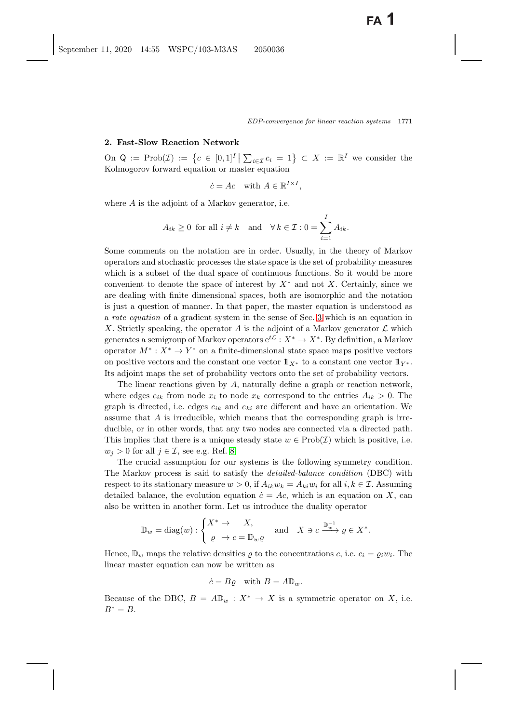### <span id="page-6-1"></span><span id="page-6-0"></span>**2. Fast-Slow Reaction Network**

On  $Q := \text{Prob}(\mathcal{I}) := \{c \in [0,1]^I \mid \sum_{i \in \mathcal{I}} c_i = 1\} \subset X := \mathbb{R}^I$  we consider the Kolmogorov forward equation or master equation

$$
\dot{c} = Ac \quad \text{with } A \in \mathbb{R}^{I \times I},
$$

where A is the adjoint of a Markov generator, i.e.

$$
A_{ik} \ge 0
$$
 for all  $i \ne k$  and  $\forall k \in \mathcal{I} : 0 = \sum_{i=1}^{I} A_{ik}$ .

Some comments on the notation are in order. Usually, in the theory of Markov operators and stochastic processes the state space is the set of probability measures which is a subset of the dual space of continuous functions. So it would be more convenient to denote the space of interest by  $X^*$  and not X. Certainly, since we are dealing with finite dimensional spaces, both are isomorphic and the notation is just a question of manner. In that paper, the master equation is understood as a *rate equation* of a gradient system in the sense of Sec. [3](#page-15-0) which is an equation in X. Strictly speaking, the operator  $A$  is the adjoint of a Markov generator  $\mathcal L$  which generates a semigroup of Markov operators  $e^{t\mathcal{L}}: X^* \to X^*$ . By definition, a Markov operator  $M^* : X^* \to Y^*$  on a finite-dimensional state space maps positive vectors on positive vectors and the constant one vector  $1\!\!1_{X^*}$  to a constant one vector  $1\!\!1_{Y^*}$ . Its adjoint maps the set of probability vectors onto the set of probability vectors.

The linear reactions given by A, naturally define a graph or reaction network, where edges  $e_{ik}$  from node  $x_i$  to node  $x_k$  correspond to the entries  $A_{ik} > 0$ . The graph is directed, i.e. edges  $e_{ik}$  and  $e_{ki}$  are different and have an orientation. We assume that  $A$  is irreducible, which means that the corresponding graph is irreducible, or in other words, that any two nodes are connected via a directed path. This implies that there is a unique steady state  $w \in \text{Prob}(\mathcal{I})$  which is positive, i.e.  $w_j > 0$  for all  $j \in \mathcal{I}$ , see e.g. Ref. [8.](#page-40-8)

The crucial assumption for our systems is the following symmetry condition. The Markov process is said to satisfy the *detailed-balance condition* (DBC) with respect to its stationary measure  $w > 0$ , if  $A_{ik}w_k = A_{ki}w_i$  for all  $i, k \in \mathcal{I}$ . Assuming detailed balance, the evolution equation  $\dot{c} = Ac$ , which is an equation on X, can also be written in another form. Let us introduce the duality operator

$$
\mathbb{D}_w = \text{diag}(w) : \begin{cases} X^* \to X, \\ \varrho \mapsto c = \mathbb{D}_w \varrho \end{cases} \text{ and } X \ni c \xrightarrow{\mathbb{D}_w^{-1}} \varrho \in X^*.
$$

Hence,  $\mathbb{D}_w$  maps the relative densities  $\rho$  to the concentrations c, i.e.  $c_i = \rho_i w_i$ . The linear master equation can now be written as

$$
\dot{c} = B\varrho \quad \text{with } B = A\mathbb{D}_w.
$$

Because of the DBC,  $B = A \mathbb{D}_w : X^* \to X$  is a symmetric operator on X, i.e.  $B^* = B$ .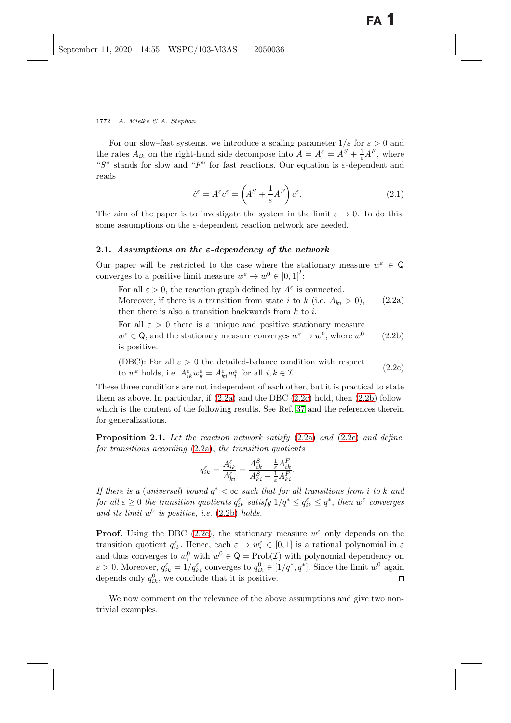For our slow–fast systems, we introduce a scaling parameter  $1/\varepsilon$  for  $\varepsilon > 0$  and the rates  $A_{ik}$  on the right-hand side decompose into  $A = A^{\varepsilon} = A^{S} + \frac{1}{\varepsilon}A^{F}$ , where<br>"S" stands for slow and "E" for fast reactions. Our equation is a dependent and "S" stands for slow and "F" for fast reactions. Our equation is  $\varepsilon$ -dependent and reads

<span id="page-7-3"></span>
$$
\dot{c}^{\varepsilon} = A^{\varepsilon} c^{\varepsilon} = \left( A^S + \frac{1}{\varepsilon} A^F \right) c^{\varepsilon}.
$$
\n(2.1)

The aim of the paper is to investigate the system in the limit  $\varepsilon \to 0$ . To do this, some assumptions on the  $\varepsilon$ -dependent reaction network are needed.

### **2.1.** *Assumptions on the ε-dependency of the network*

Our paper will be restricted to the case where the stationary measure  $w^{\varepsilon} \in \mathbb{Q}$ converges to a positive limit measure  $w^{\varepsilon} \to w^0 \in [0,1]^I$ .

For all  $\varepsilon > 0$ , the reaction graph defined by  $A^{\varepsilon}$  is connected.

<span id="page-7-1"></span><span id="page-7-0"></span>Moreover, if there is a transition from state i to k (i.e.  $A_{ki} > 0$ ), then there is also a transition backwards from  $k$  to  $i$ . (2.2a)

For all  $\varepsilon > 0$  there is a unique and positive stationary measure  $w^{\varepsilon} \in \mathsf{Q}$ , and the stationary measure converges  $w^{\varepsilon} \to w^0$ , where  $w^0$ is positive. (2.2b)

(DBC): For all  $\varepsilon > 0$  the detailed-balance condition with respect (2.2c) to the district state condition with respect  $(w^{\varepsilon})$  holds, i.e.  $A^{\varepsilon}_{ik}w^{\varepsilon}_k = A^{\varepsilon}_{ki}w^{\varepsilon}_i$  for all  $i, k \in \mathcal{I}$ . (2.2c)

These three conditions are not independent of each other, but it is practical to state them as above. In particular, if  $(2.2a)$  and the DBC  $(2.2c)$  hold, then  $(2.2b)$  follow, which is the content of the following results. See Ref. [37](#page-42-6) and the references therein for generalizations.

<span id="page-7-2"></span>**Proposition 2.1.** *Let the reaction network satisfy* [\(2.2a\)](#page-7-0) *and* [\(2.2c\)](#page-7-0) *and define*, *for transitions according* [\(2.2a\)](#page-7-0), *the transition quotients*

$$
q_{ik}^{\varepsilon} = \frac{A_{ik}^{\varepsilon}}{A_{ki}^{\varepsilon}} = \frac{A_{ik}^S + \frac{1}{\varepsilon}A_{ik}^F}{A_{ki}^S + \frac{1}{\varepsilon}A_{ki}^F}.
$$

*If there is a* (*universal*) *bound* <sup>q</sup><sup>∗</sup> < <sup>∞</sup> *such that for all transitions from* i *to* k *and for all*  $\varepsilon \geq 0$  *the transition quotients*  $q_{ik}^{\varepsilon}$  *satisfy*  $1/q^* \leq q_{ik}^{\varepsilon} \leq q^*$ , *then*  $w^{\varepsilon}$  *converges* and *its limit*  $w^0$  *is positive i.e.* (2.2b) holds and its limit  $w^0$  is positive, *i.e.* [\(2.2b\)](#page-7-0) *holds.* 

**Proof.** Using the DBC [\(2.2c\)](#page-7-0), the stationary measure  $w^{\varepsilon}$  only depends on the transition quotient  $q_{ik}^{\varepsilon}$ . Hence, each  $\varepsilon \mapsto w_i^{\varepsilon} \in [0,1]$  is a rational polynomial in  $\varepsilon$ <br>and thus converges to  $w_0^0$  with  $w_0^0 \in \mathbb{Q} - \text{Prob}(\mathcal{I})$  with polynomial dependency on and thus converges to  $w_i^0$  with  $w^0 \in \mathsf{Q} = \text{Prob}(\mathcal{I})$  with polynomial dependency on  $\epsilon > 0$ . Moreover,  $\epsilon \epsilon = 1/\epsilon \epsilon$  converges to  $\epsilon^0 \in [1/\epsilon^* \epsilon^*]$ . Since the limit  $w_0^0$  again  $\varepsilon > 0$ . Moreover,  $q_{ik}^{\varepsilon} = 1/q_{ki}^{\varepsilon}$  converges to  $q_{ik}^0 \in [1/q^*, q^*]$ . Since the limit  $w^0$  again depends only  $e^0$ , we conclude that it is positive depends only  $q_{ik}^0$ , we conclude that it is positive.

We now comment on the relevance of the above assumptions and give two nontrivial examples.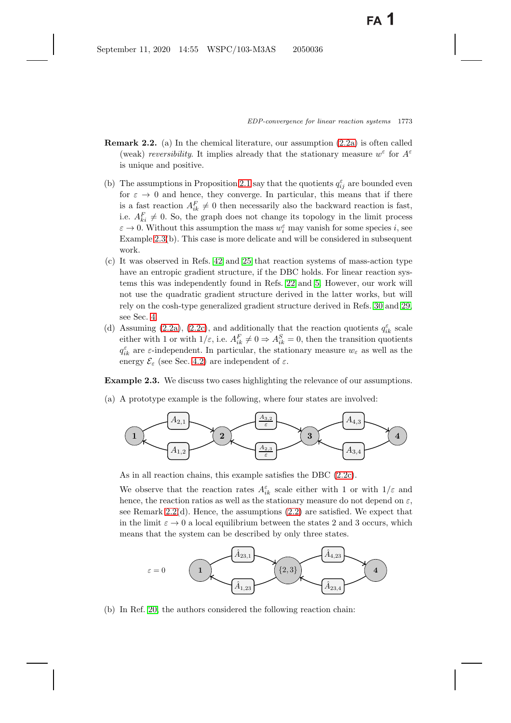- <span id="page-8-1"></span>**Remark 2.2.** (a) In the chemical literature, our assumption [\(2.2a\)](#page-7-1) is often called (weak) *reversibility*. It implies already that the stationary measure  $w^{\varepsilon}$  for  $A^{\varepsilon}$ is unique and positive.
- (b) The assumptions in Proposition [2.1](#page-7-2) say that the quotients  $q_{ij}^{\varepsilon}$  are bounded even<br>for  $\varepsilon \to 0$  and bongs that converge In particular, this moons that if there for  $\varepsilon \to 0$  and hence, they converge. In particular, this means that if there is a fast reaction  $A_{ik}^F \neq 0$  then necessarily also the backward reaction is fast, i.e.  $A_{ki}^F \neq 0$ . So, the graph does not change its topology in the limit process  $\varepsilon \to 0$ . Without this assumption the mass  $w^{\varepsilon}$  may vanish for some species is see  $\varepsilon \to 0$ . Without this assumption the mass  $w_i^{\varepsilon}$  may vanish for some species i, see<br>Example 2.3(b). This case is more delicate and will be considered in subsequent Example [2.3\(](#page-8-0)b). This case is more delicate and will be considered in subsequent work.
- (c) It was observed in Refs. [42](#page-42-3) and [25](#page-41-21) that reaction systems of mass-action type have an entropic gradient structure, if the DBC holds. For linear reaction systems this was independently found in Refs. [22](#page-41-5) and [5.](#page-40-6) However, our work will not use the quadratic gradient structure derived in the latter works, but will rely on the cosh-type generalized gradient structure derived in Refs. [30](#page-41-7) and [29,](#page-41-8) see Sec. [4.](#page-19-1)
- (d) Assuming [\(2.2a\)](#page-7-1), [\(2.2c\)](#page-7-1), and additionally that the reaction quotients  $q_{ik}^{\varepsilon}$  scale<br>oither with  $1 \text{ or with } 1/\varepsilon$  i.e.  $A^F \neq 0 \Rightarrow A^S = 0$ , then the transition quotients either with 1 or with  $1/\varepsilon$ , i.e.  $A_{ik}^F \neq 0 \Rightarrow A_{ik}^S = 0$ , then the transition quotients  $q_{\epsilon k}^{\varepsilon}$  are  $\varepsilon$ -independent. In particular, the stationary measure  $w_{\varepsilon}$  as well as the energy  $\varepsilon$  (see Sec. 4.2) are independent of  $\varepsilon$ energy  $\mathcal{E}_{\varepsilon}$  (see Sec. [4.2\)](#page-20-0) are independent of  $\varepsilon$ .

<span id="page-8-0"></span>**Example 2.3.** We discuss two cases highlighting the relevance of our assumptions.

(a) A prototype example is the following, where four states are involved:



As in all reaction chains, this example satisfies the DBC [\(2.2c\)](#page-7-1).

We observe that the reaction rates  $A_{ik}^{\varepsilon}$  scale either with 1 or with  $1/\varepsilon$  and hence the reaction ratios as well as the stationary measure do not depend on  $\varepsilon$ hence, the reaction ratios as well as the stationary measure do not depend on  $\varepsilon$ , see Remark  $2.2(d)$ . Hence, the assumptions  $(2.2)$  are satisfied. We expect that in the limit  $\varepsilon \to 0$  a local equilibrium between the states 2 and 3 occurs, which means that the system can be described by only three states.



(b) In Ref. [20,](#page-41-10) the authors considered the following reaction chain: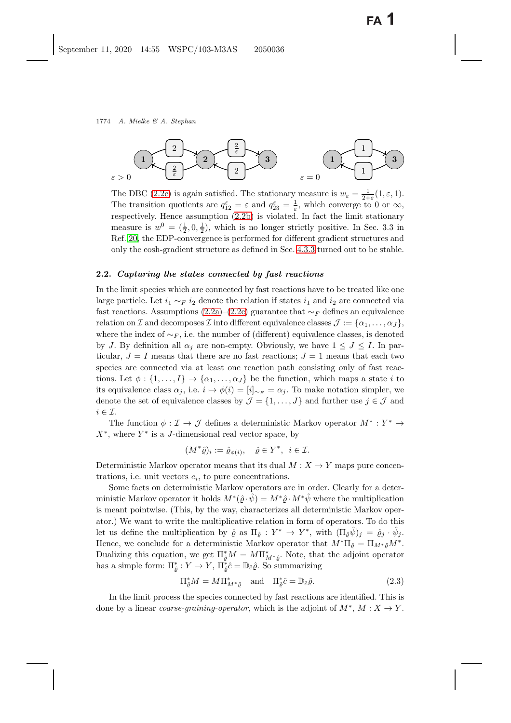

The DBC [\(2.2c\)](#page-7-0) is again satisfied. The stationary measure is  $w_{\varepsilon} = \frac{1}{2+\varepsilon}(1,\varepsilon,1)$ .<br>The transition quotients are  $\sigma^{\varepsilon} = \varepsilon$  and  $\sigma^{\varepsilon} = \frac{1}{2}$  which converge to 0 or  $\infty$ . The transition quotients are  $q_{12}^{\varepsilon} = \varepsilon$  and  $q_{23}^{\varepsilon} = \frac{1}{\varepsilon}$ , which converge to 0 or  $\infty$ , respectively. Hence assumption (2.2b) is violated. In fact, the limit stationary respectively. Hence assumption [\(2.2b\)](#page-7-0) is violated. In fact the limit stationary measure is  $w^0 = (\frac{1}{2}, 0, \frac{1}{2})$ , which is no longer strictly positive. In Sec. 3.3 in<br>Ref. 20, the EDP convergence is performed for different credient structures and Ref. [20,](#page-41-16) the EDP-convergence is performed for different gradient structures and only the cosh-gradient structure as defined in Sec. [4.3.3](#page-22-1) turned out to be stable.

#### **2.2.** *Capturing the states connected by fast reactions*

In the limit species which are connected by fast reactions have to be treated like one large particle. Let  $i_1 \sim_F i_2$  denote the relation if states  $i_1$  and  $i_2$  are connected via fast reactions. Assumptions [\(2.2a\)](#page-7-0)–[\(2.2c\)](#page-7-0) guarantee that  $\sim_F$  defines an equivalence relation on I and decomposes I into different equivalence classes  $\mathcal{J} := {\alpha_1, \ldots, \alpha_J}$ , where the index of  $\sim_F$ , i.e. the number of (different) equivalence classes, is denoted by J. By definition all  $\alpha_j$  are non-empty. Obviously, we have  $1 \leq J \leq I$ . In particular,  $J = I$  means that there are no fast reactions;  $J = 1$  means that each two species are connected via at least one reaction path consisting only of fast reactions. Let  $\phi : \{1,\ldots,I\} \to \{\alpha_1,\ldots,\alpha_J\}$  be the function, which maps a state i to its equivalence class  $\alpha_j$ , i.e.  $i \mapsto \phi(i)=[i]_{\sim_F} = \alpha_j$ . To make notation simpler, we denote the set of equivalence classes by  $\mathcal{J} = \{1, \ldots, J\}$  and further use  $j \in \mathcal{J}$  and  $i \in \mathcal{I}.$ 

The function  $\phi : \mathcal{I} \to \mathcal{J}$  defines a deterministic Markov operator  $M^* : Y^* \to Y$  $X^*$ , where  $Y^*$  is a J-dimensional real vector space, by

$$
(M^*\hat{\varrho})_i := \hat{\varrho}_{\phi(i)}, \quad \hat{\varrho} \in Y^*, \ i \in \mathcal{I}.
$$

Deterministic Markov operator means that its dual  $M : X \to Y$  maps pure concentrations, i.e. unit vectors  $e_i$ , to pure concentrations.

Some facts on deterministic Markov operators are in order. Clearly for a deterministic Markov operator it holds  $M^*(\hat{\varrho} \cdot \hat{\psi}) = M^* \hat{\varrho} \cdot M^* \hat{\psi}$  where the multiplication is meant pointwise. (This, by the way, characterizes all deterministic Markov operator.) We want to write the multiplicative relation in form of operators. To do this let us define the multiplication by  $\hat{\varrho}$  as  $\Pi_{\hat{\varrho}} : Y^* \to Y^*$ , with  $(\Pi_{\hat{\varrho}}\hat{\psi})_j = \hat{\varrho}_j \cdot \hat{\psi}_j$ . Hence, we conclude for a deterministic Markov operator that  $M^* \Pi_{\hat{\rho}} = \Pi_{M^* \hat{\rho}} M^*$ . Dualizing this equation, we get  $\Pi_{\ell}^* M = M \Pi_{M^* \hat{\ell}}^*$ . Note, that the adjoint operator has a simple form:  $\Pi^* : V \to V \Pi^* \hat{\ell} = \mathbb{R} \hat{\ell}$ . So summarizing has a simple form:  $\Pi_{\hat{\varrho}}^* : Y \to Y$ ,  $\Pi_{\hat{\varrho}}^* \hat{c} = \mathbb{D}_{\hat{c}} \hat{\varrho}$ . So summarizing

<span id="page-9-0"></span>
$$
\Pi_{\hat{\varrho}}^* M = M \Pi_{M^*\hat{\varrho}}^* \quad \text{and} \quad \Pi_{\hat{\varrho}}^* \hat{c} = \mathbb{D}_{\hat{c}} \hat{\varrho}.
$$
 (2.3)

In the limit process the species connected by fast reactions are identified. This is done by a linear *coarse-graining-operator*, which is the adjoint of  $M^*, M : X \to Y$ .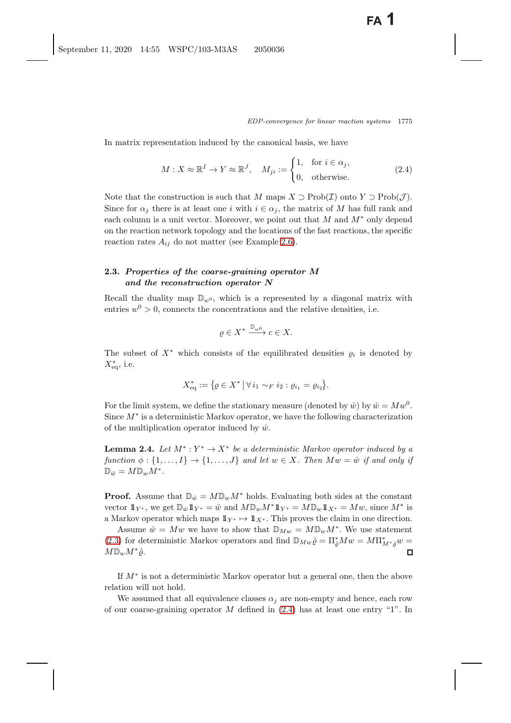In matrix representation induced by the canonical basis, we have

<span id="page-10-0"></span>
$$
M: X \approx \mathbb{R}^I \to Y \approx \mathbb{R}^J, \quad M_{ji} := \begin{cases} 1, & \text{for } i \in \alpha_j, \\ 0, & \text{otherwise.} \end{cases} \tag{2.4}
$$

Note that the construction is such that M maps  $X \supset \mathrm{Prob}(\mathcal{I})$  onto  $Y \supset \mathrm{Prob}(\mathcal{J})$ . Since for  $\alpha_i$  there is at least one i with  $i \in \alpha_i$ , the matrix of M has full rank and each column is a unit vector. Moreover, we point out that  $M$  and  $M^*$  only depend on the reaction network topology and the locations of the fast reactions, the specific reaction rates  $A_{ij}$  do not matter (see Example [2.6\)](#page-12-1).

# <span id="page-10-2"></span>**2.3.** *Properties of the coarse-graining operator M and the reconstruction operator N*

Recall the duality map  $\mathbb{D}_{w^0}$ , which is a represented by a diagonal matrix with entries  $w^0 > 0$ , connects the concentrations and the relative densities, i.e.

$$
\varrho \in X^* \xrightarrow{\mathbb{D}_{w^0}} c \in X.
$$

The subset of  $X^*$  which consists of the equilibrated densities  $\rho_i$  is denoted by  $X_{\text{eq}}^*$ , i.e.

$$
X_{\text{eq}}^* := \{ \varrho \in X^* \, \big| \, \forall \, i_1 \sim_F i_2 : \varrho_{i_1} = \varrho_{i_2} \}.
$$

For the limit system, we define the stationary measure (denoted by  $\hat{w}$ ) by  $\hat{w} = Mw^0$ . Since  $M^*$  is a deterministic Markov operator, we have the following characterization of the multiplication operator induced by  $\hat{w}$ .

<span id="page-10-1"></span>**Lemma 2.4.** *Let*  $M^*$  :  $Y^* \to X^*$  *be a deterministic Markov operator induced by a function*  $\phi : \{1, \ldots, I\} \rightarrow \{1, \ldots, J\}$  *and let*  $w \in X$ *. Then*  $Mw = \hat{w}$  *if and only if*  $\mathbb{D}_{\hat{w}} = M \mathbb{D}_w M^*$ .

**Proof.** Assume that  $\mathbb{D}_{\hat{w}} = M \mathbb{D}_w M^*$  holds. Evaluating both sides at the constant vector  $1\!\!1_{Y^*}$ , we get  $\mathbb{D}_{\hat{w}}1\!\!1_{Y^*} = \hat{w}$  and  $M\mathbb{D}_wM^*\!1_{Y^*} = M\mathbb{D}_w1\!\!1_{X^*} = Mw$ , since  $M^*$  is a Markov operator which maps  $1\!\!1_{Y^*} \mapsto 1\!\!1_{X^*}$ . This proves the claim in one direction.

Assume  $\hat{w} = Mw$  we have to show that  $\mathbb{D}_{Mw} = M\mathbb{D}_w M^*$ . We use statement [\(2.3\)](#page-9-0) for deterministic Markov operators and find  $\mathbb{D}_{M w} \hat{\varrho} = \Pi_{\hat{\varrho}}^* M w = M \Pi_{M^* \hat{\varrho}}^* w = M \Pi_{M^* \hat{\varrho}}^* w$  $M\mathbb{D}_wM^*\hat{\rho}.$ 

If M<sup>∗</sup> is not a deterministic Markov operator but a general one, then the above relation will not hold.

We assumed that all equivalence classes  $\alpha_j$  are non-empty and hence, each row of our coarse-graining operator  $M$  defined in  $(2.4)$  has at least one entry "1". In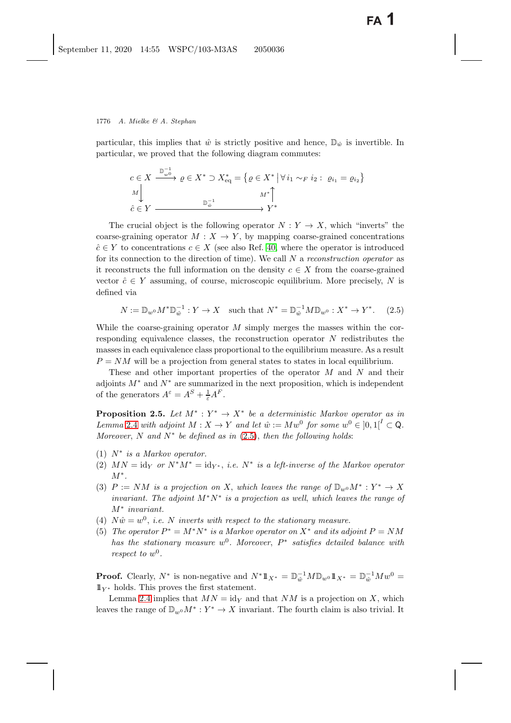particular, this implies that  $\hat{w}$  is strictly positive and hence,  $\mathbb{D}_{\hat{w}}$  is invertible. In particular, we proved that the following diagram commutes:

$$
c \in X \xrightarrow{\mathbb{D}_{w}^{-1}} \varrho \in X^* \supset X_{eq}^* = \{ \varrho \in X^* \mid \forall i_1 \sim_F i_2 : \varrho_{i_1} = \varrho_{i_2} \}
$$
  
\n
$$
\downarrow \qquad \qquad M^* \uparrow
$$
  
\n
$$
\hat{c} \in Y \xrightarrow{\mathbb{D}_{w}^{-1}} Y^*
$$

The crucial object is the following operator  $N: Y \to X$ , which "inverts" the coarse-graining operator  $M : X \to Y$ , by mapping coarse-grained concentrations  $\hat{c} \in Y$  to concentrations  $c \in X$  (see also Ref. [40,](#page-42-7) where the operator is introduced for its connection to the direction of time). We call N <sup>a</sup> *reconstruction operator* as it reconstructs the full information on the density  $c \in X$  from the coarse-grained vector  $\hat{c} \in Y$  assuming, of course, microscopic equilibrium. More precisely, N is defined via

<span id="page-11-0"></span>
$$
N := \mathbb{D}_{w^0} M^* \mathbb{D}_{\hat{w}}^{-1} : Y \to X \quad \text{such that } N^* = \mathbb{D}_{\hat{w}}^{-1} M \mathbb{D}_{w^0} : X^* \to Y^*.
$$
 (2.5)

While the coarse-graining operator  $M$  simply merges the masses within the corresponding equivalence classes, the reconstruction operator N redistributes the masses in each equivalence class proportional to the equilibrium measure. As a result  $P = NM$  will be a projection from general states to states in local equilibrium.

These and other important properties of the operator  $M$  and  $N$  and their adjoints  $M^*$  and  $N^*$  are summarized in the next proposition, which is independent of the generators  $A^{\varepsilon} = A^S + \frac{1}{\varepsilon}A^F$ .

<span id="page-11-1"></span>**Proposition 2.5.** *Let*  $M^* : Y^* \to X^*$  *be a deterministic Markov operator as in Lemma* [2.4](#page-10-1) *with adjoint*  $M: X \to Y$  *and let*  $\hat{w} := Mw^0$  *for some*  $w^0 \in [0,1]^I \subset \mathbb{Q}$ *. Moreover*, N *and* N<sup>∗</sup> *be defined as in* [\(2.5\)](#page-11-0), *then the following holds*:

- (1) N<sup>∗</sup> *is a Markov operator.*
- (2)  $MN = id_Y$  *or*  $N^*M^* = id_{Y^*}$ , *i.e.*  $N^*$  *is a left-inverse of the Markov operator* M<sup>∗</sup>*.*
- (3)  $P := NM$  *is a projection on* X, *which leaves the range of*  $\mathbb{D}_{w0}M^* : Y^* \to X$ *invariant. The adjoint* M<sup>∗</sup>N<sup>∗</sup> *is a projection as well*, *which leaves the range of* M<sup>∗</sup> *invariant.*
- (4)  $N\hat{w} = w^0$ , *i.e.* N *inverts with respect to the stationary measure.*
- (5) *The operator*  $P^* = M^*N^*$  *is a Markov operator on*  $X^*$  *and its adjoint*  $P = NM$ *has the stationary measure*  $w^0$ *. Moreover*,  $P^*$  *satisfies detailed balance with respect to*  $w^0$ *.*

**Proof.** Clearly,  $N^*$  is non-negative and  $N^*1\!\!1_{X^*} = \mathbb{D}_{\hat{w}}^{-1}M\mathbb{D}_{w^0}1\!\!1_{X^*} = \mathbb{D}_{\hat{w}}^{-1}Mw^0 =$ <br> $\mathbb{D}_{\hat{w}}$  holds. This proves the first statement  $1\!\!1_{Y^*}$  holds. This proves the first statement.

Lemma [2.4](#page-10-1) implies that  $MN = id_Y$  and that NM is a projection on X, which leaves the range of  $\mathbb{D}_{w^0}M^* : Y^* \to X$  invariant. The fourth claim is also trivial. It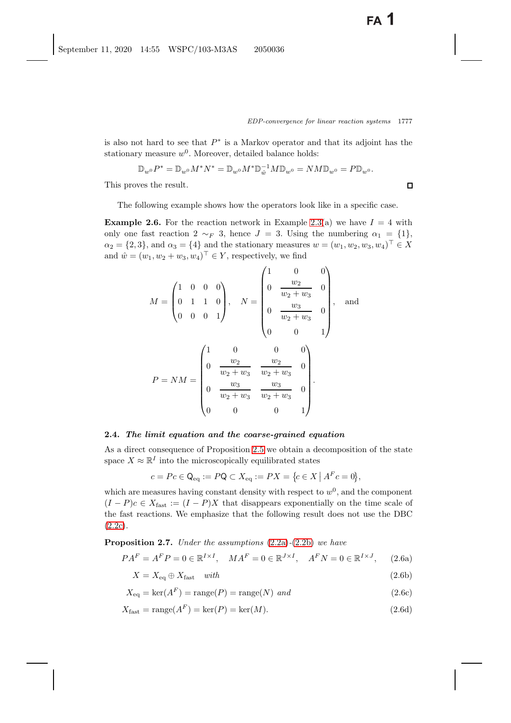$\Box$ 

is also not hard to see that  $P^*$  is a Markov operator and that its adjoint has the stationary measure  $w^0$ . Moreover, detailed balance holds:

$$
\mathbb{D}_{w^{0}}P^{*} = \mathbb{D}_{w^{0}}M^{*}N^{*} = \mathbb{D}_{w^{0}}M^{*}\mathbb{D}_{\hat{w}}^{-1}M\mathbb{D}_{w^{0}} = NM\mathbb{D}_{w^{0}} = P\mathbb{D}_{w^{0}}.
$$

This proves the result.

<span id="page-12-1"></span>The following example shows how the operators look like in a specific case.

**Example 2.6.** For the reaction network in Example [2.3\(](#page-8-0)a) we have  $I = 4$  with only one fast reaction 2  $\sim_F 3$ , hence  $J = 3$ . Using the numbering  $\alpha_1 = \{1\}$ ,  $\alpha_2 = \{2, 3\}$ , and  $\alpha_3 = \{4\}$  and the stationary measures  $w = (w_1, w_2, w_3, w_4)^\top \in X$ and  $\hat{w} = (w_1, w_2 + w_3, w_4)^\top \in Y$ , respectively, we find

$$
M = \begin{pmatrix} 1 & 0 & 0 & 0 \\ 0 & 1 & 1 & 0 \\ 0 & 0 & 0 & 1 \end{pmatrix}, \quad N = \begin{pmatrix} 1 & 0 & 0 \\ 0 & \frac{w_2}{w_2 + w_3} & 0 \\ 0 & \frac{w_3}{w_2 + w_3} & 0 \\ 0 & 0 & 1 \end{pmatrix}, \quad \text{and}
$$

$$
P = NM = \begin{pmatrix} 1 & 0 & 0 & 0 \\ 0 & \frac{w_2}{w_2 + w_3} & \frac{w_2}{w_2 + w_3} & 0 \\ 0 & \frac{w_3}{w_2 + w_3} & \frac{w_3}{w_2 + w_3} & 0 \\ 0 & 0 & 0 & 1 \end{pmatrix}.
$$

### <span id="page-12-0"></span>**2.4.** *The limit equation and the coarse-grained equation*

As a direct consequence of Proposition [2.5](#page-11-1) we obtain a decomposition of the state space  $X \approx \mathbb{R}^I$  into the microscopically equilibrated states

<span id="page-12-3"></span>
$$
c = Pc \in \mathsf{Q}_{\text{eq}} := P\mathsf{Q} \subset X_{\text{eq}} := PX = \{c \in X \mid A^F c = 0\},\
$$

which are measures having constant density with respect to  $w<sup>0</sup>$ , and the component  $(I - P)c \in X_{\text{fast}} := (I - P)X$  that disappears exponentially on the time scale of the fast reactions. We emphasize that the following result does not use the DBC  $(2.2c).$  $(2.2c).$ 

**Proposition 2.7.** *Under the assumptions* [\(2.2a\)](#page-7-1)*-*[\(2.2b\)](#page-7-1) *we have*

<span id="page-12-2"></span>
$$
PA^{F} = A^{F}P = 0 \in \mathbb{R}^{I \times I}, \quad MA^{F} = 0 \in \mathbb{R}^{J \times I}, \quad A^{F}N = 0 \in \mathbb{R}^{I \times J}, \quad (2.6a)
$$

$$
X = X_{\text{eq}} \oplus X_{\text{fast}} \quad \text{with} \tag{2.6b}
$$

$$
X_{\text{eq}} = \text{ker}(A^F) = \text{range}(P) = \text{range}(N) \text{ and}
$$
\n
$$
(2.6c)
$$

$$
X_{\text{fast}} = \text{range}(A^F) = \text{ker}(P) = \text{ker}(M). \tag{2.6d}
$$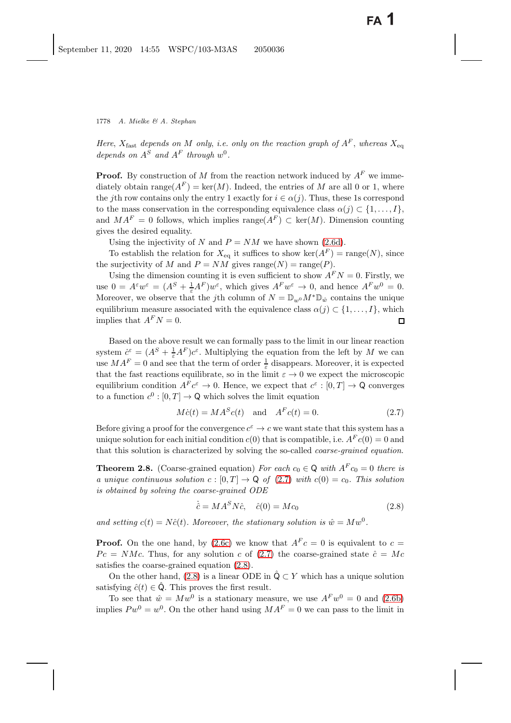*Here*,  $X_{\text{fast}}$  *depends on* M *only*, *i.e. only on the reaction graph of*  $A^F$ , *whereas*  $X_{\text{eq}}$ *depends on*  $A^S$  *and*  $A^F$  *through*  $w^0$ *.* 

**Proof.** By construction of M from the reaction network induced by  $A^F$  we immediately obtain range( $A^F$ ) = ker(M). Indeed, the entries of M are all 0 or 1, where the jth row contains only the entry 1 exactly for  $i \in \alpha(j)$ . Thus, these 1s correspond to the mass conservation in the corresponding equivalence class  $\alpha(j) \subset \{1,\ldots,I\}$ , and  $MA<sup>F</sup> = 0$  follows, which implies range $(A<sup>F</sup>) \subset \text{ker}(M)$ . Dimension counting gives the desired equality.

Using the injectivity of N and  $P = NM$  we have shown [\(2.6d\)](#page-12-2).

To establish the relation for  $X_{eq}$  it suffices to show ker( $A^F$ ) = range(N), since the surjectivity of M and  $P = NM$  gives range $(N) = \text{range}(P)$ .

Using the dimension counting it is even sufficient to show  $A^FN = 0$ . Firstly, we use  $0 = A^{\varepsilon} w^{\varepsilon} = (A^{S} + \frac{1}{\varepsilon} A^{F}) w^{\varepsilon}$ , which gives  $A^{F} w^{\varepsilon} \to 0$ , and hence  $A^{F} w^{0} = 0$ .<br>Moreover we observe that the *i*th column of  $N = \mathbb{D} \circ M^{*} \mathbb{D}$ , contains the unique Moreover, we observe that the j<sup>th</sup> column of  $N = \mathbb{D}_{w^0} M^* \mathbb{D}_{\hat{w}}$  contains the unique equilibrium measure associated with the equivalence class  $\alpha(j) \subset \{1, ..., I\}$ , which implies that  $A^F N = 0$ . implies that  $A^FN = 0$ .

Based on the above result we can formally pass to the limit in our linear reaction system  $\dot{c}^{\varepsilon} = (A^{S} + \frac{1}{\varepsilon}A^{F})c^{\varepsilon}$ . Multiplying the equation from the left by M we can<br>use  $MA^{F} = 0$  and see that the term of order <sup>1</sup> disappears. Moreover, it is expected use  $MA^F = 0$  and see that the term of order  $\frac{1}{\varepsilon}$  disappears. Moreover, it is expected<br>that the fast reactions equilibrate so in the limit  $\varepsilon \to 0$  we expect the microscopic that the fast reactions equilibrate, so in the limit  $\varepsilon \to 0$  we expect the microscopic equilibrium condition  $A^F c^{\varepsilon} \to 0$ . Hence, we expect that  $c^{\varepsilon} : [0, T] \to \mathbb{Q}$  converges to a function  $c^0$ :  $[0, T] \rightarrow \mathbb{Q}$  which solves the limit equation

<span id="page-13-3"></span><span id="page-13-0"></span>
$$
M\dot{c}(t) = MA^S c(t) \quad \text{and} \quad A^F c(t) = 0. \tag{2.7}
$$

Before giving a proof for the convergence  $c^{\varepsilon} \to c$  we want state that this system has a unique solution for each initial condition  $c(0)$  that is compatible, i.e.  $A<sup>F</sup>c(0) = 0$  and that this solution is characterized by solving the so-called *coarse-grained equation*.

**Theorem 2.8.** (Coarse-grained equation) *For each*  $c_0 \in \mathbb{Q}$  *with*  $A^F c_0 = 0$  *there is a unique continuous solution*  $c : [0, T] \rightarrow \mathbb{Q}$  of [\(2.7\)](#page-13-0) with  $c(0) = c_0$ . This solution *is obtained by solving the coarse-grained ODE*

<span id="page-13-2"></span><span id="page-13-1"></span>
$$
\dot{\hat{c}} = M A^S N \hat{c}, \quad \hat{c}(0) = M c_0 \tag{2.8}
$$

and setting  $c(t) = N\hat{c}(t)$ . Moreover, the stationary solution is  $\hat{w} = Mw^0$ .

**Proof.** On the one hand, by [\(2.6c\)](#page-12-2) we know that  $A^F c = 0$  is equivalent to  $c =$  $P_c = NMc$ . Thus, for any solution c of [\(2.7\)](#page-13-0) the coarse-grained state  $\hat{c} = Mc$ satisfies the coarse-grained equation [\(2.8\)](#page-13-1).

On the other hand, [\(2.8\)](#page-13-1) is a linear ODE in  $\hat{Q} \subset Y$  which has a unique solution satisfying  $\hat{c}(t) \in \hat{Q}$ . This proves the first result.

To see that  $\hat{w} = Mw^0$  is a stationary measure, we use  $A^F w^0 = 0$  and [\(2.6b\)](#page-12-2) implies  $P w^0 = w^0$ . On the other hand using  $M A^F = 0$  we can pass to the limit in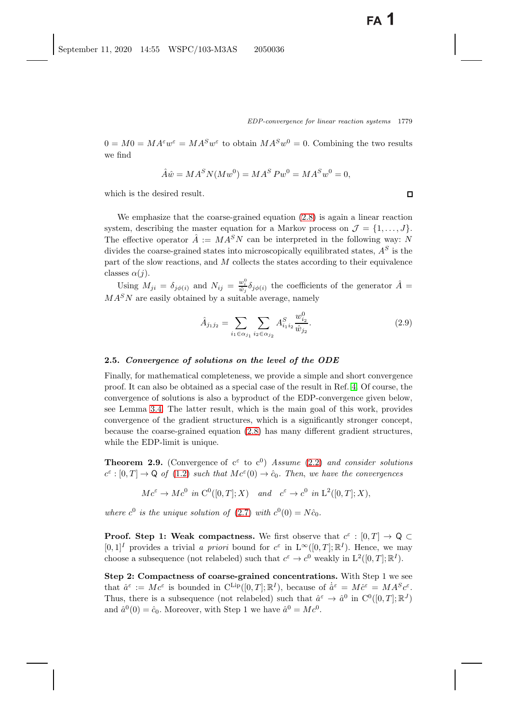$0 = M0 = MA^{\varepsilon}w^{\varepsilon} = MA^Sw^{\varepsilon}$  to obtain  $MA^Sw^0 = 0$ . Combining the two results we find

$$
\hat{A}\hat{w} = M A^S N (M w^0) = M A^S P w^0 = M A^S w^0 = 0,
$$

which is the desired result.

We emphasize that the coarse-grained equation [\(2.8\)](#page-13-2) is again a linear reaction system, describing the master equation for a Markov process on  $\mathcal{J} = \{1, \ldots, J\}$ . The effective operator  $\hat{A} := M A^S N$  can be interpreted in the following way: N divides the coarse-grained states into microscopically equilibrated states,  $A<sup>S</sup>$  is the part of the slow reactions, and  $M$  collects the states according to their equivalence classes  $\alpha(j)$ .

Using  $M_{ji} = \delta_{j\phi(i)}$  and  $N_{ij} = \frac{w_i^0}{\hat{w}_j} \delta_{j\phi(i)}$  the coefficients of the generator  $\hat{A} = \frac{dS}{dt} M_{ji}$  $MA<sup>S</sup>N$  are easily obtained by a suitable average, namely

<span id="page-14-1"></span>
$$
\hat{A}_{j_1 j_2} = \sum_{i_1 \in \alpha_{j_1}} \sum_{i_2 \in \alpha_{j_2}} A^S_{i_1 i_2} \frac{w_{i_2}^0}{\hat{w}_{j_2}}.
$$
\n(2.9)

### <span id="page-14-2"></span>**2.5.** *Convergence of solutions on the level of the ODE*

Finally, for mathematical completeness, we provide a simple and short convergence proof. It can also be obtained as a special case of the result in Ref. [4.](#page-40-9) Of course, the convergence of solutions is also a byproduct of the EDP-convergence given below, see Lemma [3.4.](#page-19-0) The latter result, which is the main goal of this work, provides convergence of the gradient structures, which is a significantly stronger concept, because the coarse-grained equation [\(2.8\)](#page-13-2) has many different gradient structures, while the EDP-limit is unique.

<span id="page-14-0"></span>**Theorem 2.9.** (Convergence of  $c^{\epsilon}$  to  $c^{0}$ ) *Assume* [\(2.2\)](#page-7-3) *and consider solutions*  $c^{\varepsilon} : [0, T] \to \mathsf{Q}$  of [\(1.2\)](#page-1-1) *such that*  $Mc^{\varepsilon}(0) \to \hat{c}_0$ *. Then, we have the convergences* 

$$
Mc^{\varepsilon} \to Mc^{0} \text{ in } C^{0}([0, T]; X) \quad \text{and} \quad c^{\varepsilon} \to c^{0} \text{ in } L^{2}([0, T]; X),
$$

*where*  $c^0$  *is the unique solution of* [\(2.7\)](#page-13-3) *with*  $c^0(0) = N\hat{c}_0$ *.* 

**Proof.** Step 1: Weak compactness. We first observe that  $c^{\epsilon} : [0, T] \rightarrow \mathbb{Q} \subset \mathbb{Q}$  $[0, 1]^I$  provides a trivial *a priori* bound for  $c^{\varepsilon}$  in  $L^{\infty}([0, T]; \mathbb{R}^I)$ . Hence, we may choose a subsequence (not relabeled) such that  $c^{\varepsilon} \to c^0$  weakly in  $L^2([0,T]; \mathbb{R}^I)$ .

**Step 2: Compactness of coarse-grained concentrations.** With Step 1 we see that  $\hat{a}^{\varepsilon} := M c^{\varepsilon}$  is bounded in  $C^{\text{Lip}}([0,T]; \mathbb{R}^{I})$ , because of  $\hat{a}^{\varepsilon} = M \hat{c}^{\varepsilon} = M A^{S} c^{\varepsilon}$ .<br>Thus there is a subsequence (not relabled) such that  $\hat{a}^{\varepsilon} \to \hat{a}^{0}$  in  $C^{0}([0, T], \mathbb{R}^{J})$ . Thus, there is a subsequence (not relabeled) such that  $\hat{a}^{\varepsilon} \to \hat{a}^0$  in  $C^0([0,T]; \mathbb{R}^J)$ and  $\hat{a}^0(0) = \hat{c}_0$ . Moreover, with Step 1 we have  $\hat{a}^0 = Mc^0$ .

 $\Box$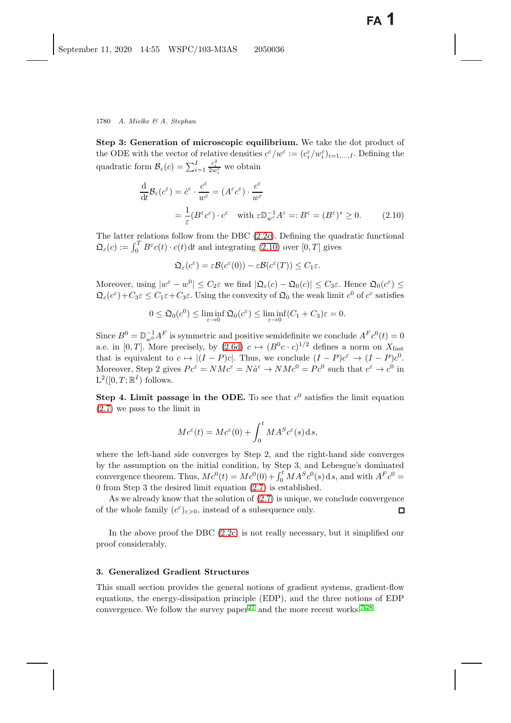**Step 3: Generation of microscopic equilibrium.** We take the dot product of the ODE with the vector of relative densities  $c^{\varepsilon}/w^{\varepsilon} := (c_i^{\varepsilon}/w_i^{\varepsilon})_{i=1,\dots,I}$ . Defining the quadratic form  $\mathcal{B}_{\varepsilon}(c) = \sum_{i=1}^{I}$  $\frac{c_i^2}{2w_i^{\varepsilon}}$  we obtain i

<span id="page-15-1"></span>
$$
\frac{\mathrm{d}}{\mathrm{d}t} \mathcal{B}_{\varepsilon}(c^{\varepsilon}) = \dot{c}^{\varepsilon} \cdot \frac{c^{\varepsilon}}{w^{\varepsilon}} = (A^{\varepsilon} c^{\varepsilon}) \cdot \frac{c^{\varepsilon}}{w^{\varepsilon}}
$$
\n
$$
= \frac{1}{\varepsilon} (B^{\varepsilon} c^{\varepsilon}) \cdot c^{\varepsilon} \quad \text{with } \varepsilon \mathbb{D}_{w^{\varepsilon}}^{-1} A^{\varepsilon} =: B^{\varepsilon} = (B^{\varepsilon})^* \ge 0. \tag{2.10}
$$

The latter relations follow from the DBC [\(2.2c\)](#page-7-0). Defining the quadratic functional  $\mathfrak{Q}_{\varepsilon}(c) := \int_0^T B^{\varepsilon} c(t) \cdot c(t) dt$  and integrating [\(2.10\)](#page-15-1) over [0, T] gives

$$
\mathfrak{Q}_{\varepsilon}(c^{\varepsilon})=\varepsilon\mathcal{B}(c^{\varepsilon}(0))-\varepsilon\mathcal{B}(c^{\varepsilon}(T))\leq C_1\varepsilon.
$$

Moreover, using  $|w^{\varepsilon} - w^0| \leq C_2 \varepsilon$  we find  $|\mathfrak{Q}_{\varepsilon}(c) - \mathfrak{Q}_{0}(c)| \leq C_3 \varepsilon$ . Hence  $\mathfrak{Q}_{0}(c^{\varepsilon}) \leq C_4 \varepsilon$  $\mathfrak{Q}_{\varepsilon}(c^{\varepsilon})+C_3\varepsilon\leq C_1\varepsilon+C_3\varepsilon.$  Using the convexity of  $\mathfrak{Q}_0$  the weak limit  $c^0$  of  $c^{\varepsilon}$  satisfies

$$
0 \leq \mathfrak{Q}_0(c^0) \leq \liminf_{\varepsilon \to 0} \mathfrak{Q}_0(c^{\varepsilon}) \leq \liminf_{\varepsilon \to 0} (C_1 + C_3)\varepsilon = 0.
$$

Since  $B^0 = \mathbb{D}_{w^0}^{-1} A^F$  is symmetric and positive semidefinite we conclude  $A^F c^0(t) = 0$ <br>2.0 in [0, T]. More procisely, by (2.6d),  $c \mapsto (B^0 c, c)^{1/2}$  defines 2 norm on  $X_c$ a.e. in [0, T]. More precisely, by [\(2.6d\)](#page-12-2)  $c \mapsto (B^0c \cdot c)^{1/2}$  defines a norm on  $X_{\text{fast}}$ that is equivalent to  $c \mapsto |(I - P)c|$ . Thus, we conclude  $(I - P)c^{\varepsilon} \to (I - P)c^{0}$ . Moreover, Step 2 gives  $Pe^{\varepsilon} = NMc^{\varepsilon} = N\hat{a}^{\varepsilon} \to NMc^0 = Pc^0$  such that  $c^{\varepsilon} \to c^0$  in  $L^2([0,T;\mathbb{R}^I)$  follows.

**Step 4. Limit passage in the ODE.** To see that  $c^0$  satisfies the limit equation [\(2.7\)](#page-13-0) we pass to the limit in

$$
Mc^{\varepsilon}(t) = Mc^{\varepsilon}(0) + \int_0^t MA^S c^{\varepsilon}(s) ds,
$$

where the left-hand side converges by Step 2, and the right-hand side converges by the assumption on the initial condition, by Step 3, and Lebesgue's dominated convergence theorem. Thus,  $Mc^0(t) = Mc^0(0) + \int_0^t MA^S c^0(s) ds$ , and with  $A^F c^0 = 0$  from Stap 3 the decired limit equation (2.7) is established 0 from Step 3 the desired limit equation [\(2.7\)](#page-13-0) is established.

As we already know that the solution of [\(2.7\)](#page-13-0) is unique, we conclude convergence of the whole family  $(c^{\varepsilon})_{\varepsilon>0}$ , instead of a subsequence only.  $\Box$ 

In the above proof the DBC [\(2.2c\)](#page-7-0) is not really necessary, but it simplified our proof considerably.

### <span id="page-15-0"></span>**3. Generalized Gradient Structures**

This small section provides the general notions of gradient systems, gradient-flow equations, the energy-dissipation principle (EDP), and the three notions of EDP convergence. We follow the survey paper<sup>[27](#page-41-3)</sup> and the more recent works.<sup>[7](#page-40-10)[,28](#page-41-22)</sup>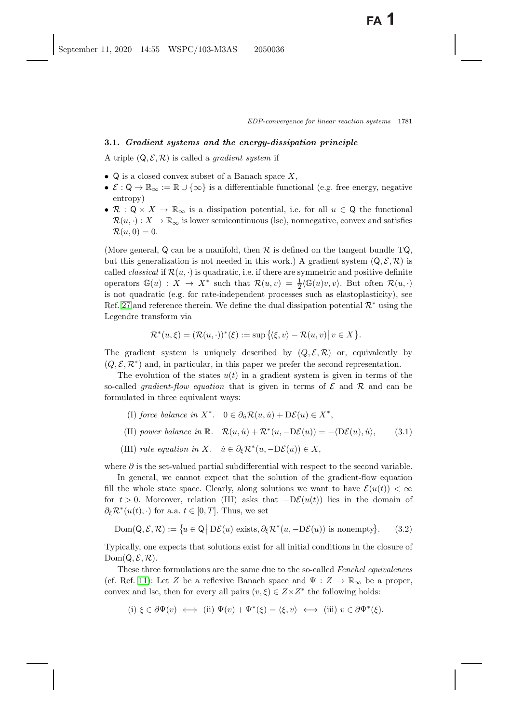### **3.1.** *Gradient systems and the energy-dissipation principle*

A triple  $(Q, \mathcal{E}, \mathcal{R})$  is called a *gradient system* if

- $\mathsf{Q}$  is a closed convex subset of a Banach space X,
- $\mathcal{E}: \mathsf{Q} \to \mathbb{R}_{\infty} := \mathbb{R} \cup \{\infty\}$  is a differentiable functional (e.g. free energy, negative entropy)
- R :  $Q \times X \to \mathbb{R}_{\infty}$  is a dissipation potential, i.e. for all  $u \in Q$  the functional  $\mathcal{R}(u, \cdot) : X \to \mathbb{R}_{\infty}$  is lower semicontinuous (lsc), nonnegative, convex and satisfies  $\mathcal{R}(u, 0) = 0.$

(More general, Q can be a manifold, then  $\mathcal R$  is defined on the tangent bundle TQ, but this generalization is not needed in this work.) A gradient system  $(Q, \mathcal{E}, \mathcal{R})$  is called *classical* if  $\mathcal{R}(u, \cdot)$  is quadratic, i.e. if there are symmetric and positive definite operators  $\mathbb{G}(u) : X \to X^*$  such that  $\mathcal{R}(u, v) = \frac{1}{2} \langle \mathbb{G}(u)v, v \rangle$ . But often  $\mathcal{R}(u, \cdot)$ <br>is not quadratic (e.g. for rate independent processes such as electorlasticity), see is not quadratic (e.g. for rate-independent processes such as elastoplasticity), see Ref. [27](#page-41-23) and reference therein. We define the dual dissipation potential  $\mathcal{R}^*$  using the Legendre transform via

$$
\mathcal{R}^*(u,\xi) = (\mathcal{R}(u,\cdot))^*(\xi) := \sup \{ \langle \xi, v \rangle - \mathcal{R}(u,v) \vert \ v \in X \}.
$$

The gradient system is uniquely described by  $(Q, \mathcal{E}, \mathcal{R})$  or, equivalently by  $(Q, \mathcal{E}, \mathcal{R}^*)$  and, in particular, in this paper we prefer the second representation.

The evolution of the states  $u(t)$  in a gradient system is given in terms of the so-called *gradient-flow equation* that is given in terms of  $\mathcal E$  and  $\mathcal R$  and can be formulated in three equivalent ways:

- <span id="page-16-0"></span>(I) *force balance in*  $X^*$ .  $0 \in \partial_u \mathcal{R}(u, \dot{u}) + D\mathcal{E}(u) \in X^*$ . (II) power balance in  $\mathbb{R}$ .  $\mathcal{R}(u, \dot{u}) + \mathcal{R}^*(u, -D\mathcal{E}(u)) = -\langle D\mathcal{E}(u), \dot{u} \rangle$ , (3.1)
- (III) *rate equation in* X.  $\dot{u} \in \partial_{\xi} \mathcal{R}^*(u, -D\mathcal{E}(u)) \in X$ ,

where  $\partial$  is the set-valued partial subdifferential with respect to the second variable.

In general, we cannot expect that the solution of the gradient-flow equation fill the whole state space. Clearly, along solutions we want to have  $\mathcal{E}(u(t)) < \infty$ for  $t > 0$ . Moreover, relation (III) asks that  $-D\mathcal{E}(u(t))$  lies in the domain of  $\partial_{\xi} \mathcal{R}^*(u(t),\cdot)$  for a.a.  $t \in [0,T]$ . Thus, we set

<span id="page-16-1"></span>
$$
Dom(Q, \mathcal{E}, \mathcal{R}) := \{ u \in Q \mid D\mathcal{E}(u) \text{ exists}, \partial_{\xi} \mathcal{R}^*(u, -D\mathcal{E}(u)) \text{ is nonempty} \}. \tag{3.2}
$$

Typically, one expects that solutions exist for all initial conditions in the closure of  $Dom(Q, \mathcal{E}, \mathcal{R}).$ 

These three formulations are the same due to the so-called *Fenchel equivalences* (cf. Ref. [11\)](#page-41-24): Let Z be a reflexive Banach space and  $\Psi : Z \to \mathbb{R}_{\infty}$  be a proper, convex and lsc, then for every all pairs  $(v, \xi) \in Z \times Z^*$  the following holds:

(i)  $\xi \in \partial \Psi(v) \iff$  (ii)  $\Psi(v) + \Psi^*(\xi) = \langle \xi, v \rangle \iff$  (iii)  $v \in \partial \Psi^*(\xi)$ .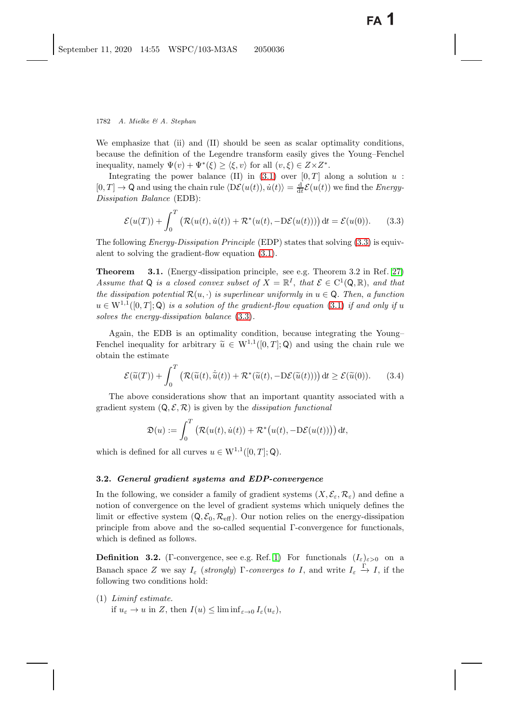We emphasize that (ii) and (II) should be seen as scalar optimality conditions, because the definition of the Legendre transform easily gives the Young–Fenchel inequality, namely  $\Psi(v) + \Psi^*(\xi) \geq \langle \xi, v \rangle$  for all  $(v, \xi) \in Z \times Z^*$ .<br>Integrating the power belance (II) in (3.1) over [0.7] at

Integrating the power balance (II) in [\(3.1\)](#page-16-0) over  $[0, T]$  along a solution u:  $[0, T] \to \mathbb{Q}$  and using the chain rule  $\langle \mathsf{D}\mathcal{E}(u(t)), \dot{u}(t) \rangle = \frac{\mathrm{d}}{\mathrm{d}t} \mathcal{E}(u(t))$  we find the *Energy-*<br>*Dissingtion Balance* (EDB) *Dissipation Balance* (EDB):

<span id="page-17-0"></span>
$$
\mathcal{E}(u(T)) + \int_0^T \left( \mathcal{R}(u(t), \dot{u}(t)) + \mathcal{R}^*(u(t), -D\mathcal{E}(u(t))) \right) dt = \mathcal{E}(u(0)). \tag{3.3}
$$

<span id="page-17-1"></span>The following *Energy-Dissipation Principle* (EDP) states that solving [\(3.3\)](#page-17-0) is equivalent to solving the gradient-flow equation [\(3.1\)](#page-16-0).

**Theorem 3.1.** (Energy*-*dissipation principle, see e.g. Theorem 3.2 in Ref. [27\)](#page-41-3) *Assume that* Q *is a closed convex subset of*  $X = \mathbb{R}^I$ , *that*  $\mathcal{E} \in C^1(\mathbb{Q}, \mathbb{R})$ *, and that the dissipation potential*  $\mathcal{R}(u, \cdot)$  *is superlinear uniformly in*  $u \in \mathsf{Q}$ *. Then, a function*  $u \in W^{1,1}([0,T];\mathbb{Q})$  *is a solution of the gradient-flow equation* [\(3.1\)](#page-16-0) *if and only if* u *solves the energy-dissipation balance* [\(3.3\)](#page-17-0)*.*

Again, the EDB is an optimality condition, because integrating the Young– Fenchel inequality for arbitrary  $\tilde{u} \in W^{1,1}([0,T];\mathbb{Q})$  and using the chain rule we obtain the estimate

<span id="page-17-2"></span>
$$
\mathcal{E}(\widetilde{u}(T)) + \int_0^T \left( \mathcal{R}(\widetilde{u}(t), \dot{\widetilde{u}}(t)) + \mathcal{R}^*(\widetilde{u}(t), -D\mathcal{E}(\widetilde{u}(t))) \right) dt \ge \mathcal{E}(\widetilde{u}(0)). \tag{3.4}
$$

The above considerations show that an important quantity associated with a gradient system  $(Q, \mathcal{E}, \mathcal{R})$  is given by the *dissipation functional* 

$$
\mathfrak{D}(u) := \int_0^T \left( \mathcal{R}(u(t), \dot{u}(t)) + \mathcal{R}^* \big( u(t), -\mathrm{D}\mathcal{E}(u(t)) \big) \right) \mathrm{d}t,
$$

which is defined for all curves  $u \in W^{1,1}([0,T];Q)$ .

### **3.2.** *General gradient systems and EDP-convergence*

In the following, we consider a family of gradient systems  $(X, \mathcal{E}_{\varepsilon}, \mathcal{R}_{\varepsilon})$  and define a notion of convergence on the level of gradient systems which uniquely defines the limit or effective system  $(Q, \mathcal{E}_0, \mathcal{R}_{\text{eff}})$ . Our notion relies on the energy-dissipation principle from above and the so-called sequential Γ-convergence for functionals, which is defined as follows.

**Definition 3.2.** (Γ-convergence, see e.g. Ref. [1\)](#page-40-11) For functionals  $(I_{\varepsilon})_{\varepsilon>0}$  on a Banach space Z we say  $I_{\varepsilon}$  (*strongly*)  $\Gamma$ -converges to I, and write  $I_{\varepsilon} \stackrel{\Gamma}{\to} I$ , if the following two conditions hold: following two conditions hold:

(1) *Liminf estimate.* if  $u_{\varepsilon} \to u$  in Z, then  $I(u) \leq \liminf_{\varepsilon \to 0} I_{\varepsilon}(u_{\varepsilon}),$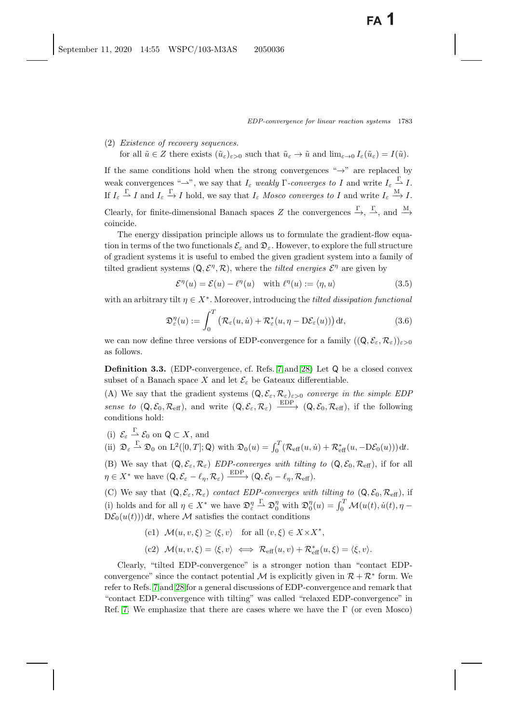(2) *Existence of recovery sequences.* for all  $\tilde{u} \in Z$  there exists  $(\tilde{u}_{\varepsilon})_{\varepsilon>0}$  such that  $\tilde{u}_{\varepsilon} \to \tilde{u}$  and  $\lim_{\varepsilon \to 0} I_{\varepsilon}(\tilde{u}_{\varepsilon}) = I(\tilde{u})$ .

If the same conditions hold when the strong convergences " $\rightarrow$ " are replaced by weak convergences " $\rightarrow$ ", we say that  $I_{\varepsilon}$  *weakly*  $\Gamma$ -*converges to* I and write  $I_{\varepsilon} \overset{\Gamma}{\rightarrow} I$ . If  $I_{\varepsilon} \stackrel{\Gamma}{\longrightarrow} I$  and  $I_{\varepsilon} \stackrel{\Gamma}{\longrightarrow} I$  hold, we say that  $I_{\varepsilon}$  *Mosco converges to* I and write  $I_{\varepsilon} \stackrel{M}{\longrightarrow} I$ .

Clearly, for finite-dimensional Banach spaces Z the convergences  $\stackrel{\Gamma}{\longrightarrow}$ ,  $\stackrel{\Gamma}{\longrightarrow}$ , and  $\stackrel{\text{M}}{\longrightarrow}$ coincide.

The energy dissipation principle allows us to formulate the gradient-flow equation in terms of the two functionals  $\mathcal{E}_{\varepsilon}$  and  $\mathfrak{D}_{\varepsilon}$ . However, to explore the full structure of gradient systems it is useful to embed the given gradient system into a family of tilted gradient systems  $(Q, \mathcal{E}^{\eta}, \mathcal{R})$ , where the *tilted energies*  $\mathcal{E}^{\eta}$  are given by

<span id="page-18-1"></span>
$$
\mathcal{E}^{\eta}(u) = \mathcal{E}(u) - \ell^{\eta}(u) \quad \text{with } \ell^{\eta}(u) := \langle \eta, u \rangle \tag{3.5}
$$

with an arbitrary tilt  $\eta \in X^*$ . Moreover, introducing the *tilted dissipation functional* 

$$
\mathfrak{D}_{\varepsilon}^{\eta}(u) := \int_0^T \left( \mathcal{R}_{\varepsilon}(u, \dot{u}) + \mathcal{R}_{\varepsilon}^*(u, \eta - \mathrm{D}\mathcal{E}_{\varepsilon}(u)) \right) \mathrm{d}t, \tag{3.6}
$$

<span id="page-18-0"></span>we can now define three versions of EDP-convergence for a family  $((\mathsf{Q}, \mathcal{E}_{\varepsilon}, \mathcal{R}_{\varepsilon}))_{\varepsilon > 0}$ as follows.

**Definition 3.3.** (EDP-convergence, cf. Refs. [7](#page-40-7) and [28\)](#page-41-13) Let Q be a closed convex subset of a Banach space X and let  $\mathcal{E}_{\varepsilon}$  be Gateaux differentiable.

(A) We say that the gradient systems  $(Q, \mathcal{E}_{\varepsilon}, \mathcal{R}_{\varepsilon})_{\varepsilon > 0}$  *converge in the simple EDP sense to*  $(Q, \mathcal{E}_0, \mathcal{R}_{\text{eff}})$ , and write  $(Q, \mathcal{E}_{\varepsilon}, \mathcal{R}_{\varepsilon}) \xrightarrow{\text{EDP}} (Q, \mathcal{E}_0, \mathcal{R}_{\text{eff}})$ , if the following conditions hold: conditions hold:

- (i)  $\mathcal{E}_{\varepsilon} \stackrel{\Gamma}{\longrightarrow} \mathcal{E}_0$  on  $\mathsf{Q} \subset X$ , and (ii)  $\mathfrak{D}_{\varepsilon} \stackrel{\Gamma}{\rightharpoonup} \mathfrak{D}_0$  on  $\mathrm{L}^2([0,T];\mathsf{Q})$  with  $\mathfrak{D}_0(u) = \int_0^T (\mathcal{R}_{\text{eff}}(u,\dot{u}) + \mathcal{R}_{\text{eff}}^*(u, -D\mathcal{E}_0(u))) dt$ .
- (B) We say that  $(Q, \mathcal{E}_{\varepsilon}, \mathcal{R}_{\varepsilon})$  *EDP-converges with tilting to*  $(Q, \mathcal{E}_{0}, \mathcal{R}_{\text{eff}})$ , if for all  $\eta \in X^*$  we have  $(Q, \mathcal{E}_{\varepsilon} - \ell_{\eta}, \mathcal{R}_{\varepsilon}) \xrightarrow{\text{EDP}} (Q, \mathcal{E}_{0} - \ell_{\eta}, \mathcal{R}_{\text{eff}}).$

(C) We say that  $(Q, \mathcal{E}_{\varepsilon}, \mathcal{R}_{\varepsilon})$  *contact EDP-converges with tilting to*  $(Q, \mathcal{E}_0, \mathcal{R}_{\text{eff}})$ , if (i) holds and for all  $\eta \in X^*$  we have  $\mathfrak{D}_{\alpha}^{\eta}$ <br>D.S.  $(u(t))$  dt where M satisfies the son  $\frac{\Gamma}{\rightarrow} \mathfrak{D}_0^{\eta}$  with  $\mathfrak{D}_0^{\eta}(u) = \int_0^T \mathcal{M}(u(t), \dot{u}(t), \eta - \eta)$  $D\mathcal{E}_0(u(t))$  dt, where M satisfies the contact conditions

\n- (c1) 
$$
\mathcal{M}(u, v, \xi) \geq \langle \xi, v \rangle
$$
 for all  $(v, \xi) \in X \times X^*$ ,
\n- (c2)  $\mathcal{M}(u, v, \xi) = \langle \xi, v \rangle \iff \mathcal{R}_{\text{eff}}(u, v) + \mathcal{R}_{\text{eff}}^*(u, \xi) = \langle \xi, v \rangle$ .
\n

Clearly, "tilted EDP-convergence" is a stronger notion than "contact EDPconvergence" since the contact potential M is explicitly given in  $\mathcal{R} + \mathcal{R}^*$  form. We refer to Refs. [7](#page-40-7) and [28](#page-41-13) for a general discussions of EDP-convergence and remark that "contact EDP-convergence with tilting" was called "relaxed EDP-convergence" in Ref. [7.](#page-40-7) We emphasize that there are cases where we have the  $\Gamma$  (or even Mosco)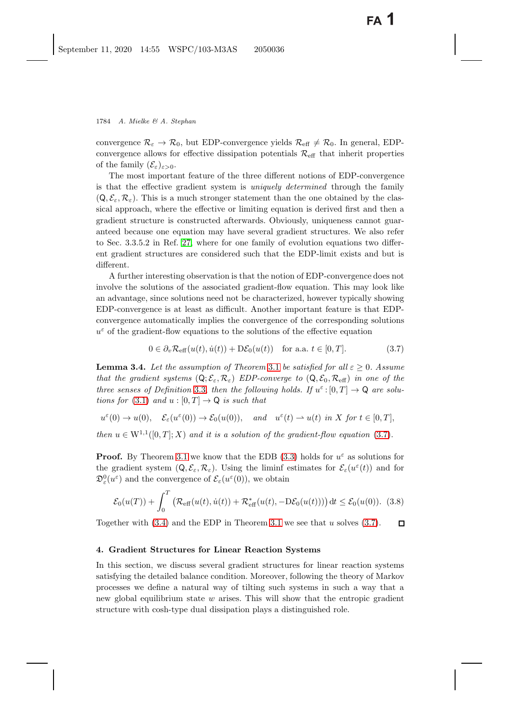convergence  $\mathcal{R}_{\varepsilon} \to \mathcal{R}_0$ , but EDP-convergence yields  $\mathcal{R}_{\text{eff}} \neq \mathcal{R}_0$ . In general, EDPconvergence allows for effective dissipation potentials  $\mathcal{R}_{\text{eff}}$  that inherit properties of the family  $(\mathcal{E}_{\varepsilon})_{\varepsilon>0}$ .

The most important feature of the three different notions of EDP-convergence is that the effective gradient system is *uniquely determined* through the family  $(Q, \mathcal{E}_{\varepsilon}, \mathcal{R}_{\varepsilon})$ . This is a much stronger statement than the one obtained by the classical approach, where the effective or limiting equation is derived first and then a gradient structure is constructed afterwards. Obviously, uniqueness cannot guaranteed because one equation may have several gradient structures. We also refer to Sec. 3.3.5.2 in Ref. [27,](#page-41-3) where for one family of evolution equations two different gradient structures are considered such that the EDP-limit exists and but is different.

A further interesting observation is that the notion of EDP-convergence does not involve the solutions of the associated gradient-flow equation. This may look like an advantage, since solutions need not be characterized, however typically showing EDP-convergence is at least as difficult. Another important feature is that EDPconvergence automatically implies the convergence of the corresponding solutions  $u^{\varepsilon}$  of the gradient-flow equations to the solutions of the effective equation

<span id="page-19-2"></span>
$$
0 \in \partial_v \mathcal{R}_{\text{eff}}(u(t), \dot{u}(t)) + \mathcal{D}\mathcal{E}_0(u(t)) \quad \text{for a.a. } t \in [0, T]. \tag{3.7}
$$

<span id="page-19-0"></span>**Lemma 3.4.** *Let the assumption of Theorem* [3.1](#page-17-1) *be satisfied for all*  $\varepsilon > 0$ *. Assume that the gradient systems*  $(Q, \mathcal{E}_{\varepsilon}, \mathcal{R}_{\varepsilon})$  *EDP-converge to*  $(Q, \mathcal{E}_{0}, \mathcal{R}_{\text{eff}})$  *in one of the three senses of Definition* [3.3,](#page-18-0) *then the following holds. If*  $u^{\varepsilon}:[0,T] \to \mathbb{Q}$  *are solutions for* [\(3.1\)](#page-16-0) *and*  $u : [0, T] \rightarrow \mathbb{Q}$  *is such that* 

$$
u^{\varepsilon}(0) \to u(0), \quad \mathcal{E}_{\varepsilon}(u^{\varepsilon}(0)) \to \mathcal{E}_{0}(u(0)), \quad \text{and} \quad u^{\varepsilon}(t) \to u(t) \text{ in } X \text{ for } t \in [0, T],
$$

*then*  $u \in W^{1,1}([0,T];X)$  *and it is a solution of the gradient-flow equation* [\(3.7\)](#page-19-2).

**Proof.** By Theorem [3.1](#page-17-1) we know that the EDB [\(3.3\)](#page-17-0) holds for  $u^{\varepsilon}$  as solutions for the gradient system  $(Q, \mathcal{E}_{\varepsilon}, \mathcal{R}_{\varepsilon})$ . Using the liminf estimates for  $\mathcal{E}_{\varepsilon}(u^{\varepsilon}(t))$  and for  $\mathfrak{D}_{\varepsilon}^0(u^{\varepsilon})$  and the convergence of  $\mathcal{E}_{\varepsilon}(u^{\varepsilon}(0))$ , we obtain

$$
\mathcal{E}_0(u(T)) + \int_0^T \left( \mathcal{R}_{\text{eff}}(u(t), \dot{u}(t)) + \mathcal{R}_{\text{eff}}^*(u(t), -D\mathcal{E}_0(u(t))) \right) dt \le \mathcal{E}_0(u(0)). \tag{3.8}
$$

Together with  $(3.4)$  and the EDP in Theorem [3.1](#page-17-1) we see that u solves  $(3.7)$ .  $\Box$ 

#### <span id="page-19-1"></span>**4. Gradient Structures for Linear Reaction Systems**

In this section, we discuss several gradient structures for linear reaction systems satisfying the detailed balance condition. Moreover, following the theory of Markov processes we define a natural way of tilting such systems in such a way that a new global equilibrium state  $w$  arises. This will show that the entropic gradient structure with cosh-type dual dissipation plays a distinguished role.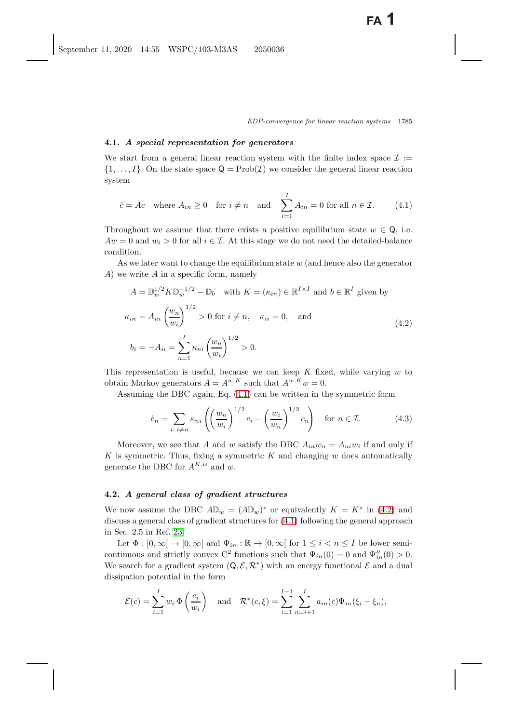### **4.1.** *A special representation for generators*

We start from a general linear reaction system with the finite index space  $\mathcal{I}$  :=  $\{1,\ldots,I\}$ . On the state space  $\mathsf{Q} = \text{Prob}(\mathcal{I})$  we consider the general linear reaction system

<span id="page-20-4"></span><span id="page-20-1"></span>
$$
\dot{c} = Ac \quad \text{where } A_{in} \ge 0 \quad \text{for } i \ne n \quad \text{and} \quad \sum_{i=1}^{I} A_{in} = 0 \text{ for all } n \in \mathcal{I}. \tag{4.1}
$$

Throughout we assume that there exists a positive equilibrium state  $w \in \mathsf{Q}$ , i.e.  $Aw = 0$  and  $w_i > 0$  for all  $i \in \mathcal{I}$ . At this stage we do not need the detailed-balance condition.

As we later want to change the equilibrium state  $w$  (and hence also the generator A) we write A in a specific form, namely

<span id="page-20-2"></span>
$$
A = \mathbb{D}_{w}^{1/2} K \mathbb{D}_{w}^{-1/2} - \mathbb{D}_{b} \quad \text{with } K = (\kappa_{in}) \in \mathbb{R}^{I \times I} \text{ and } b \in \mathbb{R}^{I} \text{ given by}
$$
  

$$
\kappa_{in} = A_{in} \left(\frac{w_{n}}{w_{i}}\right)^{1/2} > 0 \text{ for } i \neq n, \quad \kappa_{ii} = 0, \quad \text{and}
$$
  

$$
b_{i} = -A_{ii} = \sum_{n=1}^{I} \kappa_{ni} \left(\frac{w_{n}}{w_{i}}\right)^{1/2} > 0.
$$
  
(4.2)

This representation is useful, because we can keep  $K$  fixed, while varying  $w$  to obtain Markov generators  $A = A^{w,K}$  such that  $A^{w,K}w = 0$ .

Assuming the DBC again, Eq. [\(4.1\)](#page-20-1) can be written in the symmetric form

<span id="page-20-5"></span><span id="page-20-3"></span>
$$
\dot{c}_n = \sum_{i: \ i \neq n} \kappa_{ni} \left( \left( \frac{w_n}{w_i} \right)^{1/2} c_i - \left( \frac{w_i}{w_n} \right)^{1/2} c_n \right) \quad \text{for } n \in \mathcal{I}.
$$
 (4.3)

Moreover, we see that A and w satisfy the DBC  $A_{in}w_n = A_{ni}w_i$  if and only if  $K$  is symmetric. Thus, fixing a symmetric  $K$  and changing  $w$  does automatically generate the DBC for  $A^{K,w}$  and w.

## <span id="page-20-0"></span>**4.2.** *A general class of gradient structures*

We now assume the DBC  $A\mathbb{D}_w = (A\mathbb{D}_w)^*$  or equivalently  $K = K^*$  in [\(4.2\)](#page-20-2) and discuss a general class of gradient structures for [\(4.1\)](#page-20-1) following the general approach in Sec. 2.5 in Ref. [23.](#page-41-6)

Let  $\Phi : [0, \infty] \to [0, \infty]$  and  $\Psi_{in} : \mathbb{R} \to [0, \infty]$  for  $1 \leq i \leq n \leq I$  be lower semicontinuous and strictly convex  $C^2$  functions such that  $\Psi_{in}(0) = 0$  and  $\Psi''_{in}(0) > 0$ .<br>We seem for a gradient system  $(0, \mathcal{F}, \mathbb{Z}^*)$  with an energy functional  $\mathcal{F}$  and a dual We search for a gradient system  $(Q, \mathcal{E}, \mathcal{R}^*)$  with an energy functional  $\mathcal{E}$  and a dual dissipation potential in the form

$$
\mathcal{E}(c) = \sum_{i=1}^{I} w_i \, \Phi\left(\frac{c_i}{w_i}\right) \quad \text{and} \quad \mathcal{R}^*(c,\xi) = \sum_{i=1}^{I-1} \sum_{n=i+1}^{I} a_{in}(c) \Psi_{in}(\xi_i - \xi_n),
$$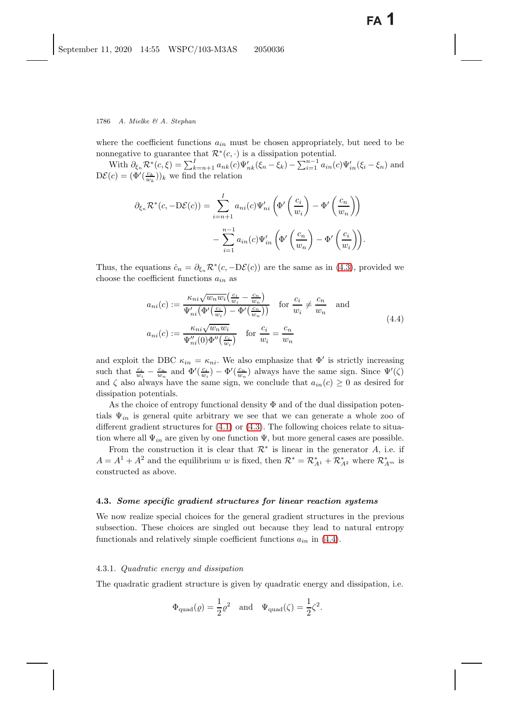where the coefficient functions  $a_{in}$  must be chosen appropriately, but need to be nonnegative to guarantee that  $\mathcal{R}^*(c, \cdot)$  is a dissipation potential.

With  $\partial_{\xi_n} \mathcal{R}^*(c, \xi) = \sum_{k=n+1}^l a_{nk}(c) \Psi'_{nk}(\xi_n - \xi_k) - \sum_{i=1}^{n-1} a_{in}(c) \Psi'_{in}(\xi_i - \xi_n)$  and  $(c) = (\Phi'(\xi_k))$ , we find the relation  $D\mathcal{E}(c) = (\Phi'(\frac{c_k}{w_k}))_k$  we find the relation

$$
\partial_{\xi_n} \mathcal{R}^*(c, -D\mathcal{E}(c)) = \sum_{i=n+1}^I a_{ni}(c) \Psi'_{ni} \left( \Phi' \left( \frac{c_i}{w_i} \right) - \Phi' \left( \frac{c_n}{w_n} \right) \right) - \sum_{i=1}^{n-1} a_{in}(c) \Psi'_{in} \left( \Phi' \left( \frac{c_n}{w_n} \right) - \Phi' \left( \frac{c_i}{w_i} \right) \right).
$$

Thus, the equations  $\dot{c}_n = \partial_{\xi_n} \mathcal{R}^*(c, -D\mathcal{E}(c))$  are the same as in [\(4.3\)](#page-20-3), provided we choose the coefficient functions  $a_{in}$  as

<span id="page-21-2"></span><span id="page-21-0"></span>
$$
a_{ni}(c) := \frac{\kappa_{ni}\sqrt{w_n w_i}(\frac{c_i}{w_i} - \frac{c_n}{w_n})}{\Psi'_{ni}(\Phi'(\frac{c_i}{w_i}) - \Phi'(\frac{c_n}{w_n}))} \quad \text{for } \frac{c_i}{w_i} \neq \frac{c_n}{w_n} \quad \text{and}
$$
  

$$
a_{ni}(c) := \frac{\kappa_{ni}\sqrt{w_n w_i}}{\Psi''_{ni}(0)\Phi''(\frac{c_i}{w_i})} \quad \text{for } \frac{c_i}{w_i} = \frac{c_n}{w_n}
$$
 (4.4)

and exploit the DBC  $\kappa_{in} = \kappa_{ni}$ . We also emphasize that  $\Phi'$  is strictly increasing such that  $\frac{c_i}{w_i} - \frac{c_n}{w_n}$  and  $\Phi'(\frac{c_i}{w}) - \Phi'(\frac{c_n}{w_n})$  always have the same sign. Since  $\Psi'(\zeta)$ and  $\zeta$  also always have the same sign, we conclude that  $a_{in}(c) \geq 0$  as desired for dissipation potentials.

As the choice of entropy functional density  $\Phi$  and of the dual dissipation potentials  $\Psi_{in}$  is general quite arbitrary we see that we can generate a whole zoo of different gradient structures for  $(4.1)$  or  $(4.3)$ . The following choices relate to situation where all  $\Psi_{in}$  are given by one function  $\Psi$ , but more general cases are possible.

From the construction it is clear that  $\mathcal{R}^*$  is linear in the generator A, i.e. if  $A = A^1 + A^2$  and the equilibrium w is fixed, then  $\mathcal{R}^* = \mathcal{R}_{A^1}^* + \mathcal{R}_{A^2}^*$  where  $\mathcal{R}_{A^m}^*$  is constructed as above. constructed as above.

#### **4.3.** *Some specific gradient structures for linear reaction systems*

We now realize special choices for the general gradient structures in the previous subsection. These choices are singled out because they lead to natural entropy functionals and relatively simple coefficient functions  $a_{in}$  in [\(4.4\)](#page-21-0).

#### <span id="page-21-1"></span>4.3.1. *Quadratic energy and dissipation*

The quadratic gradient structure is given by quadratic energy and dissipation, i.e.

$$
\Phi_{\text{quad}}(\varrho) = \frac{1}{2}\varrho^2
$$
 and  $\Psi_{\text{quad}}(\zeta) = \frac{1}{2}\zeta^2$ .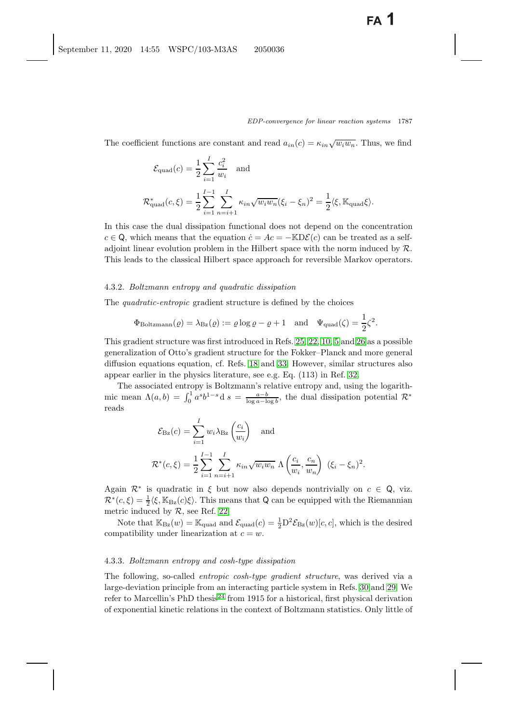The coefficient functions are constant and read  $a_{in}(c) = \kappa_{in}\sqrt{w_i w_n}$ . Thus, we find

$$
\mathcal{E}_{\text{quad}}(c) = \frac{1}{2} \sum_{i=1}^{I} \frac{c_i^2}{w_i} \text{ and}
$$
  

$$
\mathcal{R}_{\text{quad}}^*(c, \xi) = \frac{1}{2} \sum_{i=1}^{I-1} \sum_{n=i+1}^{I} \kappa_{in} \sqrt{w_i w_n} (\xi_i - \xi_n)^2 = \frac{1}{2} \langle \xi, \mathbb{K}_{\text{quad}} \xi \rangle.
$$

In this case the dual dissipation functional does not depend on the concentration  $c \in \mathsf{Q}$ , which means that the equation  $\dot{c} = Ac = -\mathbb{K}D\mathcal{E}(c)$  can be treated as a selfadjoint linear evolution problem in the Hilbert space with the norm induced by  $\mathcal{R}$ . This leads to the classical Hilbert space approach for reversible Markov operators.

#### <span id="page-22-0"></span>4.3.2. *Boltzmann entropy and quadratic dissipation*

The *quadratic-entropic* gradient structure is defined by the choices

$$
\Phi_{\text{Boltzmann}}(\varrho) = \lambda_{\text{Bz}}(\varrho) := \varrho \log \varrho - \varrho + 1 \quad \text{and} \quad \Psi_{\text{quad}}(\zeta) = \frac{1}{2} \zeta^2.
$$

This gradient structure was first introduced in Refs. [25,](#page-41-21) [22,](#page-41-5) [10,](#page-40-12) [5](#page-40-6) and [26](#page-41-25) as a possible generalization of Otto's gradient structure for the Fokker–Planck and more general diffusion equations equation, cf. Refs. [18](#page-41-26) and [33.](#page-42-8) However, similar structures also appear earlier in the physics literature, see e.g. Eq. (113) in Ref. [32.](#page-41-4)

The associated entropy is Boltzmann's relative entropy and, using the logarithmic mean  $\Lambda(a, b) = \int_0^1 a^s b^{1-s} d s = \frac{a-b}{\log a - \log b}$ , the dual dissipation potential  $\mathcal{R}^*$ reads

$$
\mathcal{E}_{\text{Bz}}(c) = \sum_{i=1}^{I} w_i \lambda_{\text{Bz}} \left(\frac{c_i}{w_i}\right) \quad \text{and}
$$
  

$$
\mathcal{R}^*(c,\xi) = \frac{1}{2} \sum_{i=1}^{I-1} \sum_{n=i+1}^{I} \kappa_{in} \sqrt{w_i w_n} \Lambda \left(\frac{c_i}{w_i}, \frac{c_n}{w_n}\right) (\xi_i - \xi_n)^2.
$$

Again  $\mathcal{R}^*$  is quadratic in  $\xi$  but now also depends nontrivially on  $c \in \mathsf{Q}$ , viz.  $\mathcal{R}^*(c,\xi) = \frac{1}{2}\langle \xi, \mathbb{K}_{\text{Bz}}(c)\xi \rangle$ . This means that Q can be equipped with the Riemannian metric induced by  $\mathcal{R}_{\text{S}}$  soo B of 22 metric induced by  $R$ , see Ref. [22.](#page-41-5)

Note that  $\mathbb{K}_{\text{Bz}}(w) = \mathbb{K}_{\text{quad}}$  and  $\mathcal{E}_{\text{quad}}(c) = \frac{1}{2} \mathcal{D}^2 \mathcal{E}_{\text{Bz}}(w)[c, c]$ , which is the desired compatibility under linearization at  $c = w$ .

#### <span id="page-22-2"></span><span id="page-22-1"></span>4.3.3. *Boltzmann entropy and cosh-type dissipation*

The following, so-called *entropic cosh-type gradient structure*, was derived via a large-deviation principle from an interacting particle system in Refs. [30](#page-41-7) and [29.](#page-41-8) We refer to Marcellin's PhD thesis<sup>[24](#page-41-9)</sup> from 1915 for a historical, first physical derivation of exponential kinetic relations in the context of Boltzmann statistics. Only little of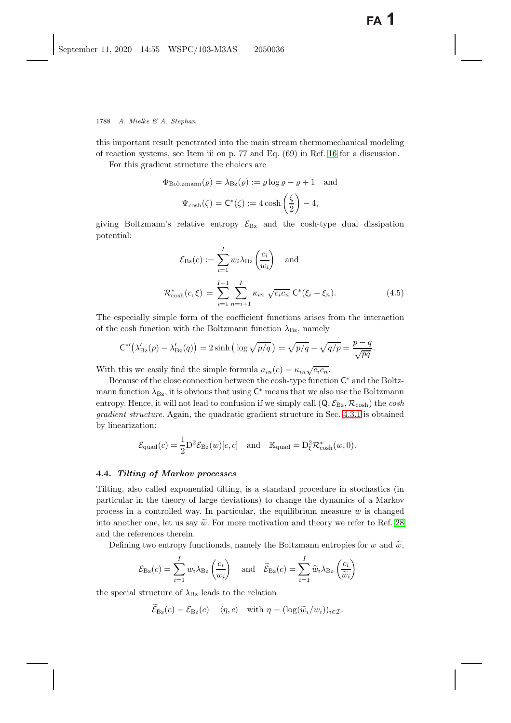this important result penetrated into the main stream thermomechanical modeling of reaction systems, see Item iii on p. 77 and Eq. (69) in Ref. [16](#page-41-27) for a discussion.

For this gradient structure the choices are

$$
\Phi_{\text{Boltzmann}}(\varrho) = \lambda_{\text{Bz}}(\varrho) := \varrho \log \varrho - \varrho + 1 \quad \text{and}
$$

$$
\Psi_{\text{cosh}}(\zeta) = \mathsf{C}^*(\zeta) := 4 \cosh\left(\frac{\zeta}{2}\right) - 4,
$$

giving Boltzmann's relative entropy  $\mathcal{E}_{\text{Bz}}$  and the cosh-type dual dissipation potential:

$$
\mathcal{E}_{\text{Bz}}(c) := \sum_{i=1}^{I} w_i \lambda_{\text{Bz}} \left( \frac{c_i}{w_i} \right) \text{ and}
$$

$$
\mathcal{R}_{\cosh}^*(c, \xi) = \sum_{i=1}^{I-1} \sum_{n=i+1}^{I} \kappa_{in} \sqrt{c_i c_n} \mathbf{C}^*(\xi_i - \xi_n).
$$
(4.5)

The especially simple form of the coefficient functions arises from the interaction of the cosh function with the Boltzmann function  $\lambda_{\text{Bz}}$ , namely

$$
C^{*'}(\lambda'_{\text{Bz}}(p) - \lambda'_{\text{Bz}}(q)) = 2\sinh\left(\log\sqrt{p/q}\right) = \sqrt{p/q} - \sqrt{q/p} = \frac{p-q}{\sqrt{pq}}.
$$

With this we easily find the simple formula  $a_{in}(c) = \kappa_{in}\sqrt{c_ic_n}$ .

Because of the close connection between the cosh-type function C<sup>∗</sup> and the Boltzmann function  $\lambda_{\text{Bz}}$ , it is obvious that using  $\mathsf{C}^*$  means that we also use the Boltzmann entropy. Hence, it will not lead to confusion if we simply call  $(Q, \mathcal{E}_{\text{Bz}}, \mathcal{R}_{\text{cosh}})$  the *cosh gradient structure*. Again, the quadratic gradient structure in Sec. [4.3.1](#page-21-1) is obtained by linearization:

$$
\mathcal{E}_{\text{quad}}(c) = \frac{1}{2} \mathcal{D}^2 \mathcal{E}_{\text{Bz}}(w)[c, c] \quad \text{and} \quad \mathbb{K}_{\text{quad}} = \mathcal{D}_{\xi}^2 \mathcal{R}_{\text{cosh}}^*(w, 0).
$$

#### <span id="page-23-0"></span>**4.4.** *Tilting of Markov processes*

Tilting, also called exponential tilting, is a standard procedure in stochastics (in particular in the theory of large deviations) to change the dynamics of a Markov process in a controlled way. In particular, the equilibrium measure  $w$  is changed into another one, let us say  $\tilde{w}$ . For more motivation and theory we refer to Ref. [28](#page-41-22) and the references therein.

Defining two entropy functionals, namely the Boltzmann entropies for w and  $\tilde{w}$ ,

$$
\mathcal{E}_{\text{Bz}}(c) = \sum_{i=1}^{I} w_i \lambda_{\text{Bz}} \left( \frac{c_i}{w_i} \right) \quad \text{and} \quad \widetilde{\mathcal{E}}_{\text{Bz}}(c) = \sum_{i=1}^{I} \widetilde{w}_i \lambda_{\text{Bz}} \left( \frac{c_i}{\widetilde{w}_i} \right)
$$

the special structure of  $\lambda_{\text{Bz}}$  leads to the relation

 $\mathcal{E}_{\text{Bz}}(c) = \mathcal{E}_{\text{Bz}}(c) - \langle \eta, c \rangle$  with  $\eta = (\log(\widetilde{w}_i/w_i))_{i \in \mathcal{I}}$ .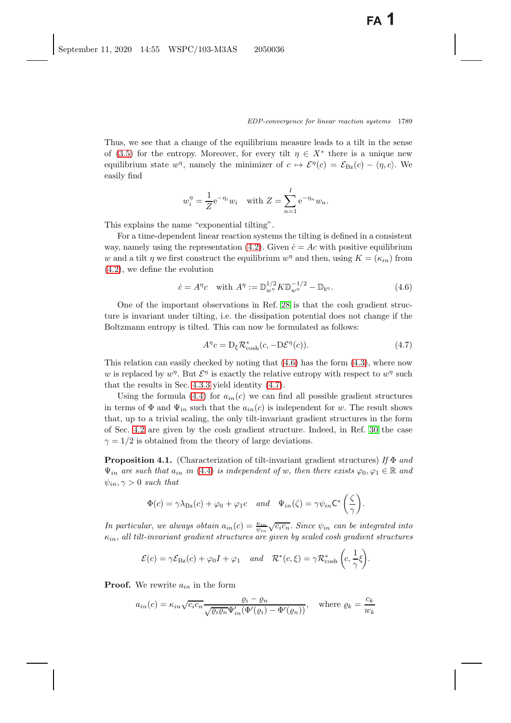Thus, we see that a change of the equilibrium measure leads to a tilt in the sense of [\(3.5\)](#page-18-1) for the entropy. Moreover, for every tilt  $\eta \in X^*$  there is a unique new equilibrium state  $w^{\eta}$ , namely the minimizer of  $c \mapsto \mathcal{E}^{\eta}(c) = \mathcal{E}_{\text{Bz}}(c) - \langle \eta, c \rangle$ . We easily find

$$
w_i^{\eta} = \frac{1}{Z} e^{-\eta_i} w_i
$$
 with  $Z = \sum_{n=1}^{I} e^{-\eta_n} w_n$ .

This explains the name "exponential tilting".

For a time-dependent linear reaction systems the tilting is defined in a consistent way, namely using the representation [\(4.2\)](#page-20-2). Given  $\dot{c} = Ac$  with positive equilibrium w and a tilt  $\eta$  we first construct the equilibrium  $w^{\eta}$  and then, using  $K = (\kappa_{in})$  from [\(4.2\)](#page-20-2), we define the evolution

<span id="page-24-1"></span>
$$
\dot{c} = A^{\eta}c \quad \text{with } A^{\eta} := \mathbb{D}_{w^{\eta}}^{1/2} K \mathbb{D}_{w^{\eta}}^{-1/2} - \mathbb{D}_{b^{\eta}}.
$$
\n(4.6)

One of the important observations in Ref. [28](#page-41-13) is that the cosh gradient structure is invariant under tilting, i.e. the dissipation potential does not change if the Boltzmann entropy is tilted. This can now be formulated as follows:

<span id="page-24-2"></span>
$$
A^{\eta}c = D_{\xi} \mathcal{R}_{\cosh}^*(c, -D\mathcal{E}^{\eta}(c)).
$$
\n(4.7)

This relation can easily checked by noting that  $(4.6)$  has the form  $(4.3)$ , where now w is replaced by  $w^{\eta}$ . But  $\mathcal{E}^{\eta}$  is exactly the relative entropy with respect to  $w^{\eta}$  such that the results in Sec. [4.3.3](#page-22-2) yield identity [\(4.7\)](#page-24-2).

Using the formula [\(4.4\)](#page-21-2) for  $a_{in}(c)$  we can find all possible gradient structures in terms of  $\Phi$  and  $\Psi_{in}$  such that the  $a_{in}(c)$  is independent for w. The result shows that, up to a trivial scaling, the only tilt-invariant gradient structures in the form of Sec. [4.2](#page-20-0) are given by the cosh gradient structure. Indeed, in Ref. [30](#page-41-7) the case  $\gamma = 1/2$  is obtained from the theory of large deviations.

<span id="page-24-0"></span>**Proposition 4.1.** (Characterization of tilt-invariant gradient structures) *If* Φ *and*  $\Psi_{in}$  are such that  $a_{in}$  in [\(4.4\)](#page-21-2) is independent of w, then there exists  $\varphi_0, \varphi_1 \in \mathbb{R}$  and  $\psi_{in}, \gamma > 0$  *such that* 

$$
\Phi(c) = \gamma \lambda_{\text{Bz}}(c) + \varphi_0 + \varphi_1 c \quad and \quad \Psi_{in}(\zeta) = \gamma \psi_{in} \mathsf{C}^* \left( \frac{\zeta}{\gamma} \right).
$$

*In particular, we always obtain*  $a_{in}(c) = \frac{\kappa_{in}}{\psi_{in}}$  $\sqrt{c_i c_n}$ . Since  $\psi_{in}$  can be integrated into<br>cinco by each of a gradient structures κin, *all tilt-invariant gradient structures are given by scaled cosh gradient structures*

$$
\mathcal{E}(c) = \gamma \mathcal{E}_{\text{Bz}}(c) + \varphi_0 I + \varphi_1 \quad \text{and} \quad \mathcal{R}^*(c,\xi) = \gamma \mathcal{R}^*_{\text{cosh}}\left(c,\frac{1}{\gamma}\xi\right).
$$

**Proof.** We rewrite  $a_{in}$  in the form

$$
a_{in}(c) = \kappa_{in}\sqrt{c_ic_n}\frac{\varrho_i - \varrho_n}{\sqrt{\varrho_i\varrho_n}\Psi'_{in}(\Phi'(\varrho_i) - \Phi'(\varrho_n))}, \quad \text{where } \varrho_k = \frac{c_k}{w_k}
$$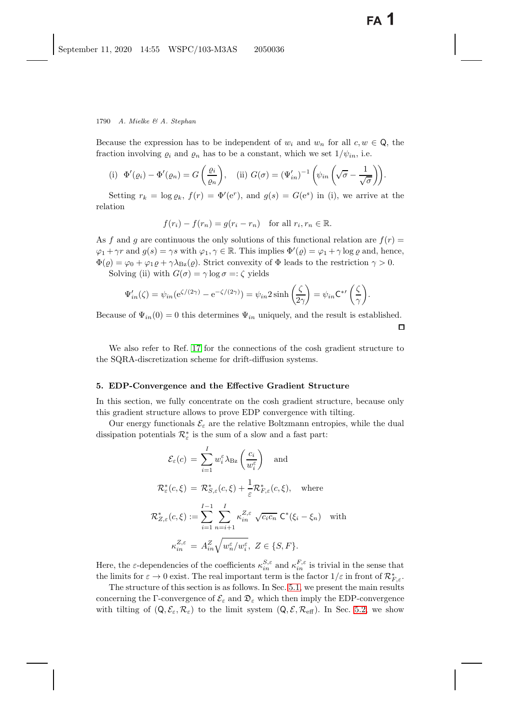Because the expression has to be independent of  $w_i$  and  $w_n$  for all  $c, w \in \mathbb{Q}$ , the fraction involving  $\rho_i$  and  $\rho_n$  has to be a constant, which we set  $1/\psi_{in}$ , i.e.

(i) 
$$
\Phi'(\varrho_i) - \Phi'(\varrho_n) = G\left(\frac{\varrho_i}{\varrho_n}\right)
$$
, (ii)  $G(\sigma) = (\Psi'_{in})^{-1}\left(\psi_{in}\left(\sqrt{\sigma} - \frac{1}{\sqrt{\sigma}}\right)\right)$ .

Setting  $r_k = \log \varrho_k$ ,  $f(r) = \Phi'(e^r)$ , and  $g(s) = G(e^s)$  in (i), we arrive at the relation

$$
f(r_i) - f(r_n) = g(r_i - r_n) \text{ for all } r_i, r_n \in \mathbb{R}.
$$

As f and g are continuous the only solutions of this functional relation are  $f(r)$  =  $\varphi_1 + \gamma r$  and  $g(s) = \gamma s$  with  $\varphi_1, \gamma \in \mathbb{R}$ . This implies  $\Phi'(\varrho) = \varphi_1 + \gamma \log \varrho$  and, hence,  $\Phi(\varrho) = \varphi_2 + \varphi_3 \log \varrho + \varrho \log \varrho$ .  $\Phi(\varrho) = \varphi_0 + \varphi_1 \varrho + \gamma \lambda_{\text{Bz}}(\varrho)$ . Strict convexity of  $\Phi$  leads to the restriction  $\gamma > 0$ .

Solving (ii) with  $G(\sigma) = \gamma \log \sigma =: \zeta$  yields

$$
\Psi'_{in}(\zeta) = \psi_{in}(e^{\zeta/(2\gamma)} - e^{-\zeta/(2\gamma)}) = \psi_{in} 2 \sinh\left(\frac{\zeta}{2\gamma}\right) = \psi_{in} C^{*\prime}\left(\frac{\zeta}{\gamma}\right).
$$

Because of  $\Psi_{in}(0) = 0$  this determines  $\Psi_{in}$  uniquely, and the result is established.  $\Box$ 

We also refer to Ref. [17](#page-41-28) for the connections of the cosh gradient structure to the SQRA-discretization scheme for drift-diffusion systems.

#### <span id="page-25-0"></span>**5. EDP-Convergence and the Effective Gradient Structure**

In this section, we fully concentrate on the cosh gradient structure, because only this gradient structure allows to prove EDP convergence with tilting.

Our energy functionals  $\mathcal{E}_{\varepsilon}$  are the relative Boltzmann entropies, while the dual dissipation potentials  $\mathcal{R}_{\varepsilon}^*$  is the sum of a slow and a fast part:

$$
\mathcal{E}_{\varepsilon}(c) = \sum_{i=1}^{I} w_i^{\varepsilon} \lambda_{\text{Bz}} \left( \frac{c_i}{w_i^{\varepsilon}} \right) \quad \text{and}
$$
\n
$$
\mathcal{R}_{\varepsilon}^*(c,\xi) = \mathcal{R}_{S,\varepsilon}^*(c,\xi) + \frac{1}{\varepsilon} \mathcal{R}_{F,\varepsilon}^*(c,\xi), \quad \text{where}
$$
\n
$$
\mathcal{R}_{Z,\varepsilon}^*(c,\xi) := \sum_{i=1}^{I-1} \sum_{n=i+1}^{I} \kappa_{in}^{Z,\varepsilon} \sqrt{c_i c_n} \mathcal{C}^*(\xi_i - \xi_n) \quad \text{with}
$$
\n
$$
\kappa_{in}^{Z,\varepsilon} = A_{in}^Z \sqrt{w_n^{\varepsilon}/w_i^{\varepsilon}}, \ Z \in \{S,F\}.
$$

Here, the  $\varepsilon$ -dependencies of the coefficients  $\kappa_{in}^{S,\varepsilon}$  and  $\kappa_{in}^{F,\varepsilon}$  is trivial in the sense that the limits for  $\varepsilon \to 0$  oviet. The real important term is the factor  $1/\varepsilon$  in front of  $\mathcal{D}^*$ the limits for  $\varepsilon \to 0$  exist. The real important term is the factor  $1/\varepsilon$  in front of  $\mathcal{R}_{F,\varepsilon}^*$ .<br>The structure of this section is as follows. In Sec. 5.1, we present the main results

The structure of this section is as follows. In Sec. [5.1,](#page-26-0) we present the main results concerning the Γ-convergence of  $\mathcal{E}_{\varepsilon}$  and  $\mathcal{D}_{\varepsilon}$  which then imply the EDP-convergence with tilting of  $(Q, \mathcal{E}_{\varepsilon}, \mathcal{R}_{\varepsilon})$  to the limit system  $(Q, \mathcal{E}, \mathcal{R}_{\text{eff}})$ . In Sec. [5.2,](#page-28-0) we show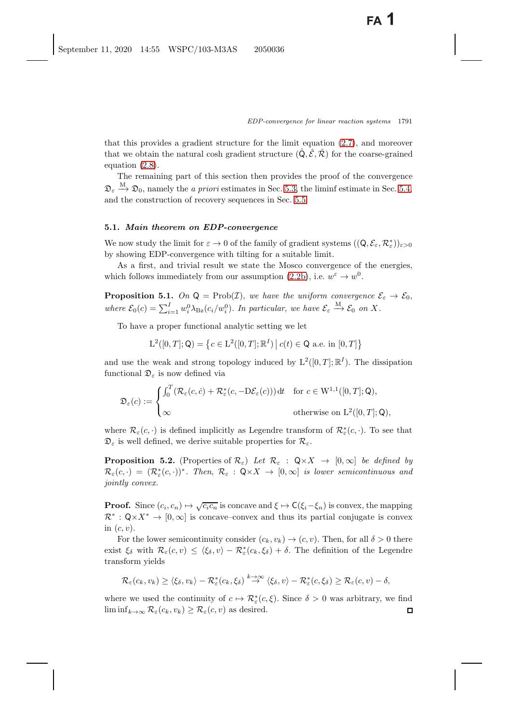that this provides a gradient structure for the limit equation [\(2.7\)](#page-13-3), and moreover that we obtain the natural cosh gradient structure  $(\hat{Q}, \hat{\mathcal{E}}, \hat{\mathcal{R}})$  for the coarse-grained equation [\(2.8\)](#page-13-2).

The remaining part of this section then provides the proof of the convergence  $\mathfrak{D}_{\varepsilon} \stackrel{\text{M}}{\longrightarrow} \mathfrak{D}_0$ , namely the *a priori* estimates in Sec. [5.3,](#page-31-1) the liminf estimate in Sec. [5.4,](#page-34-0) and the construction of recovery sequences in Sec. [5.5.](#page-36-0)

#### <span id="page-26-0"></span>**5.1.** *Main theorem on EDP-convergence*

We now study the limit for  $\varepsilon \to 0$  of the family of gradient systems  $((\mathsf{Q}, \mathcal{E}_{\varepsilon}, \mathcal{R}_{\varepsilon}^*))_{\varepsilon > 0}$ <br>by showing EDP convergence with tilting for a suitable limit by showing EDP-convergence with tilting for a suitable limit.

<span id="page-26-1"></span>As a first, and trivial result we state the Mosco convergence of the energies, which follows immediately from our assumption [\(2.2b\)](#page-7-1), i.e.  $w^{\varepsilon} \to w^{0}$ .

**Proposition 5.1.** *On*  $Q = \text{Prob}(\mathcal{I})$ , *we have the uniform convergence*  $\mathcal{E}_{\varepsilon} \to \mathcal{E}_0$ , where  $\mathcal{E}_0(c) = \sum_{i=1}^I w_i^0 \lambda_{\text{Bz}}(c_i/w_i^0)$ . In particular, we have  $\mathcal{E}_{\varepsilon} \stackrel{M}{\rightarrow} \mathcal{E}_0$  on X.

To have a proper functional analytic setting we let

$$
L^{2}([0, T]; Q) = \left\{ c \in L^{2}([0, T]; \mathbb{R}^{I}) \, \middle| \, c(t) \in Q \text{ a.e. in } [0, T] \right\}
$$

and use the weak and strong topology induced by  $L^2([0,T];\mathbb{R}^I)$ . The dissipation functional  $\mathfrak{D}_{\varepsilon}$  is now defined via

$$
\mathfrak{D}_{\varepsilon}(c) := \begin{cases}\n\int_0^T (\mathcal{R}_{\varepsilon}(c, \dot{c}) + \mathcal{R}_{\varepsilon}^*(c, -D\mathcal{E}_{\varepsilon}(c))) dt & \text{for } c \in W^{1,1}([0, T]; \mathsf{Q}), \\
\infty & \text{otherwise on } L^2([0, T]; \mathsf{Q}),\n\end{cases}
$$

<span id="page-26-2"></span>where  $\mathcal{R}_{\varepsilon}(c, \cdot)$  is defined implicitly as Legendre transform of  $\mathcal{R}_{\varepsilon}^{*}(c, \cdot)$ . To see that  $\mathfrak{D}_{\varepsilon}$  is well defined, we derive suitable properties for  $\mathcal{R}_{\varepsilon}$ .

**Proposition 5.2.** (Properties of  $\mathcal{R}_{\varepsilon}$ ) *Let*  $\mathcal{R}_{\varepsilon}$  :  $\mathsf{Q} \times X \to [0,\infty]$  *be defined by*  $\mathcal{R}_{\varepsilon}(c, \cdot) = (\mathcal{R}_{\varepsilon}^{*}(c, \cdot))^{*}$ *. Then*,  $\mathcal{R}_{\varepsilon} : \mathsf{Q} \times X \to [0, \infty]$  *is lower semicontinuous and is in the convex jointly convex.*

**Proof.** Since  $(c_i, c_n) \mapsto \sqrt{c_i c_n}$  is concave and  $\xi \mapsto C(\xi_i - \xi_n)$  is convex, the mapping  $\mathcal{R}^* : \mathsf{Q} \times X^* \to [0, \infty]$  is concave–convex and thus its partial conjugate is convex in  $(c, v)$ .

For the lower semicontinuity consider  $(c_k, v_k) \rightarrow (c, v)$ . Then, for all  $\delta > 0$  there exist  $\xi_{\delta}$  with  $\mathcal{R}_{\varepsilon}(c, v) \leq \langle \xi_{\delta}, v \rangle - \mathcal{R}_{\varepsilon}^{*}(c_{k}, \xi_{\delta}) + \delta$ . The definition of the Legendre transform yields

$$
\mathcal{R}_{\varepsilon}(c_k, v_k) \geq \langle \xi_{\delta}, v_k \rangle - \mathcal{R}_{\varepsilon}^*(c_k, \xi_{\delta}) \stackrel{k \to \infty}{\to} \langle \xi_{\delta}, v \rangle - \mathcal{R}_{\varepsilon}^*(c, \xi_{\delta}) \geq \mathcal{R}_{\varepsilon}(c, v) - \delta,
$$

where we used the continuity of  $c \mapsto \mathcal{R}_{\varepsilon}^*(c,\xi)$ . Since  $\delta > 0$  was arbitrary, we find<br>liminf  $\liminf_{k\to\infty} \mathcal{R}_{\varepsilon}(c_k, v_k) \geq \mathcal{R}_{\varepsilon}(c, v)$  as desired.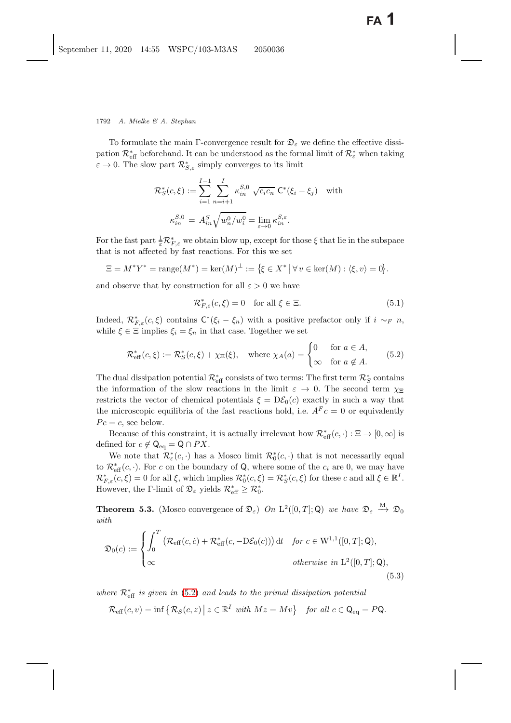#### 1792 *A. Mielke & A. Stephan*

To formulate the main Γ-convergence result for  $\mathfrak{D}_{\varepsilon}$  we define the effective dissipation  $\mathcal{R}^*_{\text{eff}}$  beforehand. It can be understood as the formal limit of  $\mathcal{R}^*_{\varepsilon}$  when taking  $\varepsilon \to 0$ . The slow part  $\mathcal{R}_{S,\varepsilon}^{*}$  simply converges to its limit

$$
\mathcal{R}_S^*(c,\xi) := \sum_{i=1}^{I-1} \sum_{n=i+1}^I \kappa_{in}^{S,0} \sqrt{c_i c_n} \mathsf{C}^*(\xi_i - \xi_j) \quad \text{with}
$$

$$
\kappa_{in}^{S,0} = A_{in}^S \sqrt{w_n^0 / w_i^0} = \lim_{\varepsilon \to 0} \kappa_{in}^{S,\varepsilon}.
$$

For the fast part  $\frac{1}{\varepsilon}\mathcal{R}_{F,\varepsilon}^*$  we obtain blow up, except for those  $\xi$  that lie in the subspace<br>that is not affected by fast reactions. For this we set that is not affected by fast reactions. For this we set

$$
\Xi = M^* Y^* = \text{range}(M^*) = \ker(M)^{\perp} := \{ \xi \in X^* \mid \forall v \in \ker(M) : \langle \xi, v \rangle = 0 \}.
$$

and observe that by construction for all  $\varepsilon > 0$  we have

<span id="page-27-7"></span><span id="page-27-5"></span>
$$
\mathcal{R}_{F,\varepsilon}^*(c,\xi) = 0 \quad \text{for all } \xi \in \Xi. \tag{5.1}
$$

Indeed,  $\mathcal{R}_{F,\varepsilon}^*(c,\xi)$  contains  $C^*(\xi_i - \xi_n)$  with a positive prefactor only if  $i \sim_F n$ ,<br>while  $\xi \in \Xi$  implies  $\xi_i - \xi_j$  in that case. Together we set while  $\xi \in \Xi$  implies  $\xi_i = \xi_n$  in that case. Together we set

<span id="page-27-4"></span><span id="page-27-1"></span>
$$
\mathcal{R}_{\text{eff}}^*(c,\xi) := \mathcal{R}_S^*(c,\xi) + \chi_{\Xi}(\xi), \quad \text{where } \chi_A(a) = \begin{cases} 0 & \text{for } a \in A, \\ \infty & \text{for } a \notin A. \end{cases} \tag{5.2}
$$

The dual dissipation potential  $\mathcal{R}^*_\mathrm{eff}$  consists of two terms: The first term  $\mathcal{R}^*_S$  contains the information of the slow reactions in the limit  $\varepsilon \to 0$ . The second term  $\chi_{\Xi}$ restricts the vector of chemical potentials  $\xi = D\mathcal{E}_0(c)$  exactly in such a way that the microscopic equilibria of the fast reactions hold, i.e.  $A^F c = 0$  or equivalently  $Pc = c$ , see below.

Because of this constraint, it is actually irrelevant how  $\mathcal{R}^*_{\text{eff}}(c, \cdot) : \Xi \to [0, \infty]$  is not for  $c \not\subset \Omega$  or  $PX$ defined for  $c \notin \mathsf{Q}_{eq} = \mathsf{Q} \cap PX$ .

We note that  $\mathcal{R}_{\varepsilon}^{*}(c, \cdot)$  has a Mosco limit  $\mathcal{R}_{0}^{*}(c, \cdot)$  that is not necessarily equal  $\mathcal{R}_{\varepsilon}^{*}(c, \cdot)$ . For e.g. the boundary of  $\Omega$ , where some of the e.g. and we may have to  $\mathcal{R}_{\text{eff}}^*(c, \cdot)$ . For c on the boundary of Q, where some of the  $c_i$  are 0, we may have  $\mathcal{R}^*$  (c, c) =  $\mathcal{R}^*(c, \epsilon) = \mathcal{R}^*(c, \epsilon)$  for these c and all  $\epsilon \in \mathbb{R}^I$  $\mathcal{R}_{F,\varepsilon}^*(c,\xi) = 0$  for all  $\xi$ , which implies  $\mathcal{R}_0^*(c,\xi) = \mathcal{R}_S^*(c,\xi)$  for these c and all  $\xi \in \mathbb{R}^I$ .<br>However, the  $\Gamma$  limit of  $\Omega$ , yields  $\mathcal{R}^* \geq \mathcal{R}^*$ . However, the  $\Gamma$ -limit of  $\mathfrak{D}_{\varepsilon}$  yields  $\mathcal{R}_{\text{eff}}^* \geq \mathcal{R}_0^*$ .

<span id="page-27-2"></span><span id="page-27-0"></span>**Theorem 5.3.** (Mosco convergence of  $\mathfrak{D}_{\varepsilon}$ ) *On*  $L^2([0,T];\mathsf{Q})$  *we have*  $\mathfrak{D}_{\varepsilon} \stackrel{M}{\longrightarrow} \mathfrak{D}_0$ *with*

<span id="page-27-6"></span><span id="page-27-3"></span>
$$
\mathfrak{D}_0(c) := \begin{cases}\n\int_0^T \left( \mathcal{R}_{\text{eff}}(c, \dot{c}) + \mathcal{R}_{\text{eff}}^*(c, -D\mathcal{E}_0(c)) \right) dt & \text{for } c \in W^{1,1}([0, T]; \mathsf{Q}), \\
\infty & \text{otherwise in } L^2([0, T]; \mathsf{Q}),\n\end{cases}
$$
\n(5.3)

 $where R<sup>∗</sup><sub>eff</sub> is given in (5.2) and leads to the primal dissipation potential$  $where R<sup>∗</sup><sub>eff</sub> is given in (5.2) and leads to the primal dissipation potential$  $where R<sup>∗</sup><sub>eff</sub> is given in (5.2) and leads to the primal dissipation potential$ 

$$
\mathcal{R}_{\text{eff}}(c,v) = \inf \left\{ \mathcal{R}_S(c,z) \, \middle| \, z \in \mathbb{R}^I \text{ with } Mz = Mv \right\} \text{ for all } c \in \mathsf{Q}_{\text{eq}} = P\mathsf{Q}.
$$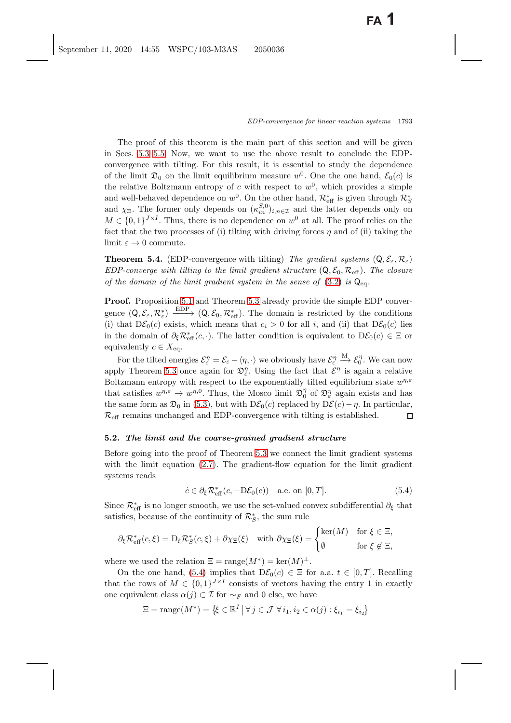The proof of this theorem is the main part of this section and will be given in Secs. [5.3–](#page-31-1)[5.5.](#page-36-0) Now, we want to use the above result to conclude the EDPconvergence with tilting. For this result, it is essential to study the dependence of the limit  $\mathfrak{D}_0$  on the limit equilibrium measure w<sup>0</sup>. One the one hand,  $\mathcal{E}_0(c)$  is the relative Boltzmann entropy of c with respect to  $w^0$ , which provides a simple and well-behaved dependence on  $w^0$ . On the other hand,  $\mathcal{R}_{\text{eff}}^*$  is given through  $\mathcal{R}_{\text{S}}^*$ <br>and  $\chi$ - The former only depends on  $(x^{S,0})$ , and the latter depends only or and  $\chi_{\Xi}$ . The former only depends on  $(\kappa_{sin}^{S,0})_{i,n\in\mathcal{I}}$  and the latter depends only on  $M \in I_0$  1  $V^{\times}I$ . Thus, there is no dependence on  $w^0$  at all. The proof relies on the  $M \in \{0,1\}^{J \times I}$ . Thus, there is no dependence on  $w^0$  at all. The proof relies on the fact that the two processes of (i) tilting with driving forces  $\eta$  and of (ii) taking the limit  $\varepsilon \to 0$  commute.

**Theorem 5.4.** (EDP-convergence with tilting) *The gradient systems*  $(Q, \mathcal{E}_{\varepsilon}, \mathcal{R}_{\varepsilon})$ *EDP-converge with tilting to the limit gradient structure*  $(Q, \mathcal{E}_0, \mathcal{R}_{\text{eff}})$ *. The closure of the domain of the limit gradient system in the sense of* [\(3.2\)](#page-16-1) *is* Qeq*.*

**Proof.** Proposition [5.1](#page-26-1) and Theorem [5.3](#page-27-2) already provide the simple EDP convergence  $(Q, \mathcal{E}_{\varepsilon}, \mathcal{R}_{\varepsilon}^{*}) \xrightarrow{\text{EDP}} (Q, \mathcal{E}_{0}, \mathcal{R}_{\text{eff}}^{*})$ . The domain is restricted by the conditions (i) that  $D\mathcal{E}_{\varepsilon}(c)$  lies (i) that  $D\mathcal{E}_0(c)$  exists, which means that  $c_i > 0$  for all i, and (ii) that  $D\mathcal{E}_0(c)$  lies in the domain of  $\partial_{\xi} \mathcal{R}_{\text{eff}}^{*}(c, \cdot)$ . The latter condition is equivalent to  $D\mathcal{E}_{0}(c) \in \Xi$  or equivalently  $c \in X$ equivalently  $c \in X_{eq}$ .

For the tilted energies  $\mathcal{E}_{\varepsilon}^p = \mathcal{E}_{\varepsilon} - \langle \eta, \cdot \rangle$  we obviously have  $\mathcal{E}_{\varepsilon}^p$ <br>shows the same again for  $\mathcal{D}_{\varepsilon}^{\eta}$ . Using the fact that  $\mathcal{E}_{\varepsilon}$  $\stackrel{\text{M}}{\longrightarrow} \mathcal{E}_0^{\eta}$ . We can now apply Theorem [5.3](#page-27-2) once again for  $\mathfrak{D}_{\varepsilon}^{\eta}$ . Using the fact that  $\mathcal{E}^{\eta}$  is again a relative Boltzmann entropy with respect to the exponentially tilted equilibrium state  $w^{\eta,\varepsilon}$ that satisfies  $w^{\eta, \varepsilon} \to w^{\eta, 0}$ . Thus, the Mosco limit  $\mathfrak{D}_{0}^{\eta}$  of  $\mathfrak{D}_{\varepsilon}^{\eta}$  again exists and has the same form as  $\mathfrak{D}_0$  in [\(5.3\)](#page-27-3), but with  $D\mathcal{E}_0(c)$  replaced by  $D\mathcal{E}(c) - \eta$ . In particular,  $\mathcal{R}_{\text{eff}}$  remains unchanged and EDP-convergence with tilting is established.  $\square$  $\mathcal{R}_{\text{eff}}$  remains unchanged and EDP-convergence with tilting is established.

## <span id="page-28-0"></span>**5.2.** *The limit and the coarse-grained gradient structure*

Before going into the proof of Theorem [5.3](#page-27-2) we connect the limit gradient systems with the limit equation  $(2.7)$ . The gradient-flow equation for the limit gradient systems reads

<span id="page-28-2"></span><span id="page-28-1"></span>
$$
\dot{c} \in \partial_{\xi} \mathcal{R}_{\text{eff}}^{*}(c, -D\mathcal{E}_{0}(c)) \quad \text{a.e. on } [0, T]. \tag{5.4}
$$

Since  $\mathcal{R}_{\text{eff}}^*$  is no longer smooth, we use the set-valued convex subdifferential  $\partial_{\xi}$  that satisfies because of the continuity of  $\mathcal{R}^*$  the sum rule. satisfies, because of the continuity of  $\mathcal{R}_S^*$ , the sum rule

$$
\partial_{\xi} \mathcal{R}_{\text{eff}}^*(c,\xi) = D_{\xi} \mathcal{R}_{S}^*(c,\xi) + \partial \chi_{\Xi}(\xi) \quad \text{with } \partial \chi_{\Xi}(\xi) = \begin{cases} \text{ker}(M) & \text{for } \xi \in \Xi, \\ \emptyset & \text{for } \xi \notin \Xi, \end{cases}
$$

where we used the relation  $\Xi = \text{range}(M^*) = \text{ker}(M)^{\perp}$ .

On the one hand, [\(5.4\)](#page-28-1) implies that  $D\mathcal{E}_0(c) \in \Xi$  for a.a.  $t \in [0, T]$ . Recalling that the rows of  $M \in \{0,1\}^{J \times I}$  consists of vectors having the entry 1 in exactly one equivalent class  $\alpha(j) \subset \mathcal{I}$  for  $\sim_F$  and 0 else, we have

$$
\Xi = \text{range}(M^*) = \{ \xi \in \mathbb{R}^I \mid \forall j \in \mathcal{J} \,\forall i_1, i_2 \in \alpha(j) : \xi_{i_1} = \xi_{i_2} \}
$$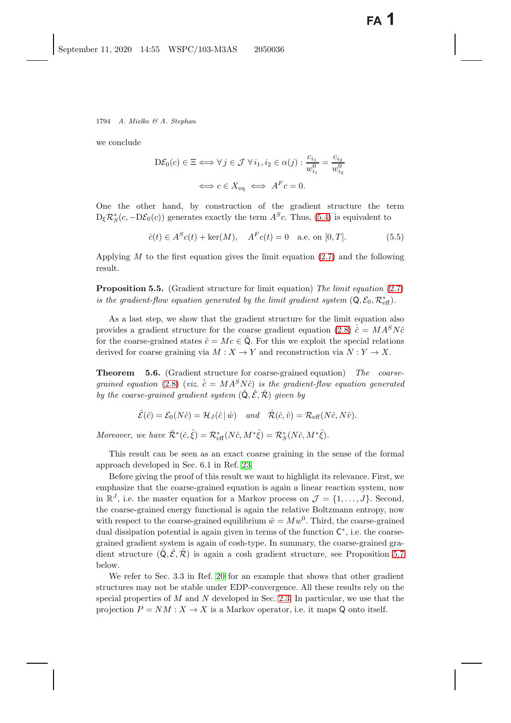we conclude

$$
D\mathcal{E}_0(c) \in \Xi \iff \forall j \in \mathcal{J} \ \forall i_1, i_2 \in \alpha(j) : \frac{c_{i_1}}{w_{i_1}^0} = \frac{c_{i_2}}{w_{i_2}^0}
$$

$$
\iff c \in X_{\text{eq}} \iff A^F c = 0.
$$

One the other hand, by construction of the gradient structure the term  $D_{\xi} \mathcal{R}_{S}^{*}(c, -D\mathcal{E}_{0}(c))$  generates exactly the term  $A^{S}c$ . Thus, [\(5.4\)](#page-28-2) is equivalent to

$$
\dot{c}(t) \in A^{S}c(t) + \ker(M), \quad A^{F}c(t) = 0 \quad \text{a.e. on } [0, T]. \tag{5.5}
$$

Applying  $M$  to the first equation gives the limit equation  $(2.7)$  and the following result.

**Proposition 5.5.** (Gradient structure for limit equation) *The limit equation* [\(2.7\)](#page-13-0) *is the gradient-flow equation generated by the limit gradient system*  $(Q, \mathcal{E}_0, \mathcal{R}_{\text{eff}}^*)$ *.* 

As a last step, we show that the gradient structure for the limit equation also provides a gradient structure for the coarse gradient equation [\(2.8\)](#page-13-1)  $\dot{\hat{c}} = MA^S N \hat{c}$ <br>for the coarse grained states  $\hat{c} = Ma \in \hat{O}$ . For this we evolvit the special relations for the coarse-grained states  $\hat{c} = Mc \in \mathbf{Q}$ . For this we exploit the special relations derived for coarse graining via  $M : X \to Y$  and reconstruction via  $N : Y \to X$ .

<span id="page-29-1"></span><span id="page-29-0"></span>**Theorem 5.6.** (Gradient structure for coarse-grained equation) *The coarsegrained equation* [\(2.8\)](#page-13-1) (*viz.*  $\dot{\hat{c}} = M A^S N \hat{c}$ ) *is the gradient-flow equation generated*<br>by the gauges grained gradient existence  $(\hat{O}, \hat{S}, \hat{D})$  given by *by the coarse-grained gradient system*  $(\hat{Q}, \hat{\mathcal{E}}, \hat{\mathcal{R}})$  *given by* 

$$
\hat{\mathcal{E}}(\hat{c}) = \mathcal{E}_0(N\hat{c}) = \mathcal{H}_J(\hat{c} \mid \hat{w}) \quad \text{and} \quad \hat{\mathcal{R}}(\hat{c}, \hat{v}) = \mathcal{R}_{\text{eff}}(N\hat{c}, N\hat{v}).
$$

*Moreover*, *we have*  $\hat{\mathcal{R}}^*(\hat{c}, \hat{\xi}) = \mathcal{R}^*_{\text{eff}}(N\hat{c}, M^*\hat{\xi}) = \mathcal{R}^*_{S}(N\hat{c}, M^*\hat{\xi}).$ 

This result can be seen as an exact coarse graining in the sense of the formal approach developed in Sec. 6.1 in Ref. [23.](#page-41-17)

Before giving the proof of this result we want to highlight its relevance. First, we emphasize that the coarse-grained equation is again a linear reaction system, now in  $\mathbb{R}^J$ , i.e. the master equation for a Markov process on  $\mathcal{J} = \{1, \ldots, J\}$ . Second, the coarse-grained energy functional is again the relative Boltzmann entropy, now with respect to the coarse-grained equilibrium  $\hat{w} = M w^0$ . Third, the coarse-grained dual dissipation potential is again given in terms of the function  $\mathsf{C}^*$ , i.e. the coarsegrained gradient system is again of cosh-type. In summary, the coarse-grained gradient structure  $(\hat{Q}, \hat{\mathcal{E}}, \hat{\mathcal{R}})$  is again a cosh gradient structure, see Proposition [5.7](#page-31-0) below.

We refer to Sec. 3.3 in Ref. [20](#page-41-16) for an example that shows that other gradient structures may not be stable under EDP-convergence. All these results rely on the special properties of  $M$  and  $N$  developed in Sec. [2.3.](#page-10-2) In particular, we use that the projection  $P = NM : X \to X$  is a Markov operator, i.e. it maps Q onto itself.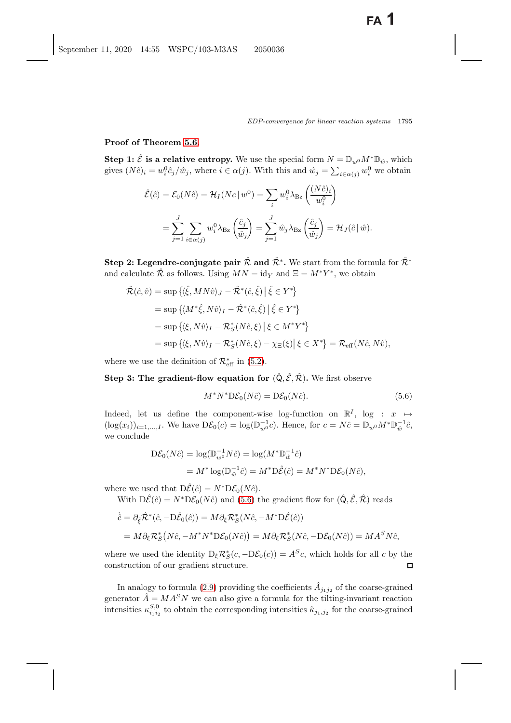**Proof of Theorem [5.6.](#page-29-0)**

**Step 1:**  $\hat{\mathcal{E}}$  is a relative entropy. We use the special form  $N = \mathbb{D}_{w^0} M^* \mathbb{D}_{\hat{w}}$ , which gives  $(N\hat{c})_i = w_i^0 \hat{c}_j / \hat{w}_j$ , where  $i \in \alpha(j)$ . With this and  $\hat{w}_j = \sum_{i \in \alpha(j)} w_i^0$  we obtain

$$
\hat{\mathcal{E}}(\hat{c}) = \mathcal{E}_0(N\hat{c}) = \mathcal{H}_I(Nc \mid w^0) = \sum_i w_i^0 \lambda_{\text{Bz}} \left(\frac{(N\hat{c})_i}{w_i^0}\right)
$$

$$
= \sum_{j=1}^J \sum_{i \in \alpha(j)} w_i^0 \lambda_{\text{Bz}} \left(\frac{\hat{c}_j}{\hat{w}_j}\right) = \sum_{j=1}^J \hat{w}_j \lambda_{\text{Bz}} \left(\frac{\hat{c}_j}{\hat{w}_j}\right) = \mathcal{H}_J(\hat{c} \mid \hat{w}).
$$

**Step 2: Legendre-conjugate pair**  $\hat{\mathcal{R}}$  **and**  $\hat{\mathcal{R}}^*$ **. We start from the formula for**  $\hat{\mathcal{R}}^*$ and calculate  $\hat{\mathcal{R}}$  as follows. Using  $MN = id_Y$  and  $\Xi = M^*Y^*$ , we obtain

$$
\hat{\mathcal{R}}(\hat{c}, \hat{v}) = \sup \left\{ \langle \hat{\xi}, MN\hat{v} \rangle_J - \hat{\mathcal{R}}^*(\hat{c}, \hat{\xi}) \, \middle| \, \hat{\xi} \in Y^* \right\} \n= \sup \left\{ \langle M^* \hat{\xi}, N\hat{v} \rangle_I - \hat{\mathcal{R}}^*(\hat{c}, \hat{\xi}) \, \middle| \, \hat{\xi} \in Y^* \right\} \n= \sup \left\{ \langle \xi, N\hat{v} \rangle_I - \mathcal{R}_S^*(N\hat{c}, \xi) \, \middle| \, \xi \in M^*Y^* \right\} \n= \sup \left\{ \langle \xi, N\hat{v} \rangle_I - \mathcal{R}_S^*(N\hat{c}, \xi) - \chi_{\Xi}(\xi) \, \middle| \, \xi \in X^* \right\} = \mathcal{R}_{\text{eff}}(N\hat{c}, N\hat{v}),
$$

where we use the definition of  $\mathcal{R}^*_{\text{eff}}$  in [\(5.2\)](#page-27-4).

**Step 3: The gradient-flow equation for**  $(\hat{Q}, \hat{\mathcal{E}}, \hat{\mathcal{R}})$ . We first observe

<span id="page-30-0"></span>
$$
M^*N^*D\mathcal{E}_0(N\hat{c}) = D\mathcal{E}_0(N\hat{c}).\tag{5.6}
$$

Indeed, let us define the component-wise log-function on  $\mathbb{R}^I$ , log :  $x \mapsto$  $(\log(x_i))_{i=1,\dots,I}$ . We have  $D\mathcal{E}_0(c) = \log(\mathbb{D}_{w^0}^{-1}c)$ . Hence, for  $c = N\hat{c} = \mathbb{D}_{w^0}M^*\mathbb{D}_{\hat{w}}^{-1}\hat{c}$ , we conclude

$$
\begin{aligned} \mathcal{D}\mathcal{E}_0(N\hat{c}) &= \log(\mathbb{D}_{w^0}^{-1}N\hat{c}) = \log(M^*\mathbb{D}_{\hat{w}}^{-1}\hat{c}) \\ &= M^*\log(\mathbb{D}_{\hat{w}}^{-1}\hat{c}) = M^*\mathcal{D}\hat{\mathcal{E}}(\hat{c}) = M^*N^*\mathcal{D}\mathcal{E}_0(N\hat{c}), \end{aligned}
$$

where we used that  $D\hat{\mathcal{E}}(\hat{c}) = N^* D\mathcal{E}_0(N\hat{c})$ .

With  $D\hat{\mathcal{E}}(\hat{c}) = N^*D\mathcal{E}_0(N\hat{c})$  and [\(5.6\)](#page-30-0) the gradient flow for  $(\hat{Q}, \hat{\mathcal{E}}, \hat{\mathcal{R}})$  reads

$$
\begin{aligned}\n\dot{\hat{c}} &= \partial_{\hat{\xi}} \hat{\mathcal{R}}^*(\hat{c}, -\mathcal{D}\hat{\mathcal{E}}_0(\hat{c})) = M \partial_{\xi} \mathcal{R}_S^*(N\hat{c}, -M^* \mathcal{D}\hat{\mathcal{E}}(\hat{c})) \\
&= M \partial_{\xi} \mathcal{R}_S^*(N\hat{c}, -M^* N^* \mathcal{D}\mathcal{E}_0(N\hat{c})) = M \partial_{\xi} \mathcal{R}_S^*(N\hat{c}, -\mathcal{D}\mathcal{E}_0(N\hat{c})) = M A^S N \hat{c},\n\end{aligned}
$$

where we used the identity  $D_{\xi} \mathcal{R}_{S}^{*}(c, -D\mathcal{E}_{0}(c)) = A^{S}c$ , which holds for all c by the construction of our gradient structure. construction of our gradient structure.

In analogy to formula [\(2.9\)](#page-14-1) providing the coefficients  $\hat{A}_{j_1j_2}$  of the coarse-grained generator  $\widetilde{A} = M A^S N$  we can also give a formula for the tilting-invariant reaction intensities  $\kappa_{i_1 i_2}^{S,0}$  to obtain the corresponding intensities  $\hat{\kappa}_{j_1,j_2}$  for the coarse-grained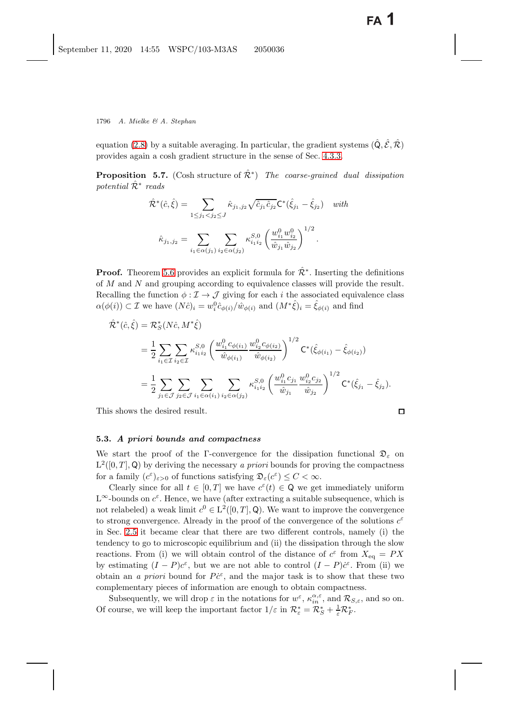<span id="page-31-0"></span>equation [\(2.8\)](#page-13-1) by a suitable averaging. In particular, the gradient systems  $(\hat{Q}, \hat{\mathcal{E}}, \hat{\mathcal{R}})$ provides again a cosh gradient structure in the sense of Sec. [4.3.3.](#page-22-1)

**Proposition 5.7.** (Cosh structure of  $\hat{\mathcal{R}}^*$ ) *The coarse-grained dual dissipation potential* Rˆ<sup>∗</sup> *reads*

$$
\hat{\mathcal{R}}^*(\hat{c}, \hat{\xi}) = \sum_{1 \le j_1 < j_2 \le J} \hat{\kappa}_{j_1, j_2} \sqrt{\hat{c}_{j_1} \hat{c}_{j_2}} \mathsf{C}^*(\hat{\xi}_{j_1} - \hat{\xi}_{j_2}) \quad \text{with}
$$
\n
$$
\hat{\kappa}_{j_1, j_2} = \sum_{i_1 \in \alpha(j_1)} \sum_{i_2 \in \alpha(j_2)} \kappa_{i_1 i_2}^{S, 0} \left( \frac{w_{i_1}^0 w_{i_2}^0}{\hat{w}_{j_1} \hat{w}_{j_2}} \right)^{1/2}.
$$

**Proof.** Theorem [5.6](#page-29-1) provides an explicit formula for  $\mathcal{R}^*$ . Inserting the definitions of M and N and grouping according to equivalence classes will provide the result. Recalling the function  $\phi : \mathcal{I} \to \mathcal{J}$  giving for each i the associated equivalence class  $\alpha(\phi(i)) \subset \mathcal{I}$  we have  $(N\hat{c})_i = w_i^0 \hat{c}_{\phi(i)}/\hat{w}_{\phi(i)}$  and  $(M^*\hat{\xi})_i = \hat{\xi}_{\phi(i)}$  and find

$$
\hat{\mathcal{R}}^{*}(\hat{c}, \hat{\xi}) = \mathcal{R}_{S}^{*}(N\hat{c}, M^{*}\hat{\xi})
$$
\n
$$
= \frac{1}{2} \sum_{i_{1} \in \mathcal{I}} \sum_{i_{2} \in \mathcal{I}} \kappa_{i_{1}i_{2}}^{S,0} \left( \frac{w_{i_{1}}^{0} c_{\phi(i_{1})}}{\hat{w}_{\phi(i_{1})}} \frac{w_{i_{2}}^{0} c_{\phi(i_{2})}}{\hat{w}_{\phi(i_{2})}} \right)^{1/2} \mathbf{C}^{*}(\hat{\xi}_{\phi(i_{1})} - \hat{\xi}_{\phi(i_{2})})
$$
\n
$$
= \frac{1}{2} \sum_{j_{1} \in \mathcal{J}} \sum_{j_{2} \in \mathcal{J}} \sum_{i_{1} \in \alpha(i_{1})} \sum_{i_{2} \in \alpha(j_{2})} \kappa_{i_{1}i_{2}}^{S,0} \left( \frac{w_{i_{1}}^{0} c_{j_{1}}}{\hat{w}_{j_{1}}} \frac{w_{i_{2}}^{0} c_{j_{2}}}{\hat{w}_{j_{2}}} \right)^{1/2} \mathbf{C}^{*}(\hat{\xi}_{j_{1}} - \hat{\xi}_{j_{2}}).
$$

This shows the desired result.

#### <span id="page-31-1"></span>**5.3.** *A priori bounds and compactness*

We start the proof of the Γ-convergence for the dissipation functional  $\mathfrak{D}_{\varepsilon}$  on  $L^2([0,T],\mathbb{Q})$  by deriving the necessary *a priori* bounds for proving the compactness for a family  $(c^{\varepsilon})_{\varepsilon>0}$  of functions satisfying  $\mathfrak{D}_{\varepsilon}(c^{\varepsilon}) \leq C < \infty$ .

Clearly since for all  $t \in [0, T]$  we have  $c^{\varepsilon}(t) \in \mathsf{Q}$  we get immediately uniform  $L^{\infty}$ -bounds on  $c^{\varepsilon}$ . Hence, we have (after extracting a suitable subsequence, which is not relabeled) a weak limit  $c^0 \in L^2([0,T],\mathbb{Q})$ . We want to improve the convergence to strong convergence. Already in the proof of the convergence of the solutions  $c^{\varepsilon}$ in Sec. [2.5](#page-14-2) it became clear that there are two different controls, namely (i) the tendency to go to microscopic equilibrium and (ii) the dissipation through the slow reactions. From (i) we will obtain control of the distance of  $c^{\varepsilon}$  from  $X_{eq} = PX$ by estimating  $(I - P)c^{\varepsilon}$ , but we are not able to control  $(I - P)c^{\varepsilon}$ . From (ii) we obtain an *a priori* bound for  $P\ddot{c}^{\varepsilon}$ , and the major task is to show that these two<br>complementary pieces of information are enough to obtain compactness complementary pieces of information are enough to obtain compactness.

Subsequently, we will drop  $\varepsilon$  in the notations for  $w^{\varepsilon}$ ,  $\kappa_n^{\alpha,\varepsilon}$ , and  $\mathcal{R}_{S,\varepsilon}$ , and so on. Of course, we will keep the important factor  $1/\varepsilon$  in  $\mathcal{R}^*_{\varepsilon} = \mathcal{R}^*_{S} + \frac{1}{\varepsilon} \mathcal{R}^*_{F}$ .

 $\Box$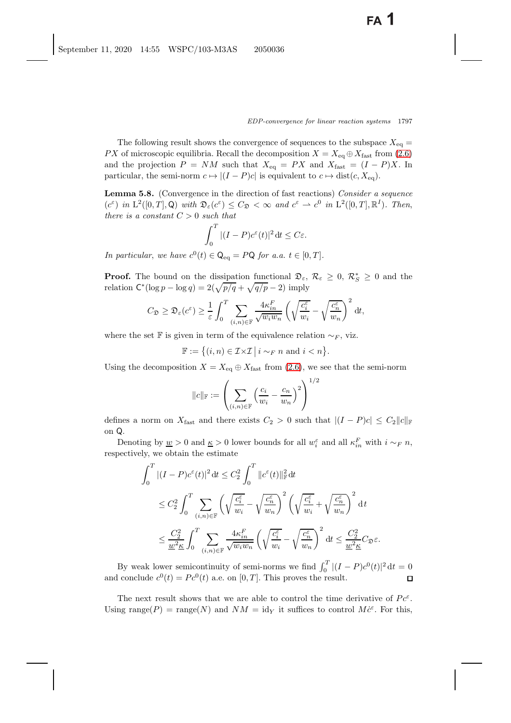The following result shows the convergence of sequences to the subspace  $X_{eq} =$ PX of microscopic equilibria. Recall the decomposition  $X = X_{eq} \oplus X_{fast}$  from [\(2.6\)](#page-12-3) and the projection  $P = NM$  such that  $X_{eq} = PX$  and  $X_{fast} = (I - P)X$ . In particular, the semi-norm  $c \mapsto |(I - P)c|$  is equivalent to  $c \mapsto \text{dist}(c, X_{eq})$ .

<span id="page-32-1"></span><span id="page-32-0"></span>**Lemma 5.8.** (Convergence in the direction of fast reactions) *Consider a sequence*  $(c^{\varepsilon})$  *in*  $L^2([0,T],\mathbb{Q})$  *with*  $\mathfrak{D}_{\varepsilon}(c^{\varepsilon}) \leq C_{\mathfrak{D}} < \infty$  *and*  $c^{\varepsilon} \to c^0$  *in*  $L^2([0,T],\mathbb{R}^I)$ *. Then, there is a constant*  $C > 0$  *such that* 

$$
\int_0^T |(I-P)c^{\varepsilon}(t)|^2 dt \le C\varepsilon.
$$

*In particular, we have*  $c^0(t) \in \mathsf{Q}_{\text{eq}} = PQ$  *for a.a.*  $t \in [0, T]$ *.* 

**Proof.** The bound on the dissipation functional  $\mathfrak{D}_{\varepsilon}$ ,  $\mathcal{R}_{\varepsilon} \geq 0$ ,  $\mathcal{R}_{S}^{*} \geq 0$  and the relation  $C^*(\log p - \log q) = 2(\sqrt{p/q} + \sqrt{q/p} - 2)$  imply

$$
C_{\mathfrak{D}} \geq \mathfrak{D}_{\varepsilon}(c^{\varepsilon}) \geq \frac{1}{\varepsilon} \int_0^T \sum_{(i,n)\in \mathbb{F}} \frac{4\kappa_{in}^F}{\sqrt{w_i w_n}} \left(\sqrt{\frac{c_i^{\varepsilon}}{w_i}} - \sqrt{\frac{c_n^{\varepsilon}}{w_n}}\right)^2 dt,
$$

where the set F is given in term of the equivalence relation  $\sim_F$ , viz.

$$
\mathbb{F} := \{(i, n) \in \mathcal{I} \times \mathcal{I} \mid i \sim_F n \text{ and } i < n\}.
$$

Using the decomposition  $X = X_{eq} \oplus X_{fast}$  from [\(2.6\)](#page-12-3), we see that the semi-norm

$$
\|c\|_{\mathbb{F}}:=\left(\sum_{(i,n)\in\mathbb{F}}\left(\frac{c_i}{w_i}-\frac{c_n}{w_n}\right)^2\right)^{1/2}
$$

defines a norm on  $X_{\text{fast}}$  and there exists  $C_2 > 0$  such that  $|(I - P)c| \leq C_2 ||c||_{\mathbb{F}}$ on Q.

Denoting by  $\underline{w} > 0$  and  $\underline{\kappa} > 0$  lower bounds for all  $w_i^{\varepsilon}$  and all  $\kappa_{in}^F$  with  $i \sim_F n$ , respectively, we obtain the estimate

$$
\int_0^T |(I - P)c^{\varepsilon}(t)|^2 dt \leq C_2^2 \int_0^T \|c^{\varepsilon}(t)\|_{\mathbb{F}}^2 dt
$$
  
\n
$$
\leq C_2^2 \int_0^T \sum_{(i,n)\in\mathbb{F}} \left(\sqrt{\frac{c_i^{\varepsilon}}{w_i}} - \sqrt{\frac{c_n^{\varepsilon}}{w_n}}\right)^2 \left(\sqrt{\frac{c_i^{\varepsilon}}{w_i}} + \sqrt{\frac{c_n^{\varepsilon}}{w_n}}\right)^2 dt
$$
  
\n
$$
\leq \frac{C_2^2}{\underline{w}^2 \underline{\kappa}} \int_0^T \sum_{(i,n)\in\mathbb{F}} \frac{4\kappa_{in}^F}{\sqrt{w_i w_n}} \left(\sqrt{\frac{c_i^{\varepsilon}}{w_i}} - \sqrt{\frac{c_n^{\varepsilon}}{w_n}}\right)^2 dt \leq \frac{C_2^2}{\underline{w}^2 \underline{\kappa}} C_2 \varepsilon.
$$

By weak lower semicontinuity of semi-norms we find  $\int_0^T |(I - P)c^0(t)|^2 dt = 0$ and conclude  $c^0(t) = Pc^0(t)$  a.e. on  $[0, T]$ . This proves the result.

The next result shows that we are able to control the time derivative of  $Pc^{\varepsilon}$ . Using range(P) = range(N) and  $NM = id_Y$  it suffices to control  $M\dot{c}^{\varepsilon}$ . For this,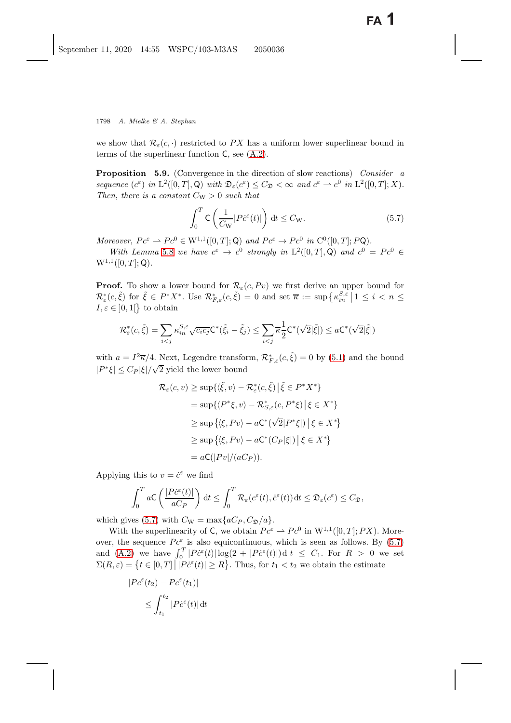<span id="page-33-2"></span><span id="page-33-1"></span>we show that  $\mathcal{R}_{\varepsilon}(c, \cdot)$  restricted to PX has a uniform lower superlinear bound in terms of the superlinear function C, see [\(A.2\)](#page-40-13).

**Proposition 5.9.** (Convergence in the direction of slow reactions) *Consider a sequence*  $(c^{\varepsilon})$  *in*  $L^2([0,T],\mathbb{Q})$  *with*  $\mathfrak{D}_{\varepsilon}(c^{\varepsilon}) \leq C_{\mathfrak{D}} < \infty$  *and*  $c^{\varepsilon} \to c^0$  *in*  $L^2([0,T];X)$ *. Then, there is a constant*  $C_W > 0$  *such that* 

<span id="page-33-0"></span>
$$
\int_0^T \mathsf{C} \left( \frac{1}{C_W} |P \dot{c}^\varepsilon(t)| \right) dt \le C_W. \tag{5.7}
$$

*Moreover*,  $Pc^{\varepsilon} \rightharpoonup Pc^0 \in W^{1,1}([0,T];\mathbb{Q})$  and  $Pc^{\varepsilon} \rightharpoonup Pc^0$  in  $C^0([0,T];P\mathbb{Q})$ .<br>With Lemma 5.8 and have  $c^{\varepsilon} \rightharpoonup c^0$  strongly in  $L^2([0,T],\mathbb{Q})$  and  $c^0 \rightharpoonup c^0$ .

*With Lemma* [5.8](#page-32-0) *we have*  $c^{\varepsilon} \to c^0$  *strongly in*  $L^2([0, T], \mathcal{Q})$  *and*  $c^0 = Pc^0 \in$  $W^{1,1}([0,T];Q)$ .

**Proof.** To show a lower bound for  $\mathcal{R}_{\varepsilon}(c, Pv)$  we first derive an upper bound for  $\mathcal{R}_{\varepsilon}^*(c, \tilde{\xi})$  for  $\tilde{\xi} \in P^*X^*$ . Use  $\mathcal{R}_{F,\varepsilon}^*(c, \tilde{\xi}) = 0$  and set  $\overline{\kappa} := \sup \left\{ \kappa_{in}^{S,\varepsilon} \, | \, 1 \leq i < n \leq I_{\varepsilon} \leq 0 \right\}$  $I, \varepsilon \in ]0,1[\}$  to obtain

$$
\mathcal{R}_{\varepsilon}^*(c,\tilde{\xi}) = \sum_{i < j} \kappa_{in}^{S,\varepsilon} \sqrt{c_i c_j} \mathsf{C}^*(\tilde{\xi}_i - \tilde{\xi}_j) \le \sum_{i < j} \overline{\kappa} \frac{1}{2} \mathsf{C}^*(\sqrt{2}|\tilde{\xi}|) \le a \mathsf{C}^*(\sqrt{2}|\tilde{\xi}|)
$$

with  $a = I^2 \overline{\kappa}/4$ . Next, Legendre transform,  $\mathcal{R}_{F,\varepsilon}^*(c,\tilde{\xi}) = 0$  by [\(5.1\)](#page-27-5) and the bound  $|P^*\xi| \leq C_P |\xi| / \sqrt{2}$  yield the lower bound

$$
\mathcal{R}_{\varepsilon}(c, v) \ge \sup \{ \langle \tilde{\xi}, v \rangle - \mathcal{R}_{\varepsilon}^{*}(c, \tilde{\xi}) \, \big| \, \tilde{\xi} \in P^{*}X^{*} \}
$$
\n
$$
= \sup \{ \langle P^{*}\xi, v \rangle - \mathcal{R}_{S,\varepsilon}^{*}(c, P^{*}\xi) \, \big| \, \xi \in X^{*} \}
$$
\n
$$
\ge \sup \{ \langle \xi, P v \rangle - a C^{*} (\sqrt{2} | P^{*}\xi |) \, \big| \, \xi \in X^{*} \}
$$
\n
$$
\ge \sup \{ \langle \xi, P v \rangle - a C^{*} (C_{P} |\xi|) \, \big| \, \xi \in X^{*} \}
$$
\n
$$
= a C (|P v| / (a C_{P})).
$$

Applying this to  $v = \dot{c}^{\varepsilon}$  we find

$$
\int_0^T aC\left(\frac{|P\dot{c}^{\varepsilon}(t)|}{aC_P}\right) dt \leq \int_0^T \mathcal{R}_{\varepsilon}(c^{\varepsilon}(t),\dot{c}^{\varepsilon}(t)) dt \leq \mathfrak{D}_{\varepsilon}(c^{\varepsilon}) \leq C_{\mathfrak{D}},
$$

which gives [\(5.7\)](#page-33-0) with  $C_{\rm W} = \max\{aC_P, C_{\mathfrak{D}}/a\}.$ 

With the superlinearity of C, we obtain  $Pc^{\varepsilon} \to Pc^0$  in  $W^{1,1}([0,T];PX)$ . Moreover, the sequence  $Pc^{\varepsilon}$  is also equicontinuous, which is seen as follows. By [\(5.7\)](#page-33-0) and [\(A.2\)](#page-40-13) we have  $\int_0^T |P\dot{\epsilon}(\epsilon)| \log(2 + |P\dot{\epsilon}(\epsilon)|) d\epsilon \leq C_1$ . For  $R > 0$  we set<br> $\Sigma(P, \epsilon) = \int_0^T |P\dot{\epsilon}(\epsilon)| \leq R$ . Thus, for  $t \leq t$ , we obtain the estimate  $\Sigma(R,\varepsilon) = \left\{ t \in [0,T] \, \big| \, |P\dot{c}^{\varepsilon}(t)| \ge R \right\}.$  Thus, for  $t_1 < t_2$  we obtain the estimate

$$
|Pc^{\varepsilon}(t_2) - Pc^{\varepsilon}(t_1)|
$$
  

$$
\leq \int_{t_1}^{t_2} |P\dot{c}^{\varepsilon}(t)| dt
$$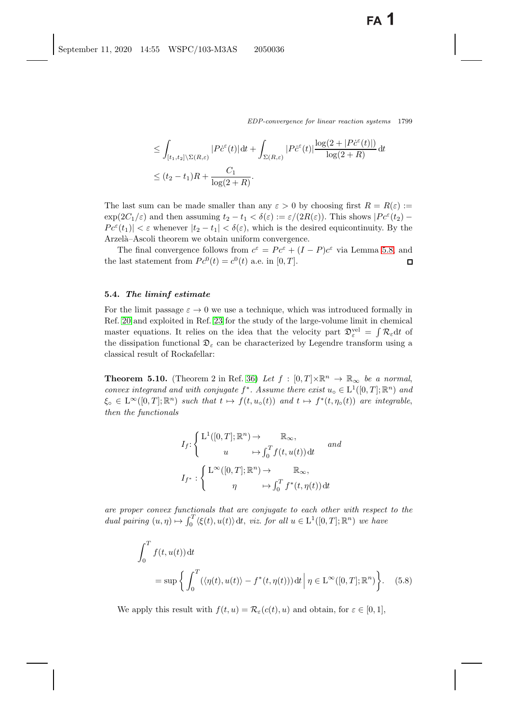$$
\leq \int_{[t_1, t_2] \setminus \Sigma(R, \varepsilon)} |P \dot{c}^{\varepsilon}(t)| dt + \int_{\Sigma(R, \varepsilon)} |P \dot{c}^{\varepsilon}(t)| \frac{\log(2 + |P \dot{c}^{\varepsilon}(t)|)}{\log(2 + R)} dt
$$
  

$$
\leq (t_2 - t_1)R + \frac{C_1}{\log(2 + R)}.
$$

The last sum can be made smaller than any  $\varepsilon > 0$  by choosing first  $R = R(\varepsilon) :=$  $\exp(2C_1/\varepsilon)$  and then assuming  $t_2 - t_1 < \delta(\varepsilon) := \varepsilon/(2R(\varepsilon))$ . This shows  $|Pc^{\varepsilon}(t_2) |P c^{\varepsilon}(t_1)| < \varepsilon$  whenever  $|t_2 - t_1| < \delta(\varepsilon)$ , which is the desired equicontinuity. By the Arzelà–Ascoli theorem we obtain uniform convergence.

The final convergence follows from  $c^{\varepsilon} = Pc^{\varepsilon} + (I - P)c^{\varepsilon}$  via Lemma [5.8,](#page-32-1) and last statement from  $Pe^{0}(t) = c^{0}(t)$  a.e. in [0, T]. the last statement from  $P c^0(t) = c^0(t)$  a.e. in [0, T].

#### <span id="page-34-0"></span>**5.4.** *The liminf estimate*

For the limit passage  $\varepsilon \to 0$  we use a technique, which was introduced formally in Ref. [20](#page-41-10) and exploited in Ref. [23](#page-41-6) for the study of the large-volume limit in chemical master equations. It relies on the idea that the velocity part  $\mathcal{D}^{\text{vel}}_{\varepsilon} = \int \mathcal{R}_{\varepsilon} dt$  of<br>the dissipation functional  $\mathcal{D}_{\varepsilon}$  can be characterized by Legandre transform using a the dissipation functional  $\mathfrak{D}_{\varepsilon}$  can be characterized by Legendre transform using a classical result of Rockafellar:

**Theorem 5.10.** (Theorem 2 in Ref. [36\)](#page-42-9) Let  $f : [0, T] \times \mathbb{R}^n \to \mathbb{R}_{\infty}$  be a normal, *convex integrand and with conjugate*  $f^*$ *. Assume there exist*  $u_0 \in L^1([0, T]; \mathbb{R}^n)$  *and*  $\xi_{\circ} \in L^{\infty}([0,T];\mathbb{R}^n)$  *such that*  $t \mapsto f(t, u_{\circ}(t))$  *and*  $t \mapsto f^*(t, \eta_{\circ}(t))$  *are integrable, then the functionals*

$$
I_f: \begin{cases} L^1([0,T];\mathbb{R}^n) \to & \mathbb{R}_{\infty}, \\ u & \mapsto \int_0^T f(t,u(t)) dt \end{cases} and
$$

$$
I_{f^*}: \begin{cases} L^{\infty}([0,T];\mathbb{R}^n) \to & \mathbb{R}_{\infty}, \\ \eta & \mapsto \int_0^T f^*(t,\eta(t)) dt \end{cases}
$$

*are proper convex functionals that are conjugate to each other with respect to the dual pairing*  $(u, \eta) \mapsto \int_0^T \langle \xi(t), u(t) \rangle dt$ , *viz. for all*  $u \in L^1([0, T]; \mathbb{R}^n)$  *we have* 

$$
\int_0^T f(t, u(t)) dt
$$
  
= sup  $\left\{ \int_0^T (\langle \eta(t), u(t) \rangle - f^*(t, \eta(t))) dt \, \middle| \, \eta \in \mathcal{L}^{\infty}([0, T]; \mathbb{R}^n) \right\}.$  (5.8)

We apply this result with  $f(t, u) = \mathcal{R}_{\varepsilon}(c(t), u)$  and obtain, for  $\varepsilon \in [0, 1],$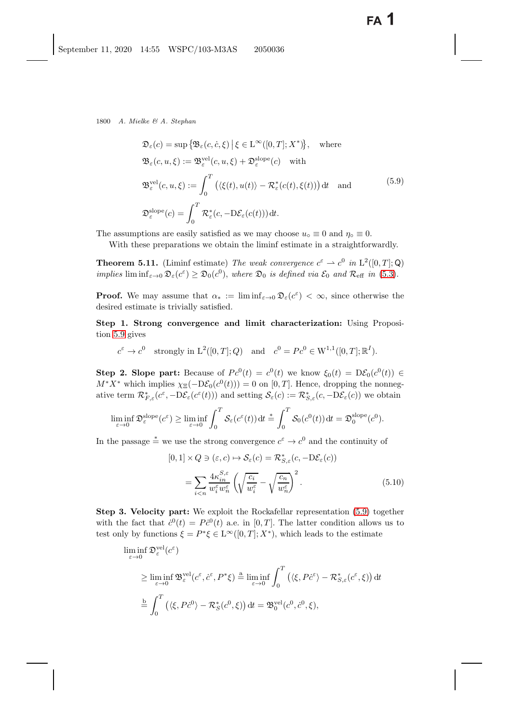<span id="page-35-1"></span><span id="page-35-0"></span>
$$
\mathfrak{D}_{\varepsilon}(c) = \sup \{ \mathfrak{B}_{\varepsilon}(c, \dot{c}, \xi) \, \big| \, \xi \in \mathcal{L}^{\infty}([0, T]; X^*) \}, \quad \text{where}
$$
\n
$$
\mathfrak{B}_{\varepsilon}(c, u, \xi) := \mathfrak{B}_{\varepsilon}^{\text{vel}}(c, u, \xi) + \mathfrak{D}_{\varepsilon}^{\text{slope}}(c) \quad \text{with}
$$
\n
$$
\mathfrak{B}_{\varepsilon}^{\text{vel}}(c, u, \xi) := \int_{0}^{T} \left( \langle \xi(t), u(t) \rangle - \mathcal{R}_{\varepsilon}^{*}(c(t), \xi(t)) \right) dt \quad \text{and}
$$
\n
$$
\mathfrak{D}_{\varepsilon}^{\text{slope}}(c) = \int_{0}^{T} \mathcal{R}_{\varepsilon}^{*}(c, -\mathcal{D}\mathcal{E}_{\varepsilon}(c(t))) dt.
$$
\n(5.9)

The assumptions are easily satisfied as we may choose  $u_0 \equiv 0$  and  $\eta_0 \equiv 0$ .

<span id="page-35-3"></span>With these preparations we obtain the liminf estimate in a straightforwardly.

**Theorem 5.11.** (Liminf estimate) *The weak convergence*  $c^{\varepsilon} \rightharpoonup c^0$  *in*  $L^2([0, T]; Q)$ *implies* lim  $\inf_{\varepsilon \to 0} \mathfrak{D}_{\varepsilon}(c^{\varepsilon}) \geq \mathfrak{D}_{0}(c^{0}),$  *where*  $\mathfrak{D}_{0}$  *is defined via*  $\mathcal{E}_{0}$  *and*  $\mathcal{R}_{\text{eff}}$  *in* [\(5.3\)](#page-27-6).

**Proof.** We may assume that  $\alpha_* := \liminf_{\varepsilon \to 0} \mathfrak{D}_{\varepsilon}(c^{\varepsilon}) < \infty$ , since otherwise the desired estimate is trivially satisfied.

**Step 1. Strong convergence and limit characterization:** Using Proposition [5.9](#page-33-1) gives

$$
c^{\varepsilon} \to c^0
$$
 strongly in L<sup>2</sup>([0, T]; Q) and  $c^0 = Pe^0 \in W^{1,1}([0, T]; \mathbb{R}^I)$ .

**Step 2. Slope part:** Because of  $Pe^{0}(t) = c^{0}(t)$  we know  $\xi_{0}(t)=D\mathcal{E}_{0}(c^{0}(t)) \in$  $M^*X^*$  which implies  $\chi_{\Xi}(-D\mathcal{E}_0(c^0(t)))=0$  on [0, T]. Hence, dropping the nonnegative term  $\mathcal{R}_{F,\varepsilon}^*(c^{\varepsilon}, -D\mathcal{E}_{\varepsilon}(c^{\varepsilon}(t)))$  and setting  $\mathcal{S}_{\varepsilon}(c) := \mathcal{R}_{S,\varepsilon}^*(c, -D\mathcal{E}_{\varepsilon}(c))$  we obtain

$$
\liminf_{\varepsilon \to 0} \mathfrak{D}^{\text{slope}}_{\varepsilon}(c^{\varepsilon}) \ge \liminf_{\varepsilon \to 0} \int_0^T \mathcal{S}_{\varepsilon}(c^{\varepsilon}(t)) dt \stackrel{*}{=} \int_0^T \mathcal{S}_0(c^0(t)) dt = \mathfrak{D}^{\text{slope}}_0(c^0).
$$

In the passage  $\stackrel{*}{=}$  we use the strong convergence  $c^{\varepsilon} \to c^0$  and the continuity of

<span id="page-35-2"></span>
$$
[0,1] \times Q \ni (\varepsilon, c) \mapsto \mathcal{S}_{\varepsilon}(c) = \mathcal{R}_{S,\varepsilon}^{*}(c, -D\mathcal{E}_{\varepsilon}(c))
$$

$$
= \sum_{i \le n} \frac{4\kappa_{in}^{S,\varepsilon}}{w_{i}^{\varepsilon}w_{n}^{\varepsilon}} \left(\sqrt{\frac{c_{i}}{w_{i}^{\varepsilon}}} - \sqrt{\frac{c_{n}}{w_{n}^{\varepsilon}}}\right)^{2}.
$$
(5.10)

**Step 3. Velocity part:** We exploit the Rockafellar representation [\(5.9\)](#page-35-0) together with the fact that  $\dot{c}^0(t) = P\dot{c}^0(t)$  a.e. in [0, T]. The latter condition allows us to the condition by functions  $\xi = P^* \xi \in \Gamma^\infty([0, T], Y^*)$  which loods to the estimate test only by functions  $\xi = P^*\xi \in L^\infty([0,T];X^*)$ , which leads to the estimate

$$
\liminf_{\varepsilon \to 0} \mathfrak{D}_{\varepsilon}^{\text{vel}}(c^{\varepsilon})
$$
\n
$$
\geq \liminf_{\varepsilon \to 0} \mathfrak{B}_{\varepsilon}^{\text{vel}}(c^{\varepsilon}, \dot{c}^{\varepsilon}, P^*\xi) \stackrel{\text{a}}{=} \liminf_{\varepsilon \to 0} \int_0^T \left( \langle \xi, P\dot{c}^{\varepsilon} \rangle - \mathcal{R}_{S,\varepsilon}^*(c^{\varepsilon}, \xi) \right) dt
$$
\n
$$
\stackrel{\text{b}}{=} \int_0^T \left( \langle \xi, P\dot{c}^0 \rangle - \mathcal{R}_S^*(c^0, \xi) \right) dt = \mathfrak{B}_0^{\text{vel}}(c^0, \dot{c}^0, \xi),
$$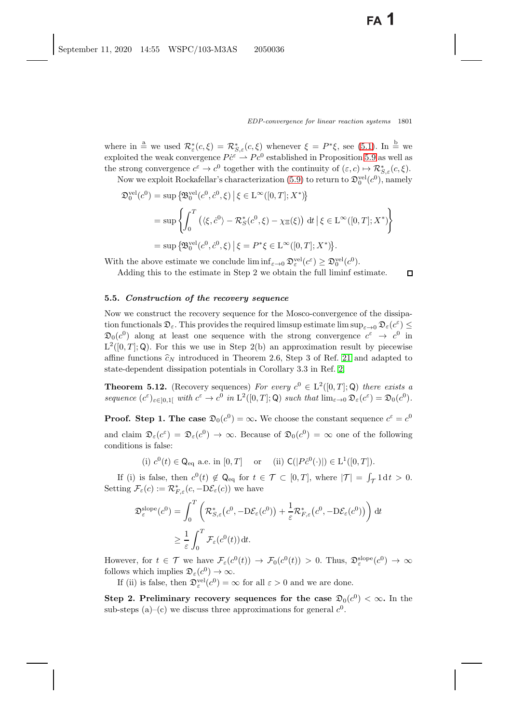$\Box$ 

where in  $\stackrel{\text{a}}{=}$  we used  $\mathcal{R}_{\varepsilon}^*(c,\xi) = \mathcal{R}_{S,\varepsilon}^*(c,\xi)$  whenever  $\xi = P^*\xi$ , see [\(5.1\)](#page-27-7). In  $\stackrel{\text{b}}{=}$  we<br>exploited the weak convergence  $P_{\varepsilon}^*\stackrel{\sim}{\to} P_{\varepsilon}^0$  established in Proposition 5.9 as well as exploited the weak convergence  $P\dot{c}^{\varepsilon} \rightharpoonup P c^0$  established in Proposition [5.9](#page-33-2) as well as<br>the strong convergence  $c^{\varepsilon} \rightharpoonup c^0$  together with the continuity of  $(c, c) \rightharpoonup P^*$ ,  $(c, \varepsilon)$ the strong convergence  $c^{\varepsilon} \to c^0$  together with the continuity of  $(\varepsilon, c) \mapsto \mathcal{R}_{S,\varepsilon}^*(c, \xi)$ .<br>Now we exploit Bockafellar's characterization (5.9) to return to  $\mathbb{R}^{vel}(c^0)$ , namely

Now we exploit Rockafellar's characterization [\(5.9\)](#page-35-1) to return to  $\mathfrak{D}_0^{\text{vel}}(c^0)$ , namely

$$
\mathfrak{D}_0^{\text{vel}}(c^0) = \sup \left\{ \mathfrak{B}_0^{\text{vel}}(c^0, \dot{c}^0, \xi) \, \middle| \, \xi \in \mathcal{L}^{\infty}([0, T]; X^*) \right\}
$$
\n
$$
= \sup \left\{ \int_0^T \left( \langle \xi, \dot{c}^0 \rangle - \mathcal{R}_S^*(c^0, \xi) - \chi_{\Xi}(\xi) \right) \, \mathrm{d}t \, \middle| \, \xi \in \mathcal{L}^{\infty}([0, T]; X^*) \right\}
$$
\n
$$
= \sup \left\{ \mathfrak{B}_0^{\text{vel}}(c^0, \dot{c}^0, \xi) \, \middle| \, \xi = P^* \xi \in \mathcal{L}^{\infty}([0, T]; X^*) \right\}.
$$

With the above estimate we conclude  $\liminf_{\varepsilon \to 0} \mathfrak{D}_{\varepsilon}^{\text{vel}}(c^{\varepsilon}) \geq \mathfrak{D}_{0}^{\text{vel}}(c^{0}).$ 

Adding this to the estimate in Step 2 we obtain the full liminf estimate.

### <span id="page-36-0"></span>**5.5.** *Construction of the recovery sequence*

Now we construct the recovery sequence for the Mosco-convergence of the dissipation functionals  $\mathfrak{D}_{\varepsilon}$ . This provides the required limsup estimate lim $\sup_{\varepsilon\to 0} \mathfrak{D}_{\varepsilon}(c^{\varepsilon}) \leq$  $\mathfrak{D}_0(c^0)$  along at least one sequence with the strong convergence  $c^{\varepsilon} \to c^0$  in  $L^2([0,T];Q)$ . For this we use in Step 2(b) an approximation result by piecewise affine functions  $\hat{c}_N$  introduced in Theorem 2.6, Step 3 of Ref. [21](#page-41-29) and adapted to state-dependent dissipation potentials in Corollary 3.3 in Ref. [2.](#page-40-14)

**Theorem 5.12.** (Recovery sequences) *For every*  $c^0 \in L^2([0,T];\mathbb{Q})$  *there exists a sequence*  $(c^{\varepsilon})_{\varepsilon \in [0,1]}$  *with*  $c^{\varepsilon} \to c^0$  *in*  $L^2([0,T];\mathbb{Q})$  *such that*  $\lim_{\varepsilon \to 0} \mathfrak{D}_{\varepsilon}(c^{\varepsilon}) = \mathfrak{D}_0(c^0)$ *.* 

**Proof.** Step 1. The case  $\mathfrak{D}_0(c^0) = \infty$ . We choose the constant sequence  $c^{\varepsilon} = c^0$ and claim  $\mathfrak{D}_{\varepsilon}(c^{\varepsilon}) = \mathfrak{D}_{\varepsilon}(c^0) \to \infty$ . Because of  $\mathfrak{D}_{0}(c^0) = \infty$  one of the following conditions is false:

(i)  $c^0(t) \in \mathsf{Q}_{\text{eq}}$  a.e. in  $[0, T]$  or (ii)  $\mathsf{C}(|P\dot{c}^0(\cdot)|) \in \mathrm{L}^1([0, T]).$ 

If (i) is false, then  $c^0(t) \notin \mathbb{Q}_{eq}$  for  $t \in \mathcal{T} \subset [0,T]$ , where  $|\mathcal{T}| = \int_{\mathcal{T}} 1 dt > 0$ . Setting  $\mathcal{F}_{\varepsilon}(c) := \mathcal{R}_{F,\varepsilon}^*(c, -D\mathcal{E}_{\varepsilon}(c))$  we have

$$
\mathfrak{D}_{\varepsilon}^{\text{slope}}(c^0) = \int_0^T \left( \mathcal{R}_{S,\varepsilon}^*(c^0, -D\mathcal{E}_{\varepsilon}(c^0)) + \frac{1}{\varepsilon} \mathcal{R}_{F,\varepsilon}^*(c^0, -D\mathcal{E}_{\varepsilon}(c^0)) \right) dt
$$
  
 
$$
\geq \frac{1}{\varepsilon} \int_0^T \mathcal{F}_{\varepsilon}(c^0(t)) dt.
$$

However, for  $t \in \mathcal{T}$  we have  $\mathcal{F}_{\varepsilon}(c^0(t)) \to \mathcal{F}_0(c^0(t)) > 0$ . Thus,  $\mathfrak{D}_{\varepsilon}^{\text{slope}}(c^0) \to \infty$ follows which implies  $\mathfrak{D}_{\varepsilon}(c^0) \to \infty$ .

If (ii) is false, then  $\mathfrak{D}_{\varepsilon}^{\text{vel}}(c^0) = \infty$  for all  $\varepsilon > 0$  and we are done.

**Step 2. Preliminary recovery sequences for the case**  $\mathfrak{D}_0(c^0) < \infty$ **.** In the sub-steps (a)–(c) we discuss three approximations for general  $c^0$ .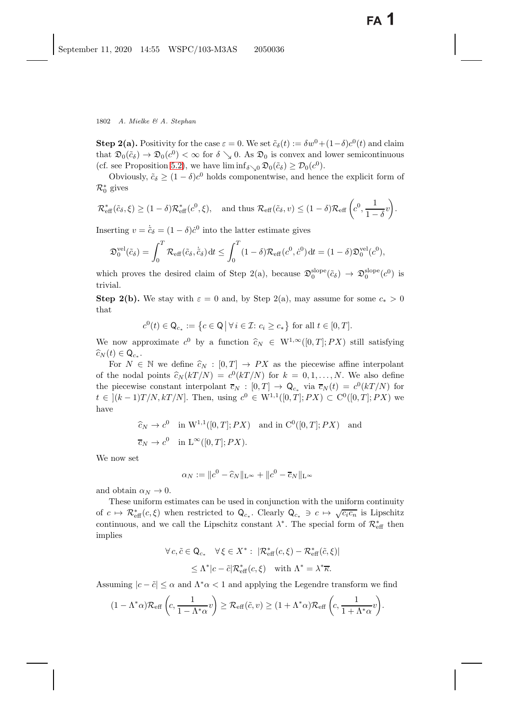**Step 2(a).** Positivity for the case  $\varepsilon = 0$ . We set  $\tilde{c}_{\delta}(t) := \delta w^0 + (1-\delta)c^0(t)$  and claim that  $\mathfrak{D}_0(\tilde{c}_\delta) \to \mathfrak{D}_0(c^0) < \infty$  for  $\delta \searrow 0$ . As  $\mathfrak{D}_0$  is convex and lower semicontinuous (cf. see Proposition [5.2\)](#page-26-2), we have  $\liminf_{\delta \searrow 0} \mathfrak{D}_0(\tilde{c}_{\delta}) \geq \mathcal{D}_0(c^0)$ .

Obviously,  $\tilde{c}_\delta \geq (1 - \delta)c^0$  holds componentwise, and hence the explicit form of  $\mathcal{R}_0^*$  gives

$$
\mathcal{R}^*_{\text{eff}}(\tilde{c}_{\delta}, \xi) \ge (1 - \delta) \mathcal{R}^*_{\text{eff}}(c^0, \xi), \quad \text{and thus } \mathcal{R}_{\text{eff}}(\tilde{c}_{\delta}, v) \le (1 - \delta) \mathcal{R}_{\text{eff}}\left(c^0, \frac{1}{1 - \delta}v\right).
$$

Inserting  $v = \tilde{c}_{\delta} = (1 - \delta)\dot{c}^0$  into the latter estimate gives

$$
\mathfrak{D}_0^{\text{vel}}(\tilde{c}_{\delta}) = \int_0^T \mathcal{R}_{\text{eff}}(\tilde{c}_{\delta}, \dot{\tilde{c}}_{\delta}) dt \le \int_0^T (1 - \delta) \mathcal{R}_{\text{eff}}(c^0, \dot{c}^0) dt = (1 - \delta) \mathfrak{D}_0^{\text{vel}}(c^0),
$$

which proves the desired claim of Step 2(a), because  $\mathfrak{D}_0^{\text{slope}}(\tilde{c}_\delta) \to \mathfrak{D}_0^{\text{slope}}(c^0)$  is trivial trivial.

**Step 2(b).** We stay with  $\varepsilon = 0$  and, by Step 2(a), may assume for some  $c_* > 0$ that

$$
c^{0}(t) \in \mathsf{Q}_{c_{*}} := \left\{ c \in \mathsf{Q} \, \middle| \, \forall \, i \in \mathcal{I}: c_{i} \ge c_{*} \right\} \text{ for all } t \in [0, T].
$$

We now approximate  $c^0$  by a function  $\hat{c}_N \in W^{1,\infty}([0,T]; PX)$  still satisfying  $\widehat{c}_N (t) \in \mathsf{Q}_{c_*}.$ 

For  $N \in \mathbb{N}$  we define  $\hat{c}_N : [0, T] \to PX$  as the piecewise affine interpolant of the nodal points  $\hat{c}_N (kT /N) = c^0 (kT /N)$  for  $k = 0, 1, ..., N$ . We also define the piecewise constant interpolant  $\overline{c}_N : [0, T] \to \mathbb{Q}_{c_*}$  via  $\overline{c}_N(t) = c^0(kT/N)$  for  $t \in [(k-1)T/N, kT/N]$ . Then, using  $c^0 \in W^{1,1}([0,T];PX) \subset C^0([0,T];PX)$  we have

$$
\widehat{c}_N \to c^0 \quad \text{in } W^{1,1}([0,T];PX) \quad \text{and in } C^0([0,T];PX) \quad \text{and}
$$
  

$$
\overline{c}_N \to c^0 \quad \text{in } \mathcal{L}^{\infty}([0,T];PX).
$$

We now set

$$
\alpha_N := \|c^0 - \widehat{c}_N\|_{\mathcal{L}^\infty} + \|c^0 - \overline{c}_N\|_{\mathcal{L}^\infty}
$$

and obtain  $\alpha_N \to 0$ .

These uniform estimates can be used in conjunction with the uniform continuity of  $c \mapsto \mathcal{R}_{\text{eff}}^*(c, \xi)$  when restricted to  $\mathsf{Q}_{c_*}$ . Clearly  $\mathsf{Q}_{c_*} \ni c \mapsto \sqrt{c_i c_n}$  is Lipschitz<br>continuous and we call the Lipschitz constant  $\lambda^*$ . The special form of  $\mathcal{R}^*$ , then continuous, and we call the Lipschitz constant  $\lambda^*$ . The special form of  $\mathcal{R}^*_{\text{eff}}$  then implies implies

$$
\forall c, \tilde{c} \in \mathsf{Q}_{c_*} \quad \forall \xi \in X^* : \ |\mathcal{R}_{\text{eff}}^*(c, \xi) - \mathcal{R}_{\text{eff}}^*(\tilde{c}, \xi)|
$$
  

$$
\leq \Lambda^* |c - \tilde{c}| \mathcal{R}_{\text{eff}}^*(c, \xi) \quad \text{with } \Lambda^* = \lambda^* \overline{\kappa}.
$$

Assuming  $|c - \tilde{c}| \le \alpha$  and  $\Lambda^* \alpha < 1$  and applying the Legendre transform we find

$$
(1 - \Lambda^* \alpha) \mathcal{R}_{\text{eff}}\left(c, \frac{1}{1 - \Lambda^* \alpha} v\right) \geq \mathcal{R}_{\text{eff}}(\tilde{c}, v) \geq (1 + \Lambda^* \alpha) \mathcal{R}_{\text{eff}}\left(c, \frac{1}{1 + \Lambda^* \alpha} v\right).
$$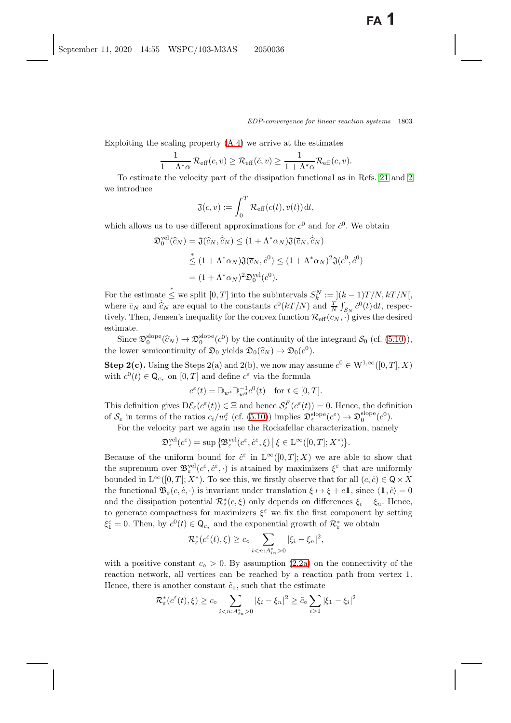Exploiting the scaling property  $(A.4)$  we arrive at the estimates

$$
\frac{1}{1-\Lambda^*\alpha} \mathcal{R}_{\text{eff}}(c,v) \geq \mathcal{R}_{\text{eff}}(\tilde{c},v) \geq \frac{1}{1+\Lambda^*\alpha} \mathcal{R}_{\text{eff}}(c,v).
$$

 $1 - \Lambda^* \alpha$ <br>To estimate the velocity part of the dissipation functional as in Refs. [21](#page-41-29) and [2](#page-40-14) we introduce

$$
\mathfrak{J}(c,v) := \int_0^T \mathcal{R}_{\text{eff}}(c(t), v(t)) dt,
$$

which allows us to use different approximations for  $c^0$  and for  $\dot{c}^0$ . We obtain

$$
\mathfrak{D}_0^{\text{vel}}(\hat{c}_N) = \mathfrak{J}(\hat{c}_N, \hat{c}_N) \le (1 + \Lambda^* \alpha_N) \mathfrak{J}(\overline{c}_N, \hat{c}_N)
$$
  

$$
\stackrel{*}{\le} (1 + \Lambda^* \alpha_N) \mathfrak{J}(\overline{c}_N, \dot{c}^0) \le (1 + \Lambda^* \alpha_N)^2 \mathfrak{J}(c^0, \dot{c}^0)
$$
  

$$
= (1 + \Lambda^* \alpha_N)^2 \mathfrak{D}_0^{\text{vel}}(c^0).
$$

For the estimate  $\leq$  we split  $[0, T]$  into the subintervals  $S_k^N$ <br>where  $\overline{z}_N$  and  $\hat{z}_N$  are equal to the constants  $c^0(kT/N)$  and  $k_k^N := [(k-1)T/N, kT/N],$ <br>and  $T = (e^{0}(t))dt$  respect where  $\bar{c}_N$  and  $\hat{c}_N$  are equal to the constants  $c^0(kT/N)$  and  $\frac{T}{N}\int_{S_N} c^0(t) dt$ , respec-<br>tivoly. Then, Jonson's inequality for the convoy function  $\mathcal{R}_{\alpha}(\bar{c}_N)$  gives the desired tively. Then, Jensen's inequality for the convex function  $\mathcal{R}_{\text{eff}}(\overline{c}_N, \cdot)$  gives the desired estimate.

Since  $\mathfrak{D}_0^{\text{slope}}(\hat{c}_N) \to \mathfrak{D}_0^{\text{slope}}(c^0)$  by the continuity of the integrand  $\mathcal{S}_0$  (cf. [\(5.10\)](#page-35-2)), the lower semicontinuity of  $\mathfrak{D}_0$  yields  $\mathfrak{D}_0(\widehat{c}_N) \to \mathfrak{D}_0(c^0)$ .

**Step 2(c).** Using the Steps 2(a) and 2(b), we now may assume  $c^0 \in W^{1,\infty}([0,T], X)$ with  $c^0(t) \in \mathsf{Q}_{c_*}$  on  $[0, T]$  and define  $c^{\varepsilon}$  via the formula

$$
c^{\varepsilon}(t) = \mathbb{D}_{w^{\varepsilon}} \mathbb{D}_{w^0}^{-1} c^0(t) \quad \text{for } t \in [0, T].
$$

This definition gives  $D\mathcal{E}_{\varepsilon}(c^{\varepsilon}(t)) \in \Xi$  and hence  $\mathcal{S}_{\varepsilon}^{F}(c^{\varepsilon}(t)) = 0$ . Hence, the definition<br>of S in terms of the ratios  $c_1/w^{\varepsilon}(cf_1(5.10))$  implies  $\mathcal{S}^{\text{slope}}(c^{\varepsilon}) \to \mathcal{S}^{\text{slope}}(c^0)$ of  $\mathcal{S}_{\varepsilon}$  in terms of the ratios  $c_i/w_i^{\varepsilon}$  (cf. [\(5.10\)](#page-35-2)) implies  $\mathfrak{D}_{\varepsilon}^{\text{slope}}(c^{\varepsilon}) \to \mathfrak{D}_{0}^{\text{slope}}(c^0)$ .<br>For the velocity part we again use the Bockafellar characterization name.

For the velocity part we again use the Rockafellar characterization, namely

$$
\mathfrak{D}_{\varepsilon}^{\mathrm{vel}}(c^{\varepsilon}) = \sup \left\{ \mathfrak{B}_{\varepsilon}^{\mathrm{vel}}(c^{\varepsilon}, c^{\varepsilon}, \xi) \, \big| \, \xi \in \mathrm{L}^{\infty}([0, T]; X^*) \right\}.
$$

Because of the uniform bound for  $\dot{c}^{\varepsilon}$  in  $L^{\infty}([0,T];X)$  we are able to show that the supremum over  $\mathbb{R}^{wcl}(\varepsilon^{\varepsilon},\dot{\varepsilon}^{\varepsilon})$  is attained by maximizers  $\zeta^{\varepsilon}$  that are uniformly the supremum over  $\mathfrak{B}_{\varepsilon}^{\text{vel}}(c^{\varepsilon}, c^{\varepsilon}, \cdot)$  is attained by maximizers  $\xi^{\varepsilon}$  that are uniformly<br>bounded in  $I^{\infty}([0, T], Y^*)$ . To see this, we firstly observe that for all  $(a, a) \in \mathbb{Q} \times Y$ bounded in  $L^{\infty}([0,T]; X^*)$ . To see this, we firstly observe that for all  $(c, c) \in \mathbb{Q} \times X$ the functional  $\mathfrak{B}_{\varepsilon}(c, \dot{c}, \cdot)$  is invariant under translation  $\xi \mapsto \xi + c \mathbb{1}$ , since  $\langle \mathbb{1}, \dot{c} \rangle = 0$ <br>and the dissipation potential  $\mathcal{P}^*(c, \xi)$  only depends on differences  $\xi = \xi$ . Hence and the dissipation potential  $\mathcal{R}_{\varepsilon}^{*}(c,\xi)$  only depends on differences  $\xi_{i} - \xi_{n}$ . Hence,<br>to separate compactness for maximizers  $\xi_{\varepsilon}$  we fix the first component by setting to generate compactness for maximizers  $\xi^{\varepsilon}$  we fix the first component by setting  $\xi_1^{\varepsilon} = 0$ . Then, by  $c^0(t) \in \mathsf{Q}_{c_*}$  and the exponential growth of  $\mathcal{R}_{\varepsilon}^*$  we obtain

$$
\mathcal{R}_{\varepsilon}^*(c^{\varepsilon}(t),\xi) \geq c_0 \sum_{i 0} |\xi_i - \xi_n|^2,
$$

with a positive constant  $c<sub>o</sub> > 0$ . By assumption  $(2.2a)$  on the connectivity of the reaction network, all vertices can be reached by a reaction path from vertex 1. Hence, there is another constant  $\tilde{c}_o$ , such that the estimate

$$
\mathcal{R}_{\varepsilon}^*(c^{\varepsilon}(t),\xi) \ge c_{\circ} \sum_{i \le n: A_{in}^{\varepsilon} > 0} |\xi_i - \xi_n|^2 \ge \tilde{c}_{\circ} \sum_{i > 1} |\xi_1 - \xi_i|^2
$$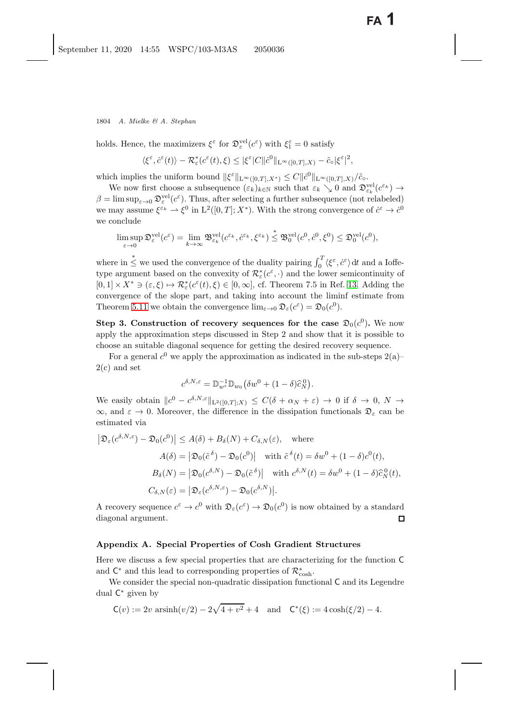holds. Hence, the maximizers  $\xi^{\varepsilon}$  for  $\mathfrak{D}_{\varepsilon}^{\text{vel}}(c^{\varepsilon})$  with  $\xi_1^{\varepsilon} = 0$  satisfy

$$
\langle \xi^{\varepsilon}, \dot{c}^{\varepsilon}(t) \rangle - \mathcal{R}_{\varepsilon}^{*}(c^{\varepsilon}(t), \xi) \leq |\xi^{\varepsilon}| C ||\dot{c}^{0}||_{\mathcal{L}^{\infty}([0,T],X)} - \tilde{c}_{\circ} |\xi^{\varepsilon}|^{2},
$$

which implies the uniform bound  $\|\xi^{\varepsilon}\|_{\mathbb{L}^{\infty}([0,T],X^*)} \leq C \|\dot{c}^0\|_{\mathbb{L}^{\infty}([0,T],X)}/\tilde{c}_{\circ}$ <sup>o</sup>.<br>We now first choose a subsequence  $(\varepsilon, \cdot)$ , we such that  $\varepsilon, \cdot > 0$  and  $\mathbb{R}^n$ 

We now first choose a subsequence  $(\varepsilon_k)_{k \in \mathbb{N}}$  such that  $\varepsilon_k \searrow 0$  and  $\mathcal{D}_{\varepsilon_k}^{\text{vel}}(c^{\varepsilon_k}) \to$ <br>Figure  $\mathcal{D}^{\text{vel}}(c^{\varepsilon})$ . Thus after selecting a further subsequence (not relabeled)  $\beta = \limsup_{\varepsilon \to 0} \mathcal{D}_{\varepsilon}^{\text{vel}}(c^{\varepsilon})$ . Thus, after selecting a further subsequence (not relabeled) we may assume  $\xi^{\varepsilon_k} \to \xi^0$  in  $L^2([0,T]; X^*)$ . With the strong convergence of  $\dot{c}^{\varepsilon} \to \dot{c}^0$ <br>we conclude we conclude

$$
\limsup_{\varepsilon \to 0} \mathfrak{D}_{\varepsilon}^{\text{vel}}(c^{\varepsilon}) = \lim_{k \to \infty} \mathfrak{B}_{\varepsilon_k}^{\text{vel}}(c^{\varepsilon_k}, \dot{c}^{\varepsilon_k}, \xi^{\varepsilon_k}) \stackrel{*}{\leq} \mathfrak{B}_0^{\text{vel}}(c^0, \dot{c}^0, \xi^0) \leq \mathfrak{D}_0^{\text{vel}}(c^0),
$$

where in  $\leq$  we used the convergence of the duality pairing  $\int_0^T \langle \xi^{\varepsilon}, \dot{c}^{\varepsilon} \rangle dt$  and a Ioffe-<br>type argument based on the convexity of  $\mathcal{P}^*(c^{\varepsilon})$  and the lower somicontinuity of type argument based on the convexity of  $\mathcal{R}^*_{\varepsilon}(c^{\varepsilon}, \cdot)$  and the lower semicontinuity of  $[0, 1] \times Y^* \supset (c^{\varepsilon}, \cdot) \mapsto \mathcal{R}^*(c^{\varepsilon}(t), \varepsilon) \in [0, \infty]$  of Theorem 7.5 in Bef. 13, Adding the  $[0,1] \times X^* \ni (\varepsilon,\xi) \mapsto \mathcal{R}^*_{\varepsilon}(c^{\varepsilon}(t),\xi) \in [0,\infty],$  cf. Theorem 7.5 in Ref. [13.](#page-41-30) Adding the convergence of the slope part, and taking into account the limit estimate from convergence of the slope part, and taking into account the liminf estimate from Theorem [5.11](#page-35-3) we obtain the convergence  $\lim_{\varepsilon\to 0} \mathfrak{D}_{\varepsilon}(c^{\varepsilon}) = \mathfrak{D}_{0}(c^{0}).$ 

**Step 3. Construction of recovery sequences for the case**  $\mathfrak{D}_0(c^0)$ **. We now** apply the approximation steps discussed in Step 2 and show that it is possible to choose an suitable diagonal sequence for getting the desired recovery sequence.

For a general  $c^0$  we apply the approximation as indicated in the sub-steps  $2(a)$ – 2(c) and set

$$
c^{\delta, N, \varepsilon} = \mathbb{D}_{w^{\varepsilon}}^{-1} \mathbb{D}_{w_0} (\delta w^0 + (1 - \delta) \widehat{c}_N^0).
$$

We easily obtain  $||c^0 - c^{\delta, N, \varepsilon}||_{L^2([0,T];X)} \leq C(\delta + \alpha_N + \varepsilon) \to 0$  if  $\delta \to 0$ ,  $N \to \infty$  and  $\varepsilon \to 0$ . Moreover, the difference in the dissipation functionals  $\Omega$ , can be  $\infty$ , and  $\varepsilon \to 0$ . Moreover, the difference in the dissipation functionals  $\mathfrak{D}_{\varepsilon}$  can be estimated via

$$
\left| \mathfrak{D}_{\varepsilon} (c^{\delta, N, \varepsilon}) - \mathfrak{D}_{0} (c^{0}) \right| \leq A(\delta) + B_{\delta}(N) + C_{\delta, N}(\varepsilon), \quad \text{where}
$$

$$
A(\delta) = \left| \mathfrak{D}_{0} (\tilde{c}^{\delta}) - \mathfrak{D}_{0} (c^{0}) \right| \quad \text{with } \tilde{c}^{\delta}(t) = \delta w^{0} + (1 - \delta) c^{0}(t),
$$

$$
B_{\delta}(N) = \left| \mathfrak{D}_{0} (c^{\delta, N}) - \mathfrak{D}_{0} (\tilde{c}^{\delta}) \right| \quad \text{with } c^{\delta, N}(t) = \delta w^{0} + (1 - \delta) \hat{c}_{N}^{0}(t),
$$

$$
C_{\delta, N}(\varepsilon) = \left| \mathfrak{D}_{\varepsilon} (c^{\delta, N, \varepsilon}) - \mathfrak{D}_{0} (c^{\delta, N}) \right|.
$$

A recovery sequence  $c^{\varepsilon} \to c^0$  with  $\mathfrak{D}_{\varepsilon}(c^{\varepsilon}) \to \mathfrak{D}_{0}(c^0)$  is now obtained by a standard diagonal argument diagonal argument.

# **Appendix A. Special Properties of Cosh Gradient Structures**

Here we discuss a few special properties that are characterizing for the function C and  $\mathsf{C}^*$  and this lead to corresponding properties of  $\mathcal{R}^*_{\text{cosh}}$ .

We consider the special non-quadratic dissipation functional  $C$  and its Legendre dual C<sup>∗</sup> given by

$$
\mathsf{C}(v) := 2v \, \operatorname{arsinh}(v/2) - 2\sqrt{4 + v^2} + 4 \quad \text{and} \quad \mathsf{C}^*(\xi) := 4\cosh(\xi/2) - 4.
$$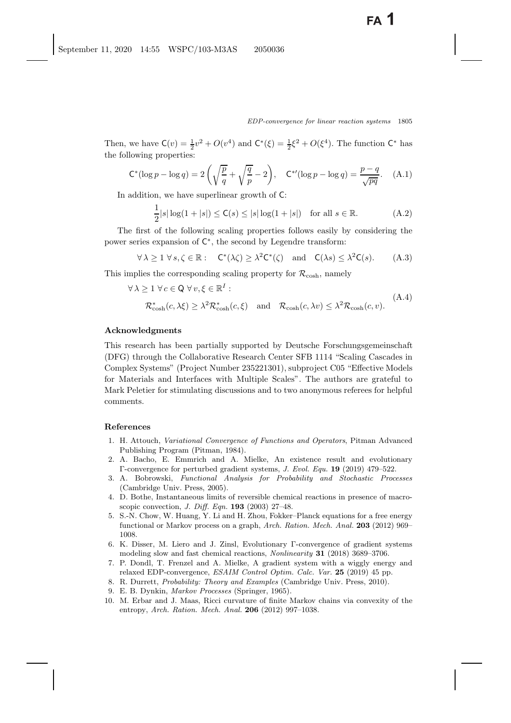Then, we have  $\mathsf{C}(v) = \frac{1}{2}v^2 + O(v^4)$  and  $\mathsf{C}^*(\xi) = \frac{1}{2}\xi^2 + O(\xi^4)$ . The function  $\mathsf{C}^*$  has the following proportion: the following properties:

$$
\mathsf{C}^*(\log p - \log q) = 2\left(\sqrt{\frac{p}{q}} + \sqrt{\frac{q}{p}} - 2\right), \quad \mathsf{C}^{*\prime}(\log p - \log q) = \frac{p - q}{\sqrt{pq}}.\tag{A.1}
$$

In addition, we have superlinear growth of C:

<span id="page-40-13"></span>
$$
\frac{1}{2}|s|\log(1+|s|) \le C(s) \le |s|\log(1+|s|) \quad \text{for all } s \in \mathbb{R}.\tag{A.2}
$$

The first of the following scaling properties follows easily by considering the power series expansion of C∗, the second by Legendre transform:

$$
\forall \lambda \ge 1 \,\forall s, \zeta \in \mathbb{R}: \quad \mathsf{C}^*(\lambda \zeta) \ge \lambda^2 \mathsf{C}^*(\zeta) \quad \text{and} \quad \mathsf{C}(\lambda s) \le \lambda^2 \mathsf{C}(s). \tag{A.3}
$$

This implies the corresponding scaling property for  $\mathcal{R}_{\text{cosh}}$ , namely

<span id="page-40-15"></span>
$$
\forall \lambda \ge 1 \ \forall c \in \mathbb{Q} \ \forall v, \xi \in \mathbb{R}^I :
$$
  

$$
\mathcal{R}_{\cosh}^*(c, \lambda \xi) \ge \lambda^2 \mathcal{R}_{\cosh}^*(c, \xi) \quad \text{and} \quad \mathcal{R}_{\cosh}(c, \lambda v) \le \lambda^2 \mathcal{R}_{\cosh}(c, v). \tag{A.4}
$$

### **Acknowledgments**

This research has been partially supported by Deutsche Forschungsgemeinschaft (DFG) through the Collaborative Research Center SFB 1114 "Scaling Cascades in Complex Systems" (Project Number 235221301), subproject C05 "Effective Models for Materials and Interfaces with Multiple Scales". The authors are grateful to Mark Peletier for stimulating discussions and to two anonymous referees for helpful comments.

#### <span id="page-40-11"></span><span id="page-40-0"></span>**References**

- 1. H. Attouch, Variational Convergence of Functions and Operators, Pitman Advanced Publishing Program (Pitman, 1984).
- <span id="page-40-14"></span>2. A. Bacho, E. Emmrich and A. Mielke, An existence result and evolutionary Γ-convergence for perturbed gradient systems, J. Evol. Equ. **19** (2019) 479–522.
- <span id="page-40-2"></span>3. A. Bobrowski, Functional Analysis for Probability and Stochastic Processes (Cambridge Univ. Press, 2005).
- <span id="page-40-9"></span><span id="page-40-4"></span>4. D. Bothe, Instantaneous limits of reversible chemical reactions in presence of macroscopic convection, J. Diff. Eqn. **193** (2003) 27–48.
- <span id="page-40-6"></span>5. S.-N. Chow, W. Huang, Y. Li and H. Zhou, Fokker–Planck equations for a free energy functional or Markov process on a graph, Arch. Ration. Mech. Anal. **203** (2012) 969– 1008.
- <span id="page-40-5"></span>6. K. Disser, M. Liero and J. Zinsl, Evolutionary Γ-convergence of gradient systems modeling slow and fast chemical reactions, Nonlinearity **31** (2018) 3689–3706.
- <span id="page-40-10"></span><span id="page-40-7"></span>7. P. Dondl, T. Frenzel and A. Mielke, A gradient system with a wiggly energy and relaxed EDP-convergence, ESAIM Control Optim. Calc. Var. **25** (2019) 45 pp.
- <span id="page-40-8"></span><span id="page-40-3"></span><span id="page-40-1"></span>8. R. Durrett, Probability: Theory and Examples (Cambridge Univ. Press, 2010).
- <span id="page-40-12"></span>9. E. B. Dynkin, Markov Processes (Springer, 1965).
- 10. M. Erbar and J. Maas, Ricci curvature of finite Markov chains via convexity of the entropy, Arch. Ration. Mech. Anal. **206** (2012) 997–1038.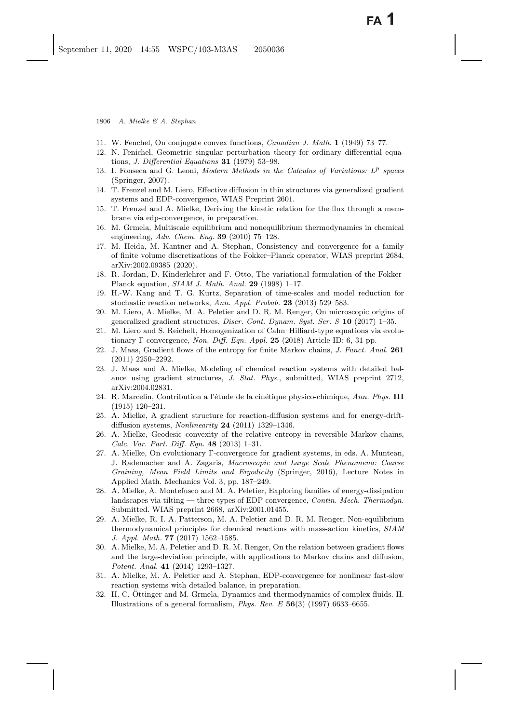- <span id="page-41-24"></span><span id="page-41-0"></span>11. W. Fenchel, On conjugate convex functions, Canadian J. Math. **1** (1949) 73–77.
- 12. N. Fenichel, Geometric singular perturbation theory for ordinary differential equations, J. Differential Equations **31** (1979) 53–98.
- <span id="page-41-30"></span>13. I. Fonseca and G. Leoni, Modern Methods in the Calculus of Variations: *L*<sup>p</sup> spaces (Springer, 2007).
- <span id="page-41-19"></span><span id="page-41-11"></span>14. T. Frenzel and M. Liero, Effective diffusion in thin structures via generalized gradient systems and EDP-convergence, WIAS Preprint 2601.
- <span id="page-41-20"></span><span id="page-41-12"></span>15. T. Frenzel and A. Mielke, Deriving the kinetic relation for the flux through a membrane via edp-convergence, in preparation.
- <span id="page-41-27"></span>16. M. Grmela, Multiscale equilibrium and nonequilibrium thermodynamics in chemical engineering, Adv. Chem. Eng. **39** (2010) 75–128.
- <span id="page-41-28"></span>17. M. Heida, M. Kantner and A. Stephan, Consistency and convergence for a family of finite volume discretizations of the Fokker–Planck operator, WIAS preprint 2684, arXiv:2002.09385 (2020).
- <span id="page-41-26"></span>18. R. Jordan, D. Kinderlehrer and F. Otto, The variational formulation of the Fokker-Planck equation, SIAM J. Math. Anal. **29** (1998) 1–17.
- <span id="page-41-1"></span>19. H.-W. Kang and T. G. Kurtz, Separation of time-scales and model reduction for stochastic reaction networks, Ann. Appl. Probab. **23** (2013) 529–583.
- <span id="page-41-16"></span><span id="page-41-10"></span>20. M. Liero, A. Mielke, M. A. Peletier and D. R. M. Renger, On microscopic origins of generalized gradient structures, Discr. Cont. Dynam. Syst. Ser. S **10** (2017) 1–35.
- <span id="page-41-29"></span>21. M. Liero and S. Reichelt, Homogenization of Cahn–Hilliard-type equations via evolutionary Γ-convergence, Non. Diff. Eqn. Appl. **25** (2018) Article ID: 6, 31 pp.
- <span id="page-41-5"></span>22. J. Maas, Gradient flows of the entropy for finite Markov chains, J. Funct. Anal. **261** (2011) 2250–2292.
- <span id="page-41-17"></span><span id="page-41-6"></span>23. J. Maas and A. Mielke, Modeling of chemical reaction systems with detailed balance using gradient structures, J. Stat. Phys., submitted, WIAS preprint 2712, arXiv:2004.02831.
- <span id="page-41-9"></span>24. R. Marcelin, Contribution a l'étude de la cinétique physico-chimique, Ann. Phys. **III** (1915) 120–231.
- <span id="page-41-21"></span><span id="page-41-2"></span>25. A. Mielke, A gradient structure for reaction-diffusion systems and for energy-driftdiffusion systems, Nonlinearity **24** (2011) 1329–1346.
- <span id="page-41-25"></span>26. A. Mielke, Geodesic convexity of the relative entropy in reversible Markov chains, Calc. Var. Part. Diff. Eqn. **48** (2013) 1–31.
- <span id="page-41-23"></span><span id="page-41-3"></span>27. A. Mielke, On evolutionary Γ-convergence for gradient systems, in eds. A. Muntean, J. Rademacher and A. Zagaris, Macroscopic and Large Scale Phenomena: Coarse Graining, Mean Field Limits and Ergodicity (Springer, 2016), Lecture Notes in Applied Math. Mechanics Vol. 3, pp. 187–249.
- <span id="page-41-22"></span><span id="page-41-13"></span>28. A. Mielke, A. Montefusco and M. A. Peletier, Exploring families of energy-dissipation landscapes via tilting — three types of EDP convergence, *Contin. Mech. Thermodyn.* Submitted. WIAS preprint 2668, arXiv:2001.01455.
- <span id="page-41-15"></span><span id="page-41-8"></span>29. A. Mielke, R. I. A. Patterson, M. A. Peletier and D. R. M. Renger, Non-equilibrium thermodynamical principles for chemical reactions with mass-action kinetics, SIAM J. Appl. Math. **77** (2017) 1562–1585.
- <span id="page-41-14"></span><span id="page-41-7"></span>30. A. Mielke, M. A. Peletier and D. R. M. Renger, On the relation between gradient flows and the large-deviation principle, with applications to Markov chains and diffusion, Potent. Anal. **41** (2014) 1293–1327.
- <span id="page-41-18"></span>31. A. Mielke, M. A. Peletier and A. Stephan, EDP-convergence for nonlinear fast-slow reaction systems with detailed balance, in preparation.
- <span id="page-41-4"></span>32. H. C. Ottinger and M. Grmela, Dynamics and thermodynamics of complex fluids. II. Illustrations of a general formalism, Phys. Rev. E **56**(3) (1997) 6633–6655.